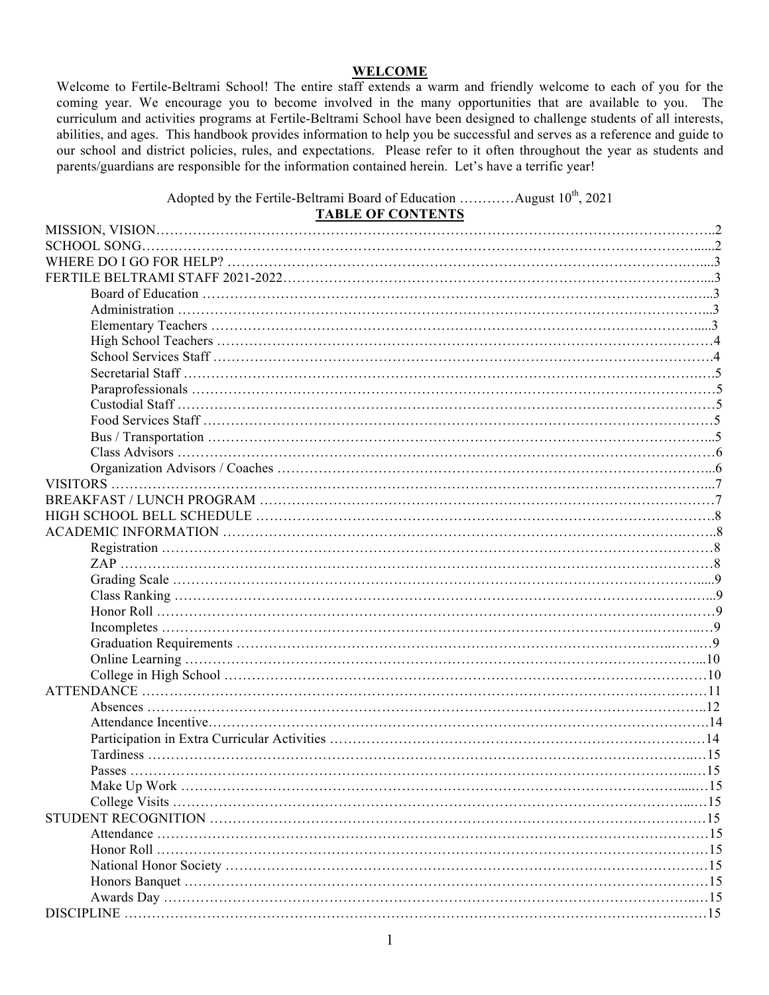#### **WELCOME**

Welcome to Fertile-Beltrami School! The entire staff extends a warm and friendly welcome to each of you for the coming year. We encourage you to become involved in the many opportunities that are available to you. The curriculum and activities programs at Fertile-Beltrami School have been designed to challenge students of all interests, abilities, and ages. This handbook provides information to help you be successful and serves as a reference and guide to our school and district policies, rules, and expectations. Please refer to it often throughout the year as students and parents/guardians are responsible for the information contained herein. Let's have a terrific year!

Adopted by the Fertile-Beltrami Board of Education ............August  $10^{th}$ , 2021

| <b>TABLE OF CONTENTS</b> |            |
|--------------------------|------------|
|                          |            |
|                          |            |
|                          |            |
|                          |            |
|                          |            |
|                          |            |
|                          |            |
|                          |            |
|                          |            |
|                          |            |
|                          |            |
|                          |            |
|                          |            |
|                          |            |
|                          |            |
|                          |            |
|                          |            |
|                          |            |
|                          |            |
|                          |            |
|                          |            |
|                          |            |
|                          |            |
|                          |            |
|                          |            |
|                          |            |
|                          |            |
|                          |            |
|                          |            |
|                          |            |
|                          |            |
|                          |            |
|                          |            |
|                          |            |
| <b>Passes</b>            | -15        |
|                          |            |
|                          |            |
|                          |            |
|                          |            |
|                          | .15        |
|                          | . . 15     |
|                          | . . 15     |
|                          | $\dots$ 15 |
|                          |            |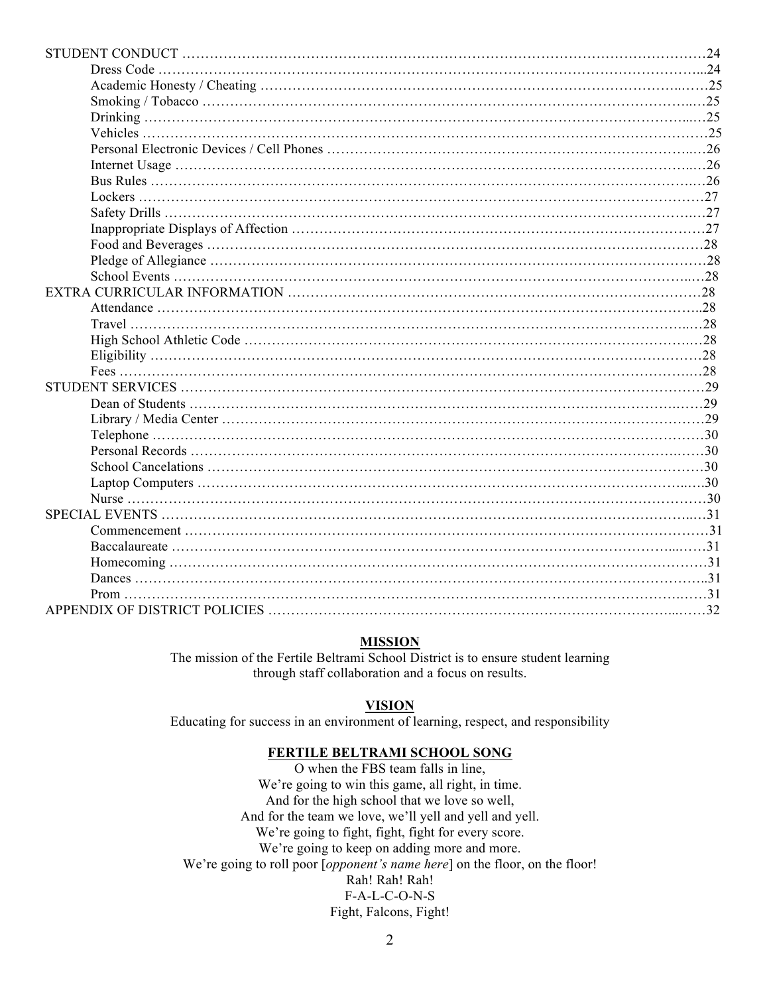## **MISSION**

The mission of the Fertile Beltrami School District is to ensure student learning through staff collaboration and a focus on results.

#### **VISION**

Educating for success in an environment of learning, respect, and responsibility

#### **FERTILE BELTRAMI SCHOOL SONG**

O when the FBS team falls in line, We're going to win this game, all right, in time. And for the high school that we love so well, And for the team we love, we'll yell and yell and yell. We're going to fight, fight, fight for every score. We're going to keep on adding more and more. We're going to roll poor [*opponent's name here*] on the floor, on the floor! Rah! Rah! Rah! F-A-L-C-O-N-S Fight, Falcons, Fight!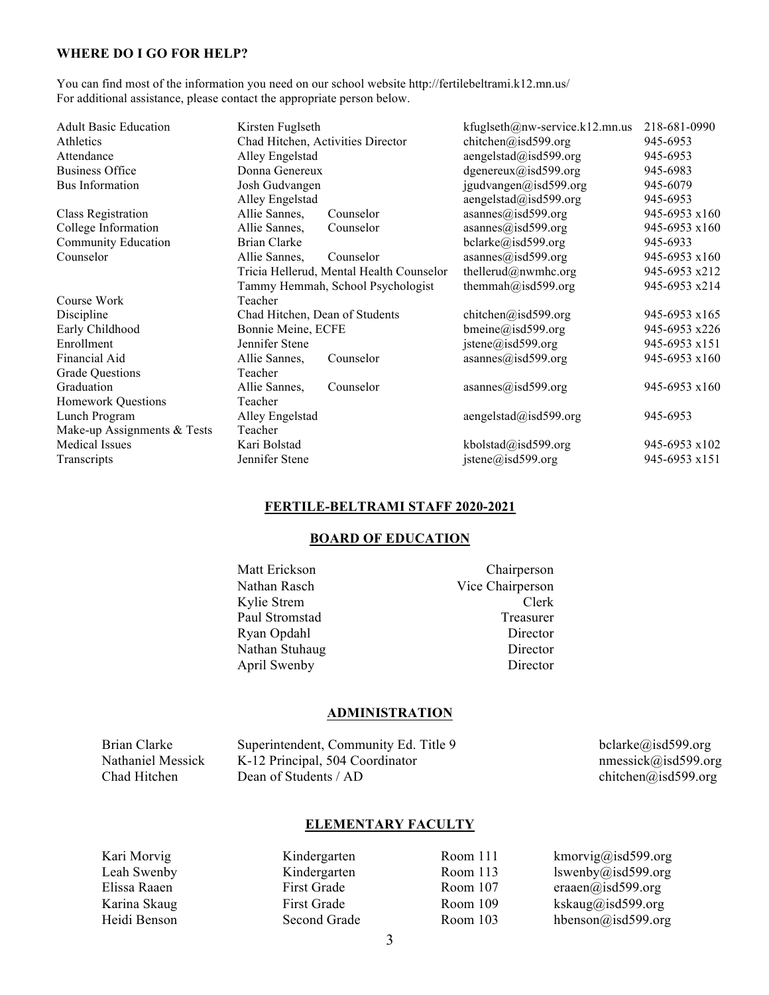#### **WHERE DO I GO FOR HELP?**

You can find most of the information you need on our school website http://fertilebeltrami.k12.mn.us/ For additional assistance, please contact the appropriate person below.

| <b>Adult Basic Education</b> | Kirsten Fuglseth                  |                                          | kfuglseth@nw-service.k12.mn.us | 218-681-0990  |
|------------------------------|-----------------------------------|------------------------------------------|--------------------------------|---------------|
| Athletics                    | Chad Hitchen, Activities Director |                                          | chitchen@isd599.org            | 945-6953      |
| Attendance                   | Alley Engelstad                   |                                          | $a$ engelstad $(a)$ isd599.org | 945-6953      |
| <b>Business Office</b>       | Donna Genereux                    |                                          | dgenereux@isd599.org           | 945-6983      |
| Bus Information              | Josh Gudvangen                    |                                          | jgudvangen@isd599.org          | 945-6079      |
|                              | Alley Engelstad                   |                                          | aengelstad@isd599.org          | 945-6953      |
| Class Registration           | Allie Sannes,                     | Counselor                                | asannes@isd599.org             | 945-6953 x160 |
| College Information          | Allie Sannes,                     | Counselor                                | asannes@isd599.org             | 945-6953 x160 |
| Community Education          | Brian Clarke                      |                                          | bcharke@isd599.org             | 945-6933      |
| Counselor                    | Allie Sannes,                     | Counselor                                | asannes@isd599.org             | 945-6953 x160 |
|                              |                                   | Tricia Hellerud, Mental Health Counselor | thellerud@nwmhc.org            | 945-6953 x212 |
|                              |                                   | Tammy Hemmah, School Psychologist        | themmah@isd599.org             | 945-6953 x214 |
| Course Work                  | Teacher                           |                                          |                                |               |
| Discipline                   | Chad Hitchen, Dean of Students    |                                          | chitchen@isd599.org            | 945-6953 x165 |
| Early Childhood              | Bonnie Meine, ECFE                |                                          | bmeine@isd599.org              | 945-6953 x226 |
| Enrollment                   | Jennifer Stene                    |                                          | jstene@isd599.org              | 945-6953 x151 |
| Financial Aid                | Allie Sannes,                     | Counselor                                | asannes@isd599.org             | 945-6953 x160 |
| <b>Grade Questions</b>       | Teacher                           |                                          |                                |               |
| Graduation                   | Allie Sannes,                     | Counselor                                | asannes@isd599.org             | 945-6953 x160 |
| <b>Homework Questions</b>    | Teacher                           |                                          |                                |               |
| Lunch Program                | Alley Engelstad                   |                                          | $a$ engelstad@isd599.org       | 945-6953      |
| Make-up Assignments & Tests  | Teacher                           |                                          |                                |               |
| Medical Issues               | Kari Bolstad                      |                                          | kbolstad@isd599.org            | 945-6953 x102 |
| Transcripts                  | Jennifer Stene                    |                                          | jstene@isd599.org              | 945-6953 x151 |
|                              |                                   |                                          |                                |               |

# **FERTILE-BELTRAMI STAFF 2020-2021**

#### **BOARD OF EDUCATION**

Matt Erickson Chairperson Nathan Rasch Vice Chairperson Kylie Strem Clerk Paul Stromstad Treasurer Ryan Opdahl Director Nathan Stuhaug Director April Swenby Director

#### **ADMINISTRATION**

| Brian Clarke      | Superintendent, Community Ed. Title 9 | belarke@isd599.org  |
|-------------------|---------------------------------------|---------------------|
| Nathaniel Messick | K-12 Principal, 504 Coordinator       | nmessick@isd599.org |
| Chad Hitchen      | Dean of Students / AD                 | chitchen@isd599.org |

#### **ELEMENTARY FACULTY**

Kari Morvig Kindergarten Room 111 kmorvig@isd599.org Leah Swenby Kindergarten Room 113 lswenby@isd599.org Elissa Raaen First Grade Room 107 eraaen@isd599.org Karina Skaug First Grade Room 109 kskaug@isd599.org Heidi Benson Second Grade Room 103 hbenson@isd599.org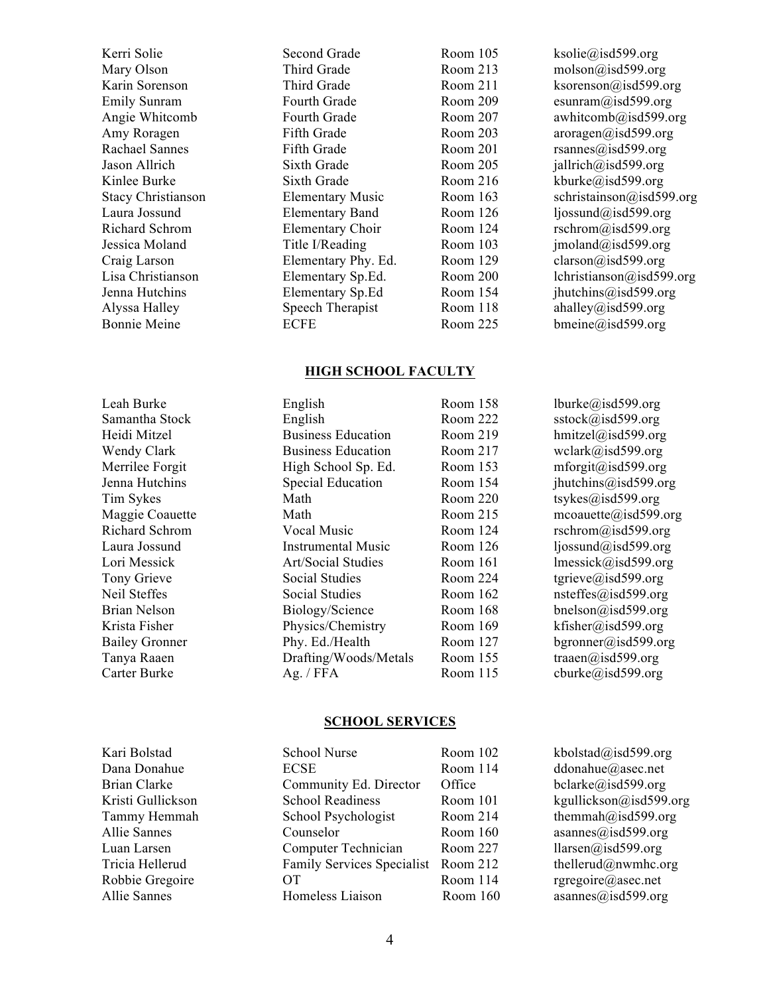Mary Olson Third Grade Room 213 molson@isd599.org Emily Sunram Fourth Grade Room 209 esunram@isd599.org Rachael Sannes Fifth Grade Room 201 rsannes@isd599.org Jason Allrich Sixth Grade Room 205 jallrich@isd599.org Kinlee Burke Sixth Grade Room 216 kburke@isd599.org Laura Jossund Elementary Band Room 126 ljossund@isd599.org Richard Schrom Elementary Choir Room 124 rschrom@isd599.org Jessica Moland Title I/Reading Room 103 jmoland@isd599.org Craig Larson Elementary Phy. Ed. Room 129 clarson@isd599.org Alyssa Halley Speech Therapist Room 118 ahalley@isd599.org Bonnie Meine **ECFE** Room 225 bmeine@isd599.org

Kerri Solie **Second Grade** Room 105 ksolie@isd599.org Karin Sorenson Third Grade Room 211 ksorenson@isd599.org Angie Whitcomb Fourth Grade Room 207 awhitcomb@isd599.org Amy Roragen Fifth Grade Room 203 aroragen@isd599.org Stacy Christianson Elementary Music Room 163 schristainson@isd599.org Lisa Christianson Elementary Sp.Ed. Room 200 lchristianson@isd599.org Jenna Hutchins Elementary Sp.Ed Room 154 jhutchins@isd599.org

# **HIGH SCHOOL FACULTY**

| тан типе              | Linguish                  | AUVIII 190 | IUUINU/U/ISUJ77.UIg                |
|-----------------------|---------------------------|------------|------------------------------------|
| Samantha Stock        | English                   | Room 222   | $sstock(a)$ isd599.org             |
| Heidi Mitzel          | <b>Business Education</b> | Room 219   | hmitzel@isd599.org                 |
| Wendy Clark           | <b>Business Education</b> | Room 217   | wclark@isd599.org                  |
| Merrilee Forgit       | High School Sp. Ed.       | Room 153   | mforgit@isd599.org                 |
| Jenna Hutchins        | <b>Special Education</b>  | Room 154   | jhutchins@isd599.org               |
| Tim Sykes             | Math                      | Room 220   | tsykes@isd599.org                  |
| Maggie Coauette       | Math                      | Room 215   | $m \text{coaustte}(a)$ is d599.org |
| Richard Schrom        | Vocal Music               | Room 124   | rschrom@isd599.org                 |
| Laura Jossund         | Instrumental Music        | Room $126$ | $l$ jossund@isd599.org             |
| Lori Messick          | Art/Social Studies        | Room 161   | $l$ messick@isd599.org             |
| Tony Grieve           | Social Studies            | Room 224   | tgrieve@isd599.org                 |
| Neil Steffes          | Social Studies            | Room 162   | nsteffes@isd599.org                |
| <b>Brian Nelson</b>   | Biology/Science           | Room 168   | bnelson@isd599.org                 |
| Krista Fisher         | Physics/Chemistry         | Room 169   | kfisher@isd599.org                 |
| <b>Bailey Gronner</b> | Phy. Ed./Health           | Room 127   | bgronner@isd599.org                |
| Tanya Raaen           | Drafting/Woods/Metals     | Room 155   | $\text{traaen}(a)$ isd599.org      |
| Carter Burke          | Ag. $/$ FFA               | Room 115   | cburke@isd599.org                  |
|                       |                           |            |                                    |

#### **SCHOOL SERVICES**

| Kari Bolstad      | School Nurse                      | Room 102   | kbolstad@isd599.org    |
|-------------------|-----------------------------------|------------|------------------------|
| Dana Donahue      | <b>ECSE</b>                       | Room 114   | ddonahue@asec.net      |
| Brian Clarke      | Community Ed. Director            | Office     | belarke@isd599.org     |
| Kristi Gullickson | <b>School Readiness</b>           | Room 101   | kgullickson@isd599.org |
| Tammy Hemmah      | School Psychologist               | Room 214   | themmah@isd599.org     |
| Allie Sannes      | Counselor                         | Room $160$ | asannes@isd599.org     |
| Luan Larsen       | Computer Technician               | Room 227   | llarsen@isd599.org     |
| Tricia Hellerud   | <b>Family Services Specialist</b> | Room 212   | thellerud@nwmhc.org    |
| Robbie Gregoire   | OТ                                | Room 114   | rgregoire@asec.net     |
| Allie Sannes      | Homeless Liaison                  | Room 160   | asannes@isd599.org     |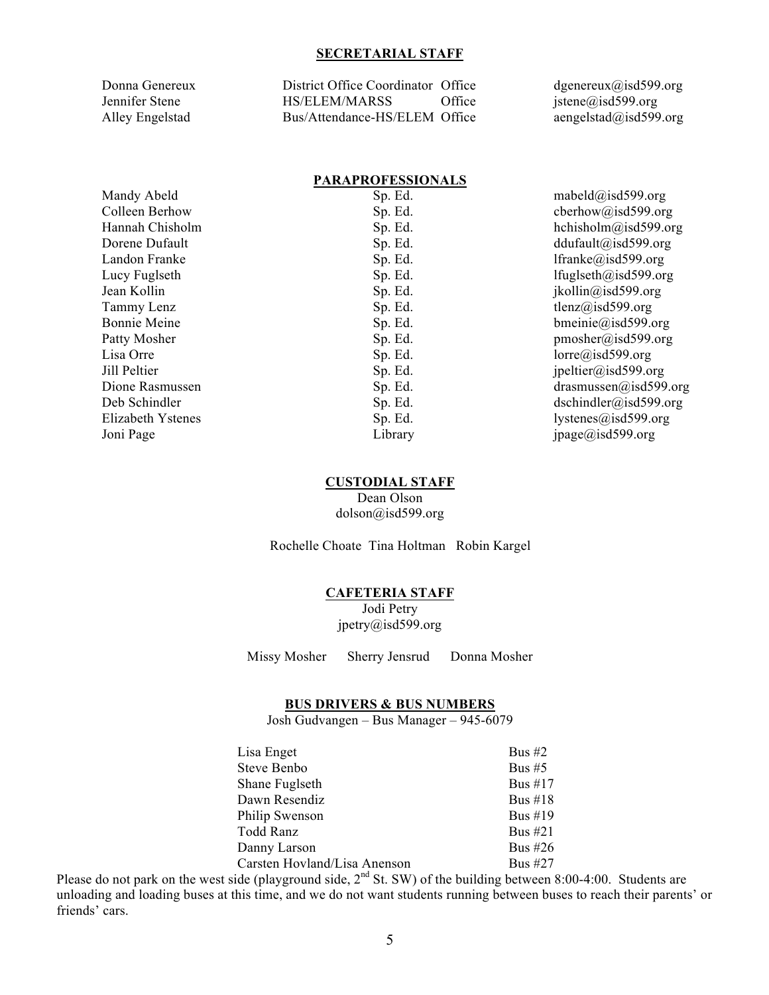#### **SECRETARIAL STAFF**

Donna Genereux District Office Coordinator Office dgenereux@isd599.org Jennifer Stene HS/ELEM/MARSS Office jstene@isd599.org Alley Engelstad Bus/Attendance-HS/ELEM Office aengelstad@isd599.org

#### **PARAPROFESSIONALS**

| Mandy Abeld       | Sp. Ed. | mabeld@isd599.org                      |
|-------------------|---------|----------------------------------------|
| Colleen Berhow    | Sp. Ed. | cberhow@isd599.org                     |
| Hannah Chisholm   | Sp. Ed. | hchisholm@isd599.org                   |
| Dorene Dufault    | Sp. Ed. | ddufault@isd599.org                    |
| Landon Franke     | Sp. Ed. | lfranke@isd599.org                     |
| Lucy Fuglseth     | Sp. Ed. | lfuglseth@isd599.org                   |
| Jean Kollin       | Sp. Ed. | ikollin@isd599.org                     |
| Tammy Lenz        | Sp. Ed. | tlenz@isd599.org                       |
| Bonnie Meine      | Sp. Ed. | $bmeinie(a)$ isd599.org                |
| Patty Mosher      | Sp. Ed. | pmosher@isd599.org                     |
| Lisa Orre         | Sp. Ed. | lorre@isd599.org                       |
| Jill Peltier      | Sp. Ed. | ipeltier@isd599.org                    |
| Dione Rasmussen   | Sp. Ed. | $drasmussen(\hat{\omega})$ is d599.org |
| Deb Schindler     | Sp. Ed. | $dschindler(a)$ isd599.org             |
| Elizabeth Ystenes | Sp. Ed. | lystenes@isd599.org                    |
| Joni Page         | Library | ipage@isd599.org                       |

#### **CUSTODIAL STAFF**

Dean Olson dolson@isd599.org

Rochelle Choate Tina Holtman Robin Kargel

#### **CAFETERIA STAFF**

Jodi Petry jpetry@isd599.org

Missy Mosher Sherry Jensrud Donna Mosher

#### **BUS DRIVERS & BUS NUMBERS**

Josh Gudvangen – Bus Manager – 945-6079

| Lisa Enget                   | Bus $#2$   |
|------------------------------|------------|
| Steve Benbo                  | Bus $#5$   |
| Shane Fuglseth               | Bus $#17$  |
| Dawn Resendiz                | Bus $\#18$ |
| Philip Swenson               | Bus $\#19$ |
| Todd Ranz                    | Bus $#21$  |
| Danny Larson                 | Bus #26    |
| Carsten Hovland/Lisa Anenson | Bus #27    |

Please do not park on the west side (playground side,  $2<sup>nd</sup>$  St. SW) of the building between 8:00-4:00. Students are unloading and loading buses at this time, and we do not want students running between buses to reach their parents' or friends' cars.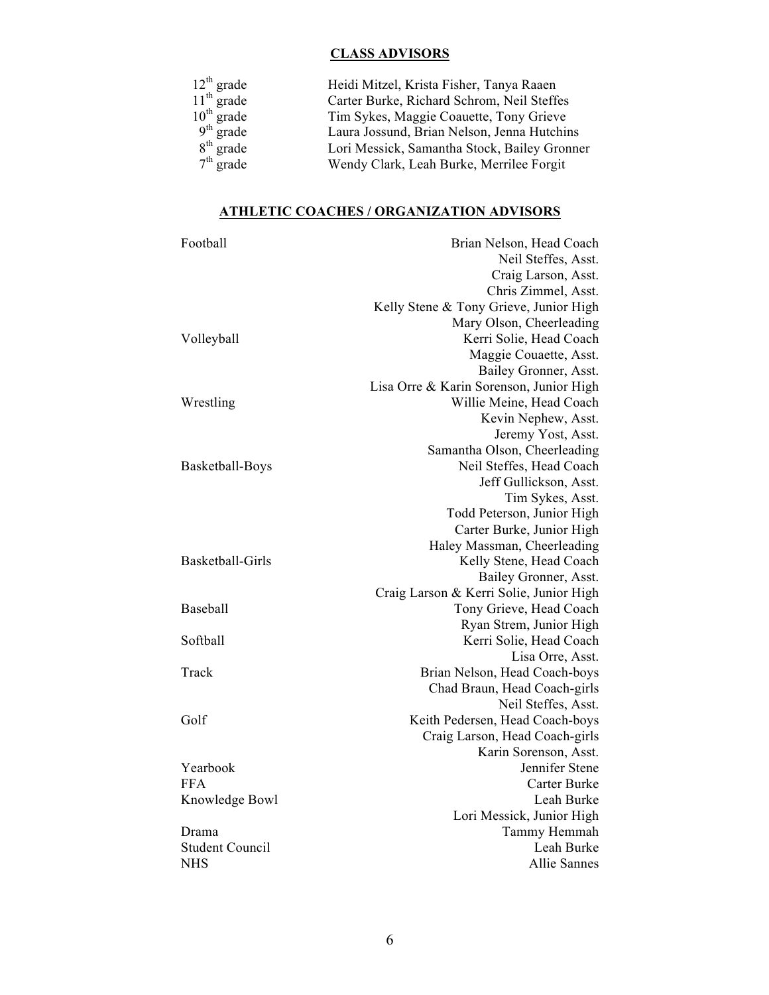# **CLASS ADVISORS**

| $12^{th}$ grade<br>$11^{th}$ grade<br>$10^{th}$ grade<br>$9^{th}$ grade | Heidi Mitzel, Krista Fisher, Tanya Raaen     |
|-------------------------------------------------------------------------|----------------------------------------------|
|                                                                         | Carter Burke, Richard Schrom, Neil Steffes   |
|                                                                         | Tim Sykes, Maggie Coauette, Tony Grieve      |
|                                                                         | Laura Jossund, Brian Nelson, Jenna Hutchins  |
| $8th$ grade                                                             | Lori Messick, Samantha Stock, Bailey Gronner |
| $7th$ grade                                                             | Wendy Clark, Leah Burke, Merrilee Forgit     |

# **ATHLETIC COACHES / ORGANIZATION ADVISORS**

| Football               | Brian Nelson, Head Coach                               |
|------------------------|--------------------------------------------------------|
|                        | Neil Steffes, Asst.                                    |
|                        | Craig Larson, Asst.                                    |
|                        | Chris Zimmel, Asst.                                    |
|                        | Kelly Stene & Tony Grieve, Junior High                 |
|                        | Mary Olson, Cheerleading                               |
| Volleyball             | Kerri Solie, Head Coach                                |
|                        | Maggie Couaette, Asst.                                 |
|                        | Bailey Gronner, Asst.                                  |
|                        | Lisa Orre & Karin Sorenson, Junior High                |
| Wrestling              | Willie Meine, Head Coach                               |
|                        | Kevin Nephew, Asst.                                    |
|                        | Jeremy Yost, Asst.                                     |
|                        | Samantha Olson, Cheerleading                           |
| Basketball-Boys        | Neil Steffes, Head Coach                               |
|                        | Jeff Gullickson, Asst.                                 |
|                        | Tim Sykes, Asst.                                       |
|                        | Todd Peterson, Junior High                             |
|                        | Carter Burke, Junior High                              |
| Basketball-Girls       | Haley Massman, Cheerleading<br>Kelly Stene, Head Coach |
|                        | Bailey Gronner, Asst.                                  |
|                        | Craig Larson & Kerri Solie, Junior High                |
| <b>Baseball</b>        | Tony Grieve, Head Coach                                |
|                        | Ryan Strem, Junior High                                |
| Softball               | Kerri Solie, Head Coach                                |
|                        | Lisa Orre, Asst.                                       |
| Track                  | Brian Nelson, Head Coach-boys                          |
|                        | Chad Braun, Head Coach-girls                           |
|                        | Neil Steffes, Asst.                                    |
| Golf                   | Keith Pedersen, Head Coach-boys                        |
|                        | Craig Larson, Head Coach-girls                         |
|                        | Karin Sorenson, Asst.                                  |
| Yearbook               | Jennifer Stene                                         |
| <b>FFA</b>             | Carter Burke                                           |
| Knowledge Bowl         | Leah Burke                                             |
|                        | Lori Messick, Junior High                              |
| Drama                  | Tammy Hemmah                                           |
| <b>Student Council</b> | Leah Burke                                             |
| <b>NHS</b>             | <b>Allie Sannes</b>                                    |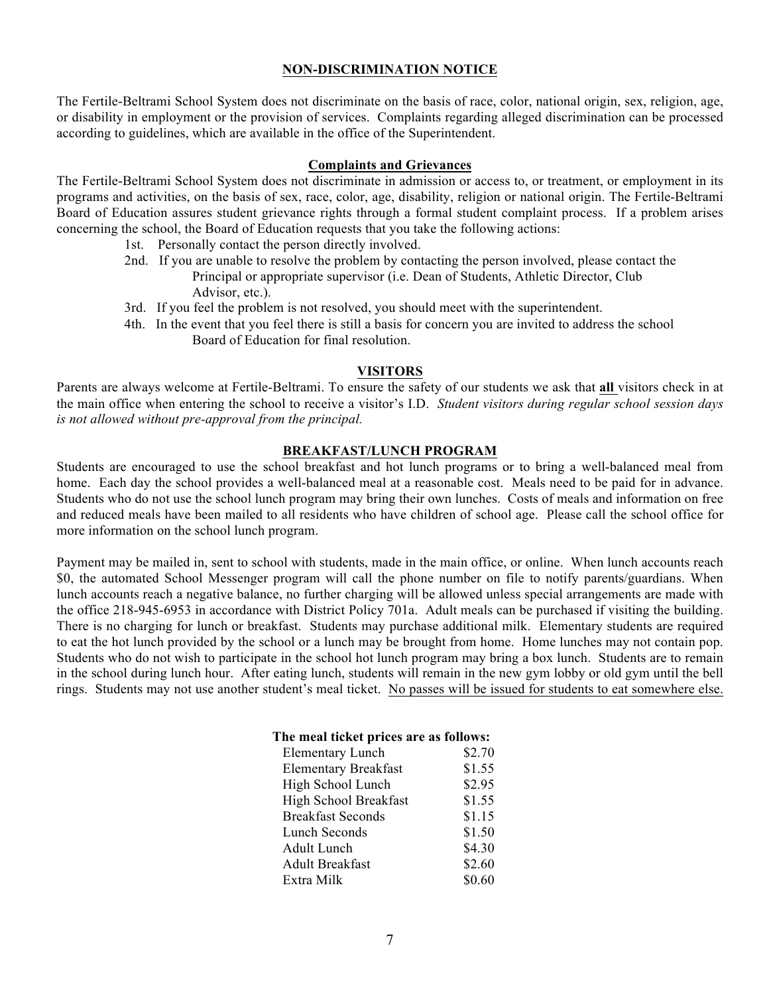#### **NON-DISCRIMINATION NOTICE**

The Fertile-Beltrami School System does not discriminate on the basis of race, color, national origin, sex, religion, age, or disability in employment or the provision of services. Complaints regarding alleged discrimination can be processed according to guidelines, which are available in the office of the Superintendent.

#### **Complaints and Grievances**

The Fertile-Beltrami School System does not discriminate in admission or access to, or treatment, or employment in its programs and activities, on the basis of sex, race, color, age, disability, religion or national origin. The Fertile-Beltrami Board of Education assures student grievance rights through a formal student complaint process. If a problem arises concerning the school, the Board of Education requests that you take the following actions:

- 1st. Personally contact the person directly involved.
- 2nd. If you are unable to resolve the problem by contacting the person involved, please contact the Principal or appropriate supervisor (i.e. Dean of Students, Athletic Director, Club Advisor, etc.).
- 3rd. If you feel the problem is not resolved, you should meet with the superintendent.
- 4th. In the event that you feel there is still a basis for concern you are invited to address the school Board of Education for final resolution.

#### **VISITORS**

Parents are always welcome at Fertile-Beltrami. To ensure the safety of our students we ask that **all** visitors check in at the main office when entering the school to receive a visitor's I.D. *Student visitors during regular school session days is not allowed without pre-approval from the principal.*

#### **BREAKFAST/LUNCH PROGRAM**

Students are encouraged to use the school breakfast and hot lunch programs or to bring a well-balanced meal from home. Each day the school provides a well-balanced meal at a reasonable cost. Meals need to be paid for in advance. Students who do not use the school lunch program may bring their own lunches. Costs of meals and information on free and reduced meals have been mailed to all residents who have children of school age. Please call the school office for more information on the school lunch program.

Payment may be mailed in, sent to school with students, made in the main office, or online. When lunch accounts reach \$0, the automated School Messenger program will call the phone number on file to notify parents/guardians. When lunch accounts reach a negative balance, no further charging will be allowed unless special arrangements are made with the office 218-945-6953 in accordance with District Policy 701a. Adult meals can be purchased if visiting the building. There is no charging for lunch or breakfast. Students may purchase additional milk. Elementary students are required to eat the hot lunch provided by the school or a lunch may be brought from home. Home lunches may not contain pop. Students who do not wish to participate in the school hot lunch program may bring a box lunch. Students are to remain in the school during lunch hour. After eating lunch, students will remain in the new gym lobby or old gym until the bell rings. Students may not use another student's meal ticket. No passes will be issued for students to eat somewhere else.

#### **The meal ticket prices are as follows:**

| <b>Elementary Lunch</b>     | \$2.70 |
|-----------------------------|--------|
| <b>Elementary Breakfast</b> | \$1.55 |
| High School Lunch           | \$2.95 |
| High School Breakfast       | \$1.55 |
| <b>Breakfast Seconds</b>    | \$1.15 |
| Lunch Seconds               | \$1.50 |
| Adult Lunch                 | \$4.30 |
| <b>Adult Breakfast</b>      | \$2.60 |
| Extra Milk                  | \$0.60 |
|                             |        |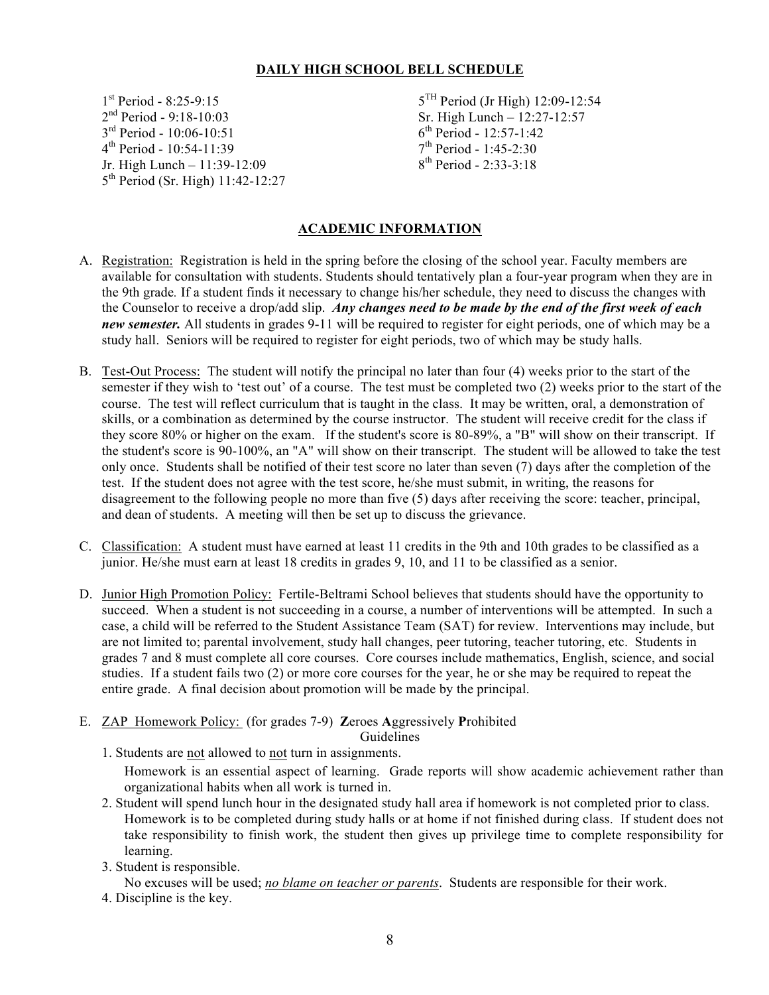## **DAILY HIGH SCHOOL BELL SCHEDULE**

 $2<sup>nd</sup> Period - 9:18-10:03$ <br>  $3<sup>rd</sup> Period - 10:06-10:51$ <br>  $6<sup>th</sup> Period - 12:57-1:42$  $4^{th}$  Period - 10:54-11:39 Jr. High Lunch – 11:39-12:09  $8^{th}$  Period - 2:33-3:18 5<sup>th</sup> Period (Sr. High) 11:42-12:27

 $1^{\text{st}}$  Period - 8:25-9:15  $5^{\text{TH}}$  Period (Jr High) 12:09-12:54<br>  $2^{\text{nd}}$  Period - 9:18-10:03  $5^{\text{TH}}$  Sr. High Lunch – 12:27-12:57  $6^{th}$  Period - 12:57-1:42<br>7<sup>th</sup> Period - 1:45-2:30

# **ACADEMIC INFORMATION**

- A. Registration: Registration is held in the spring before the closing of the school year. Faculty members are available for consultation with students. Students should tentatively plan a four-year program when they are in the 9th grade*.* If a student finds it necessary to change his/her schedule, they need to discuss the changes with the Counselor to receive a drop/add slip. *Any changes need to be made by the end of the first week of each new semester.* All students in grades 9-11 will be required to register for eight periods, one of which may be a study hall. Seniors will be required to register for eight periods, two of which may be study halls.
- B. Test-Out Process: The student will notify the principal no later than four (4) weeks prior to the start of the semester if they wish to 'test out' of a course. The test must be completed two (2) weeks prior to the start of the course. The test will reflect curriculum that is taught in the class. It may be written, oral, a demonstration of skills, or a combination as determined by the course instructor. The student will receive credit for the class if they score 80% or higher on the exam. If the student's score is 80-89%, a "B" will show on their transcript. If the student's score is 90-100%, an "A" will show on their transcript. The student will be allowed to take the test only once. Students shall be notified of their test score no later than seven (7) days after the completion of the test. If the student does not agree with the test score, he/she must submit, in writing, the reasons for disagreement to the following people no more than five (5) days after receiving the score: teacher, principal, and dean of students. A meeting will then be set up to discuss the grievance.
- C. Classification: A student must have earned at least 11 credits in the 9th and 10th grades to be classified as a junior. He/she must earn at least 18 credits in grades 9, 10, and 11 to be classified as a senior.
- D. Junior High Promotion Policy: Fertile-Beltrami School believes that students should have the opportunity to succeed. When a student is not succeeding in a course, a number of interventions will be attempted. In such a case, a child will be referred to the Student Assistance Team (SAT) for review. Interventions may include, but are not limited to; parental involvement, study hall changes, peer tutoring, teacher tutoring, etc. Students in grades 7 and 8 must complete all core courses. Core courses include mathematics, English, science, and social studies. If a student fails two (2) or more core courses for the year, he or she may be required to repeat the entire grade. A final decision about promotion will be made by the principal.
- E. ZAP Homework Policy: (for grades 7-9) **Z**eroes **A**ggressively **P**rohibited

Guidelines

1. Students are not allowed to not turn in assignments.

Homework is an essential aspect of learning. Grade reports will show academic achievement rather than organizational habits when all work is turned in.

- 2. Student will spend lunch hour in the designated study hall area if homework is not completed prior to class. Homework is to be completed during study halls or at home if not finished during class. If student does not take responsibility to finish work, the student then gives up privilege time to complete responsibility for learning.
- 3. Student is responsible.

No excuses will be used; *no blame on teacher or parents*. Students are responsible for their work.

4. Discipline is the key.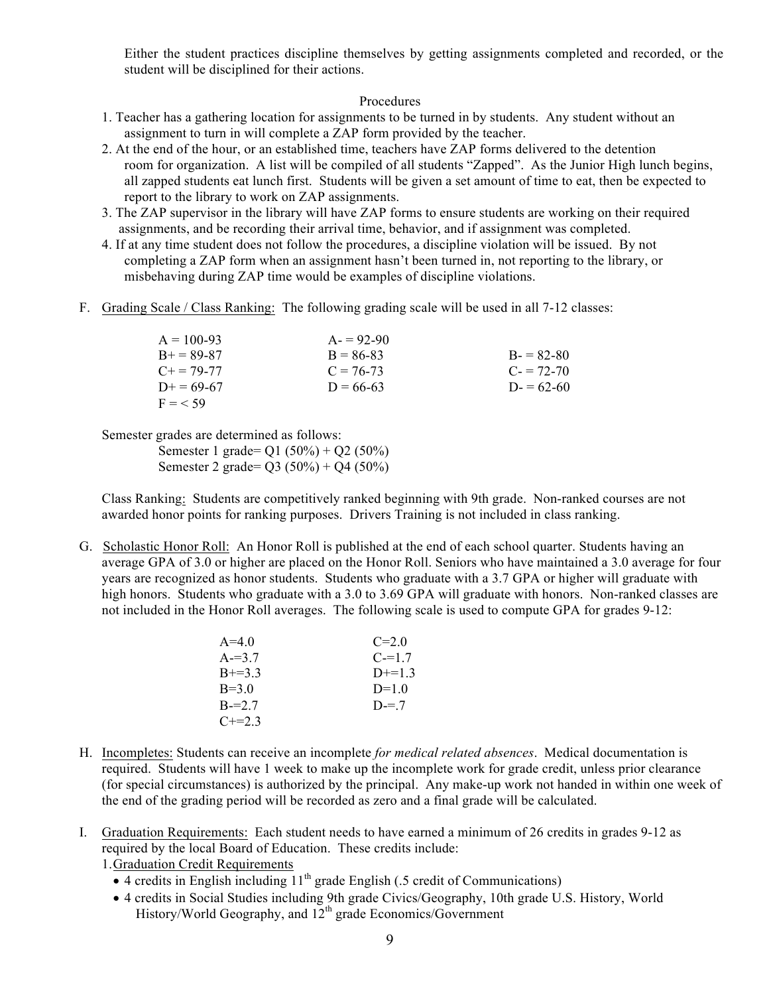Either the student practices discipline themselves by getting assignments completed and recorded, or the student will be disciplined for their actions.

#### Procedures

- 1. Teacher has a gathering location for assignments to be turned in by students. Any student without an assignment to turn in will complete a ZAP form provided by the teacher.
- 2. At the end of the hour, or an established time, teachers have ZAP forms delivered to the detention room for organization. A list will be compiled of all students "Zapped". As the Junior High lunch begins, all zapped students eat lunch first. Students will be given a set amount of time to eat, then be expected to report to the library to work on ZAP assignments.
- 3. The ZAP supervisor in the library will have ZAP forms to ensure students are working on their required assignments, and be recording their arrival time, behavior, and if assignment was completed.
- 4. If at any time student does not follow the procedures, a discipline violation will be issued. By not completing a ZAP form when an assignment hasn't been turned in, not reporting to the library, or misbehaving during ZAP time would be examples of discipline violations.
- F. Grading Scale / Class Ranking: The following grading scale will be used in all 7-12 classes:

| $A = 100-93$      | $A = 92-90$ |               |
|-------------------|-------------|---------------|
| $B_{+} = 89 - 87$ | $B = 86-83$ | $B = 82-80$   |
| $C_{\pm} = 79-77$ | $C = 76-73$ | $C = 72 - 70$ |
| $D_{+} = 69-67$   | $D = 66-63$ | $D = 62-60$   |
| $F = 59$          |             |               |

Semester grades are determined as follows:

Semester 1 grade= Q1 (50%) + Q2 (50%) Semester 2 grade= Q3 (50%) + Q4 (50%)

Class Ranking: Students are competitively ranked beginning with 9th grade. Non-ranked courses are not awarded honor points for ranking purposes. Drivers Training is not included in class ranking.

G. Scholastic Honor Roll: An Honor Roll is published at the end of each school quarter. Students having an average GPA of 3.0 or higher are placed on the Honor Roll. Seniors who have maintained a 3.0 average for four years are recognized as honor students. Students who graduate with a 3.7 GPA or higher will graduate with high honors. Students who graduate with a 3.0 to 3.69 GPA will graduate with honors. Non-ranked classes are not included in the Honor Roll averages. The following scale is used to compute GPA for grades 9-12:

| $A=4.0$   | $C=2.0$   |
|-----------|-----------|
| $A = 3.7$ | $C = 1.7$ |
| $B+=3.3$  | $D+=1$ 3  |
| $B=3.0$   | $D=1.0$   |
| $B = 27$  | $D = 7$   |
| $C+=23$   |           |

- H. Incompletes: Students can receive an incomplete *for medical related absences*. Medical documentation is required. Students will have 1 week to make up the incomplete work for grade credit, unless prior clearance (for special circumstances) is authorized by the principal. Any make-up work not handed in within one week of the end of the grading period will be recorded as zero and a final grade will be calculated.
- I. Graduation Requirements: Each student needs to have earned a minimum of 26 credits in grades 9-12 as required by the local Board of Education. These credits include:

1.Graduation Credit Requirements

- $\bullet$  4 credits in English including  $11^{th}$  grade English (.5 credit of Communications)
- 4 credits in Social Studies including 9th grade Civics/Geography, 10th grade U.S. History, World History/World Geography, and  $12^{th}$  grade Economics/Government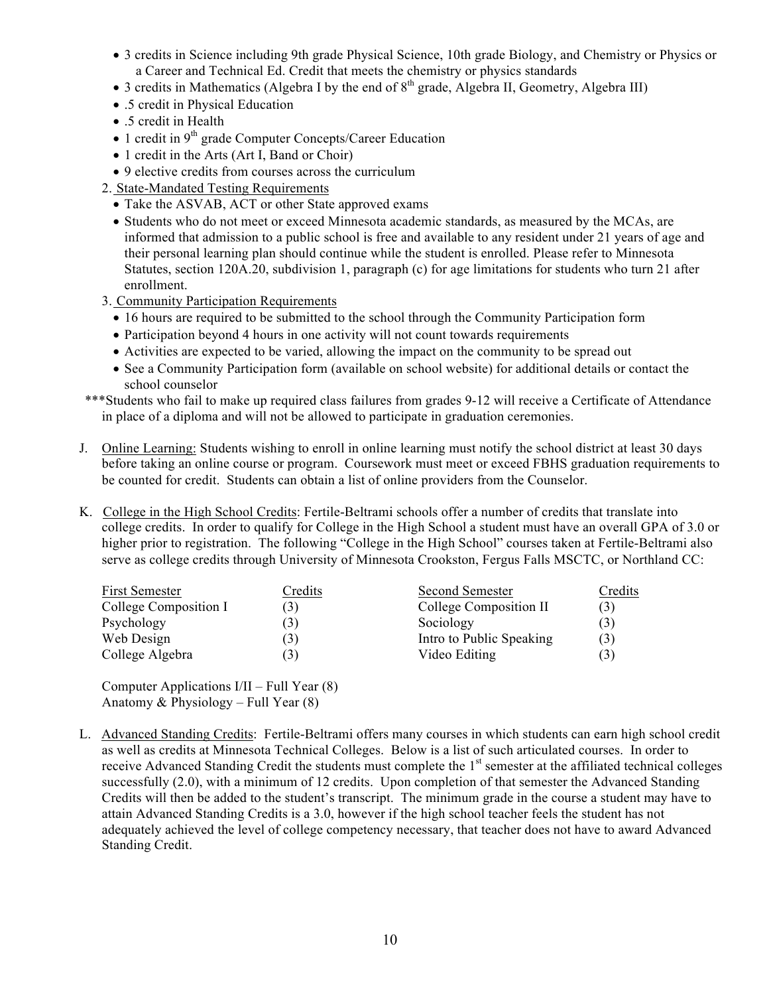- 3 credits in Science including 9th grade Physical Science, 10th grade Biology, and Chemistry or Physics or a Career and Technical Ed. Credit that meets the chemistry or physics standards
- 3 credits in Mathematics (Algebra I by the end of  $8<sup>th</sup>$  grade, Algebra II, Geometry, Algebra III)
- .5 credit in Physical Education
- .5 credit in Health
- $\bullet$  1 credit in 9<sup>th</sup> grade Computer Concepts/Career Education
- 1 credit in the Arts (Art I, Band or Choir)
- 9 elective credits from courses across the curriculum
- 2. State-Mandated Testing Requirements
	- Take the ASVAB, ACT or other State approved exams
	- Students who do not meet or exceed Minnesota academic standards, as measured by the MCAs, are informed that admission to a public school is free and available to any resident under 21 years of age and their personal learning plan should continue while the student is enrolled. Please refer to Minnesota Statutes, section 120A.20, subdivision 1, paragraph (c) for age limitations for students who turn 21 after enrollment.
- 3. Community Participation Requirements
	- 16 hours are required to be submitted to the school through the Community Participation form
	- Participation beyond 4 hours in one activity will not count towards requirements
	- Activities are expected to be varied, allowing the impact on the community to be spread out
	- See a Community Participation form (available on school website) for additional details or contact the school counselor

\*\*\*Students who fail to make up required class failures from grades 9-12 will receive a Certificate of Attendance in place of a diploma and will not be allowed to participate in graduation ceremonies.

- J. Online Learning: Students wishing to enroll in online learning must notify the school district at least 30 days before taking an online course or program. Coursework must meet or exceed FBHS graduation requirements to be counted for credit. Students can obtain a list of online providers from the Counselor.
- K. College in the High School Credits: Fertile-Beltrami schools offer a number of credits that translate into college credits. In order to qualify for College in the High School a student must have an overall GPA of 3.0 or higher prior to registration. The following "College in the High School" courses taken at Fertile-Beltrami also serve as college credits through University of Minnesota Crookston, Fergus Falls MSCTC, or Northland CC:

| Credits | Second Semester          | Credits |
|---------|--------------------------|---------|
| 3)      | College Composition II   | (3)     |
| 3)      | Sociology                | (3)     |
| 3)      | Intro to Public Speaking | (3)     |
| 3)      | Video Editing            | (3)     |
|         |                          |         |

Computer Applications I/II – Full Year (8) Anatomy  $& Physiology - Full Year (8)$ 

L. Advanced Standing Credits: Fertile-Beltrami offers many courses in which students can earn high school credit as well as credits at Minnesota Technical Colleges. Below is a list of such articulated courses. In order to receive Advanced Standing Credit the students must complete the  $1<sup>st</sup>$  semester at the affiliated technical colleges successfully (2.0), with a minimum of 12 credits. Upon completion of that semester the Advanced Standing Credits will then be added to the student's transcript. The minimum grade in the course a student may have to attain Advanced Standing Credits is a 3.0, however if the high school teacher feels the student has not adequately achieved the level of college competency necessary, that teacher does not have to award Advanced Standing Credit.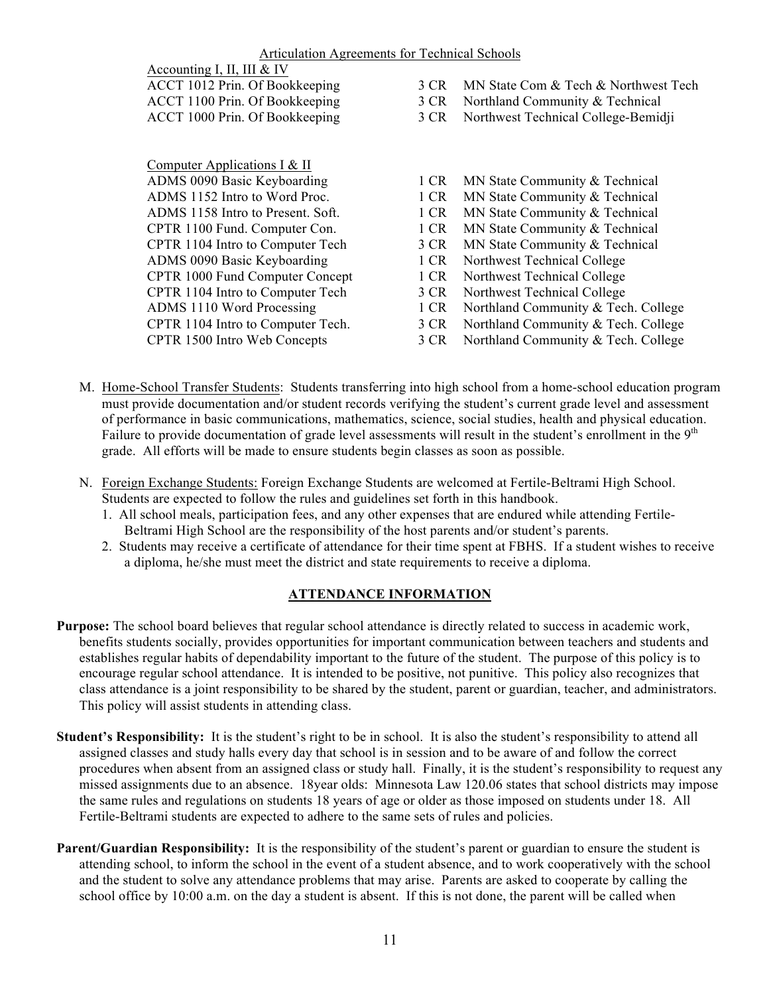| 3 CR MN State Com & Tech & Northwest Tech |
|-------------------------------------------|
| 3 CR Northland Community & Technical      |
| 3 CR Northwest Technical College-Bemidi   |
|                                           |

Computer Applications I & II ADMS 1152 Intro to Word Proc. 1 CR MN State Community & Technical ADMS 1158 Intro to Present. Soft. 1 CR MN State Community & Technical CPTR 1100 Fund. Computer Con. 1 CR MN State Community & Technical CPTR 1104 Intro to Computer Tech 3 CR MN State Community & Technical ADMS 0090 Basic Keyboarding 1 CR Northwest Technical College CPTR 1000 Fund Computer Concept 1 CR Northwest Technical College CPTR 1104 Intro to Computer Tech 3 CR Northwest Technical College

- ADMS 0090 Basic Keyboarding 1 CR MN State Community & Technical
	-
	-
	-
	-
	-
	-
	-
- ADMS 1110 Word Processing 1 CR Northland Community & Tech. College
- CPTR 1104 Intro to Computer Tech. 3 CR Northland Community & Tech. College
- CPTR 1500 Intro Web Concepts 3 CR Northland Community & Tech. College
- M. Home-School Transfer Students: Students transferring into high school from a home-school education program must provide documentation and/or student records verifying the student's current grade level and assessment of performance in basic communications, mathematics, science, social studies, health and physical education. Failure to provide documentation of grade level assessments will result in the student's enrollment in the 9<sup>th</sup> grade. All efforts will be made to ensure students begin classes as soon as possible.
- N. Foreign Exchange Students: Foreign Exchange Students are welcomed at Fertile-Beltrami High School. Students are expected to follow the rules and guidelines set forth in this handbook.
	- 1. All school meals, participation fees, and any other expenses that are endured while attending Fertile-Beltrami High School are the responsibility of the host parents and/or student's parents.
	- 2. Students may receive a certificate of attendance for their time spent at FBHS. If a student wishes to receive a diploma, he/she must meet the district and state requirements to receive a diploma.

# **ATTENDANCE INFORMATION**

- **Purpose:** The school board believes that regular school attendance is directly related to success in academic work, benefits students socially, provides opportunities for important communication between teachers and students and establishes regular habits of dependability important to the future of the student. The purpose of this policy is to encourage regular school attendance. It is intended to be positive, not punitive. This policy also recognizes that class attendance is a joint responsibility to be shared by the student, parent or guardian, teacher, and administrators. This policy will assist students in attending class.
- **Student's Responsibility:** It is the student's right to be in school. It is also the student's responsibility to attend all assigned classes and study halls every day that school is in session and to be aware of and follow the correct procedures when absent from an assigned class or study hall. Finally, it is the student's responsibility to request any missed assignments due to an absence. 18year olds: Minnesota Law 120.06 states that school districts may impose the same rules and regulations on students 18 years of age or older as those imposed on students under 18. All Fertile-Beltrami students are expected to adhere to the same sets of rules and policies.
- **Parent/Guardian Responsibility:** It is the responsibility of the student's parent or guardian to ensure the student is attending school, to inform the school in the event of a student absence, and to work cooperatively with the school and the student to solve any attendance problems that may arise. Parents are asked to cooperate by calling the school office by 10:00 a.m. on the day a student is absent. If this is not done, the parent will be called when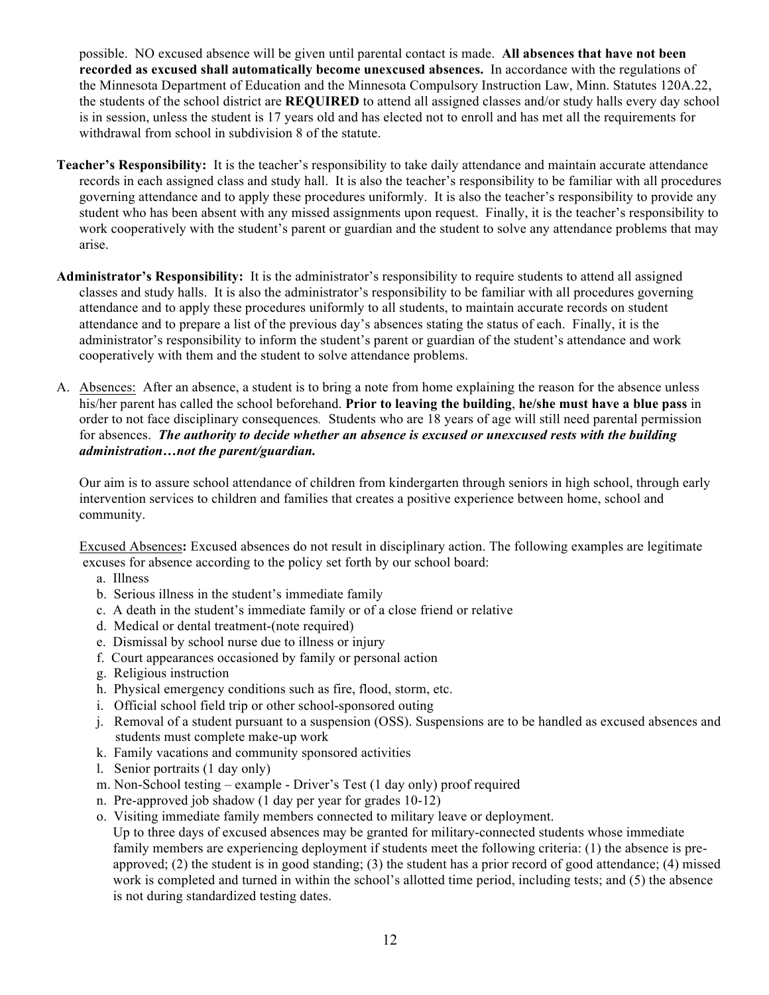possible. NO excused absence will be given until parental contact is made. **All absences that have not been recorded as excused shall automatically become unexcused absences.** In accordance with the regulations of the Minnesota Department of Education and the Minnesota Compulsory Instruction Law, Minn. Statutes 120A.22, the students of the school district are **REQUIRED** to attend all assigned classes and/or study halls every day school is in session, unless the student is 17 years old and has elected not to enroll and has met all the requirements for withdrawal from school in subdivision 8 of the statute.

- **Teacher's Responsibility:** It is the teacher's responsibility to take daily attendance and maintain accurate attendance records in each assigned class and study hall. It is also the teacher's responsibility to be familiar with all procedures governing attendance and to apply these procedures uniformly. It is also the teacher's responsibility to provide any student who has been absent with any missed assignments upon request. Finally, it is the teacher's responsibility to work cooperatively with the student's parent or guardian and the student to solve any attendance problems that may arise.
- **Administrator's Responsibility:** It is the administrator's responsibility to require students to attend all assigned classes and study halls. It is also the administrator's responsibility to be familiar with all procedures governing attendance and to apply these procedures uniformly to all students, to maintain accurate records on student attendance and to prepare a list of the previous day's absences stating the status of each. Finally, it is the administrator's responsibility to inform the student's parent or guardian of the student's attendance and work cooperatively with them and the student to solve attendance problems.
- A. Absences: After an absence, a student is to bring a note from home explaining the reason for the absence unless his/her parent has called the school beforehand. **Prior to leaving the building**, **he/she must have a blue pass** in order to not face disciplinary consequences*.* Students who are 18 years of age will still need parental permission for absences. *The authority to decide whether an absence is excused or unexcused rests with the building administration…not the parent/guardian.*

Our aim is to assure school attendance of children from kindergarten through seniors in high school, through early intervention services to children and families that creates a positive experience between home, school and community.

Excused Absences**:** Excused absences do not result in disciplinary action. The following examples are legitimate excuses for absence according to the policy set forth by our school board:

- a. Illness
- b. Serious illness in the student's immediate family
- c. A death in the student's immediate family or of a close friend or relative
- d. Medical or dental treatment-(note required)
- e. Dismissal by school nurse due to illness or injury
- f. Court appearances occasioned by family or personal action
- g. Religious instruction
- h. Physical emergency conditions such as fire, flood, storm, etc.
- i. Official school field trip or other school-sponsored outing
- j. Removal of a student pursuant to a suspension (OSS). Suspensions are to be handled as excused absences and students must complete make-up work
- k. Family vacations and community sponsored activities
- l. Senior portraits (1 day only)
- m. Non-School testing example Driver's Test (1 day only) proof required
- n. Pre-approved job shadow (1 day per year for grades 10-12)
- o. Visiting immediate family members connected to military leave or deployment.

Up to three days of excused absences may be granted for military-connected students whose immediate family members are experiencing deployment if students meet the following criteria: (1) the absence is preapproved; (2) the student is in good standing; (3) the student has a prior record of good attendance; (4) missed work is completed and turned in within the school's allotted time period, including tests; and (5) the absence is not during standardized testing dates.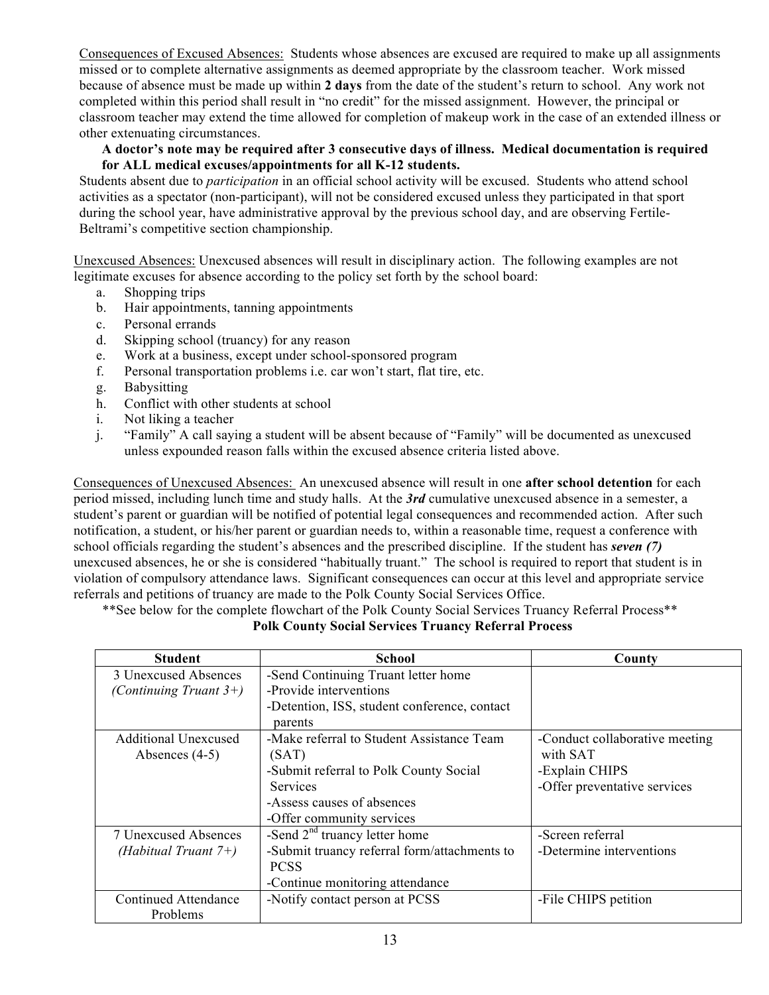Consequences of Excused Absences: Students whose absences are excused are required to make up all assignments missed or to complete alternative assignments as deemed appropriate by the classroom teacher. Work missed because of absence must be made up within **2 days** from the date of the student's return to school. Any work not completed within this period shall result in "no credit" for the missed assignment. However, the principal or classroom teacher may extend the time allowed for completion of makeup work in the case of an extended illness or other extenuating circumstances.

## **A doctor's note may be required after 3 consecutive days of illness. Medical documentation is required for ALL medical excuses/appointments for all K-12 students.**

Students absent due to *participation* in an official school activity will be excused. Students who attend school activities as a spectator (non-participant), will not be considered excused unless they participated in that sport during the school year, have administrative approval by the previous school day, and are observing Fertile-Beltrami's competitive section championship.

Unexcused Absences: Unexcused absences will result in disciplinary action. The following examples are not legitimate excuses for absence according to the policy set forth by the school board:

- a. Shopping trips
- b. Hair appointments, tanning appointments
- c. Personal errands
- d. Skipping school (truancy) for any reason
- e. Work at a business, except under school-sponsored program
- f. Personal transportation problems i.e. car won't start, flat tire, etc.
- g. Babysitting
- h. Conflict with other students at school
- i. Not liking a teacher
- j. "Family" A call saying a student will be absent because of "Family" will be documented as unexcused unless expounded reason falls within the excused absence criteria listed above.

Consequences of Unexcused Absences: An unexcused absence will result in one **after school detention** for each period missed, including lunch time and study halls. At the *3rd* cumulative unexcused absence in a semester, a student's parent or guardian will be notified of potential legal consequences and recommended action. After such notification, a student, or his/her parent or guardian needs to, within a reasonable time, request a conference with school officials regarding the student's absences and the prescribed discipline. If the student has *seven (7)* unexcused absences, he or she is considered "habitually truant." The school is required to report that student is in violation of compulsory attendance laws. Significant consequences can occur at this level and appropriate service referrals and petitions of truancy are made to the Polk County Social Services Office.

\*\*See below for the complete flowchart of the Polk County Social Services Truancy Referral Process\*\*

| <b>Student</b>              | <b>School</b>                                | County                         |
|-----------------------------|----------------------------------------------|--------------------------------|
| 3 Unexcused Absences        | -Send Continuing Truant letter home          |                                |
| (Continuing Truant $3+$ )   | -Provide interventions                       |                                |
|                             | -Detention, ISS, student conference, contact |                                |
|                             | parents                                      |                                |
| <b>Additional Unexcused</b> | -Make referral to Student Assistance Team    | -Conduct collaborative meeting |
| Absences $(4-5)$            | (SAT)                                        | with SAT                       |
|                             | -Submit referral to Polk County Social       | -Explain CHIPS                 |
|                             | <b>Services</b>                              | -Offer preventative services   |
|                             | -Assess causes of absences                   |                                |
|                             | -Offer community services                    |                                |
| 7 Unexcused Absences        | -Send $2nd$ truancy letter home              | -Screen referral               |
| (Habitual Truant $7+)$      | -Submit truancy referral form/attachments to | -Determine interventions       |
|                             | <b>PCSS</b>                                  |                                |
|                             | -Continue monitoring attendance              |                                |
| Continued Attendance        | -Notify contact person at PCSS               | -File CHIPS petition           |
| Problems                    |                                              |                                |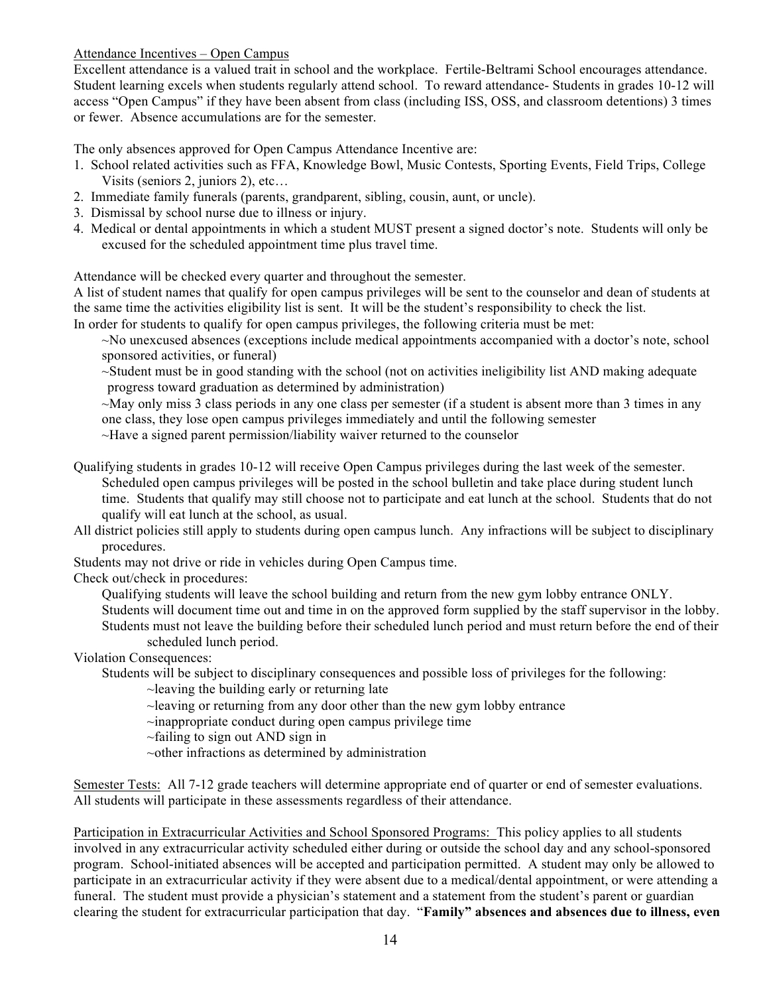Attendance Incentives – Open Campus

Excellent attendance is a valued trait in school and the workplace. Fertile-Beltrami School encourages attendance. Student learning excels when students regularly attend school. To reward attendance- Students in grades 10-12 will access "Open Campus" if they have been absent from class (including ISS, OSS, and classroom detentions) 3 times or fewer. Absence accumulations are for the semester.

The only absences approved for Open Campus Attendance Incentive are:

- 1. School related activities such as FFA, Knowledge Bowl, Music Contests, Sporting Events, Field Trips, College Visits (seniors 2, juniors 2), etc…
- 2. Immediate family funerals (parents, grandparent, sibling, cousin, aunt, or uncle).
- 3. Dismissal by school nurse due to illness or injury.
- 4. Medical or dental appointments in which a student MUST present a signed doctor's note. Students will only be excused for the scheduled appointment time plus travel time.

Attendance will be checked every quarter and throughout the semester.

A list of student names that qualify for open campus privileges will be sent to the counselor and dean of students at the same time the activities eligibility list is sent. It will be the student's responsibility to check the list. In order for students to qualify for open campus privileges, the following criteria must be met:

~No unexcused absences (exceptions include medical appointments accompanied with a doctor's note, school sponsored activities, or funeral)

~Student must be in good standing with the school (not on activities ineligibility list AND making adequate progress toward graduation as determined by administration)

~May only miss 3 class periods in any one class per semester (if a student is absent more than 3 times in any one class, they lose open campus privileges immediately and until the following semester

~Have a signed parent permission/liability waiver returned to the counselor

Qualifying students in grades 10-12 will receive Open Campus privileges during the last week of the semester. Scheduled open campus privileges will be posted in the school bulletin and take place during student lunch time. Students that qualify may still choose not to participate and eat lunch at the school. Students that do not qualify will eat lunch at the school, as usual.

All district policies still apply to students during open campus lunch. Any infractions will be subject to disciplinary procedures.

Students may not drive or ride in vehicles during Open Campus time.

Check out/check in procedures:

Qualifying students will leave the school building and return from the new gym lobby entrance ONLY. Students will document time out and time in on the approved form supplied by the staff supervisor in the lobby. Students must not leave the building before their scheduled lunch period and must return before the end of their scheduled lunch period.

Violation Consequences:

Students will be subject to disciplinary consequences and possible loss of privileges for the following:

 $\sim$ leaving the building early or returning late

 $\sim$ leaving or returning from any door other than the new gym lobby entrance

~inappropriate conduct during open campus privilege time

 $\sim$ failing to sign out AND sign in

~other infractions as determined by administration

Semester Tests:All 7-12 grade teachers will determine appropriate end of quarter or end of semester evaluations. All students will participate in these assessments regardless of their attendance.

Participation in Extracurricular Activities and School Sponsored Programs: This policy applies to all students involved in any extracurricular activity scheduled either during or outside the school day and any school-sponsored program. School-initiated absences will be accepted and participation permitted. A student may only be allowed to participate in an extracurricular activity if they were absent due to a medical/dental appointment, or were attending a funeral. The student must provide a physician's statement and a statement from the student's parent or guardian clearing the student for extracurricular participation that day. "**Family" absences and absences due to illness, even**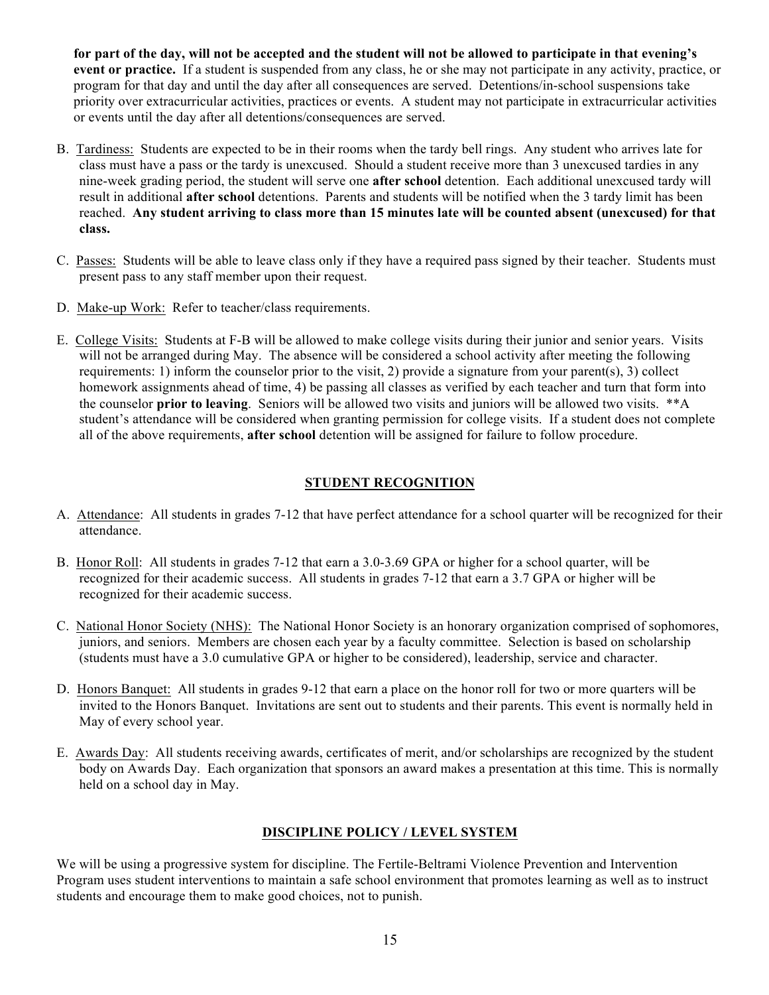**for part of the day, will not be accepted and the student will not be allowed to participate in that evening's event or practice.** If a student is suspended from any class, he or she may not participate in any activity, practice, or program for that day and until the day after all consequences are served. Detentions/in-school suspensions take priority over extracurricular activities, practices or events. A student may not participate in extracurricular activities or events until the day after all detentions/consequences are served.

- B. Tardiness: Students are expected to be in their rooms when the tardy bell rings. Any student who arrives late for class must have a pass or the tardy is unexcused. Should a student receive more than 3 unexcused tardies in any nine-week grading period, the student will serve one **after school** detention. Each additional unexcused tardy will result in additional **after school** detentions. Parents and students will be notified when the 3 tardy limit has been reached. **Any student arriving to class more than 15 minutes late will be counted absent (unexcused) for that class.**
- C. Passes: Students will be able to leave class only if they have a required pass signed by their teacher. Students must present pass to any staff member upon their request.
- D. Make-up Work: Refer to teacher/class requirements.
- E. College Visits: Students at F-B will be allowed to make college visits during their junior and senior years. Visits will not be arranged during May. The absence will be considered a school activity after meeting the following requirements: 1) inform the counselor prior to the visit, 2) provide a signature from your parent(s), 3) collect homework assignments ahead of time, 4) be passing all classes as verified by each teacher and turn that form into the counselor **prior to leaving**. Seniors will be allowed two visits and juniors will be allowed two visits. \*\*A student's attendance will be considered when granting permission for college visits. If a student does not complete all of the above requirements, **after school** detention will be assigned for failure to follow procedure.

# **STUDENT RECOGNITION**

- A. Attendance: All students in grades 7-12 that have perfect attendance for a school quarter will be recognized for their attendance.
- B. Honor Roll: All students in grades 7-12 that earn a 3.0-3.69 GPA or higher for a school quarter, will be recognized for their academic success. All students in grades 7-12 that earn a 3.7 GPA or higher will be recognized for their academic success.
- C. National Honor Society (NHS): The National Honor Society is an honorary organization comprised of sophomores, juniors, and seniors. Members are chosen each year by a faculty committee. Selection is based on scholarship (students must have a 3.0 cumulative GPA or higher to be considered), leadership, service and character.
- D. Honors Banquet: All students in grades 9-12 that earn a place on the honor roll for two or more quarters will be invited to the Honors Banquet. Invitations are sent out to students and their parents. This event is normally held in May of every school year.
- E. Awards Day: All students receiving awards, certificates of merit, and/or scholarships are recognized by the student body on Awards Day. Each organization that sponsors an award makes a presentation at this time. This is normally held on a school day in May.

# **DISCIPLINE POLICY / LEVEL SYSTEM**

We will be using a progressive system for discipline. The Fertile-Beltrami Violence Prevention and Intervention Program uses student interventions to maintain a safe school environment that promotes learning as well as to instruct students and encourage them to make good choices, not to punish.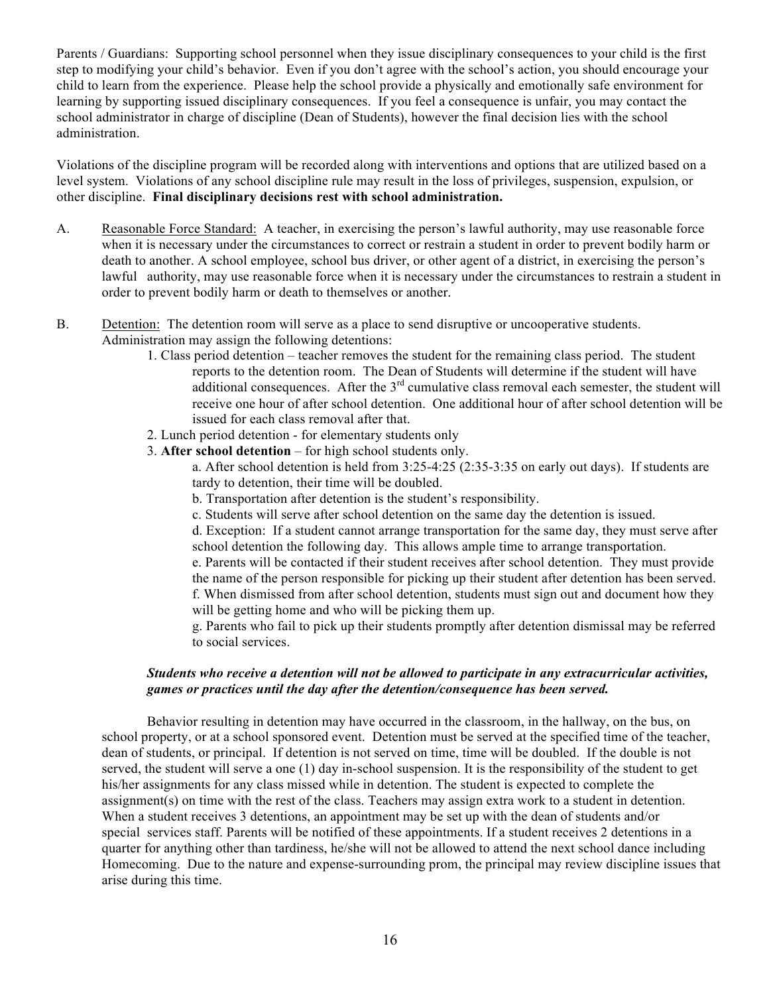Parents / Guardians: Supporting school personnel when they issue disciplinary consequences to your child is the first step to modifying your child's behavior. Even if you don't agree with the school's action, you should encourage your child to learn from the experience. Please help the school provide a physically and emotionally safe environment for learning by supporting issued disciplinary consequences. If you feel a consequence is unfair, you may contact the school administrator in charge of discipline (Dean of Students), however the final decision lies with the school administration.

Violations of the discipline program will be recorded along with interventions and options that are utilized based on a level system. Violations of any school discipline rule may result in the loss of privileges, suspension, expulsion, or other discipline. **Final disciplinary decisions rest with school administration.**

- A. Reasonable Force Standard: A teacher, in exercising the person's lawful authority, may use reasonable force when it is necessary under the circumstances to correct or restrain a student in order to prevent bodily harm or death to another. A school employee, school bus driver, or other agent of a district, in exercising the person's lawful authority, may use reasonable force when it is necessary under the circumstances to restrain a student in order to prevent bodily harm or death to themselves or another.
- B. Detention: The detention room will serve as a place to send disruptive or uncooperative students. Administration may assign the following detentions:
	- 1. Class period detention teacher removes the student for the remaining class period. The student reports to the detention room. The Dean of Students will determine if the student will have additional consequences. After the  $3<sup>rd</sup>$  cumulative class removal each semester, the student will receive one hour of after school detention. One additional hour of after school detention will be issued for each class removal after that.
	- 2. Lunch period detention for elementary students only
	- 3. **After school detention** for high school students only.
		- a. After school detention is held from 3:25-4:25 (2:35-3:35 on early out days). If students are tardy to detention, their time will be doubled.
		- b. Transportation after detention is the student's responsibility.
		- c. Students will serve after school detention on the same day the detention is issued.

d. Exception: If a student cannot arrange transportation for the same day, they must serve after school detention the following day. This allows ample time to arrange transportation.

e. Parents will be contacted if their student receives after school detention. They must provide the name of the person responsible for picking up their student after detention has been served. f. When dismissed from after school detention, students must sign out and document how they will be getting home and who will be picking them up.

g. Parents who fail to pick up their students promptly after detention dismissal may be referred to social services.

#### *Students who receive a detention will not be allowed to participate in any extracurricular activities, games or practices until the day after the detention/consequence has been served.*

Behavior resulting in detention may have occurred in the classroom, in the hallway, on the bus, on school property, or at a school sponsored event. Detention must be served at the specified time of the teacher, dean of students, or principal. If detention is not served on time, time will be doubled. If the double is not served, the student will serve a one (1) day in-school suspension. It is the responsibility of the student to get his/her assignments for any class missed while in detention. The student is expected to complete the assignment(s) on time with the rest of the class. Teachers may assign extra work to a student in detention. When a student receives 3 detentions, an appointment may be set up with the dean of students and/or special services staff. Parents will be notified of these appointments. If a student receives 2 detentions in a quarter for anything other than tardiness, he/she will not be allowed to attend the next school dance including Homecoming. Due to the nature and expense-surrounding prom, the principal may review discipline issues that arise during this time.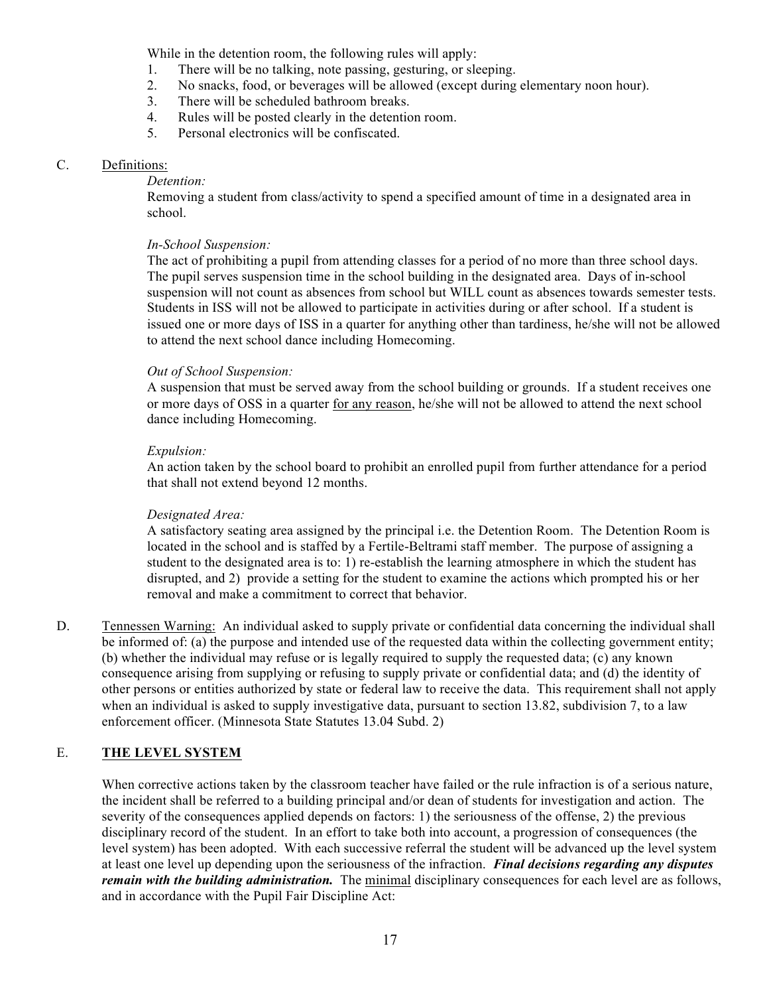While in the detention room, the following rules will apply:

- 1. There will be no talking, note passing, gesturing, or sleeping.
- 2. No snacks, food, or beverages will be allowed (except during elementary noon hour).
- 3. There will be scheduled bathroom breaks.
- 4. Rules will be posted clearly in the detention room.
- 5. Personal electronics will be confiscated.

## C. Definitions:

#### *Detention:*

Removing a student from class/activity to spend a specified amount of time in a designated area in school.

## *In-School Suspension:*

The act of prohibiting a pupil from attending classes for a period of no more than three school days. The pupil serves suspension time in the school building in the designated area. Days of in-school suspension will not count as absences from school but WILL count as absences towards semester tests. Students in ISS will not be allowed to participate in activities during or after school. If a student is issued one or more days of ISS in a quarter for anything other than tardiness, he/she will not be allowed to attend the next school dance including Homecoming.

## *Out of School Suspension:*

A suspension that must be served away from the school building or grounds. If a student receives one or more days of OSS in a quarter for any reason, he/she will not be allowed to attend the next school dance including Homecoming.

## *Expulsion:*

An action taken by the school board to prohibit an enrolled pupil from further attendance for a period that shall not extend beyond 12 months.

# *Designated Area:*

A satisfactory seating area assigned by the principal i.e. the Detention Room. The Detention Room is located in the school and is staffed by a Fertile-Beltrami staff member. The purpose of assigning a student to the designated area is to: 1) re-establish the learning atmosphere in which the student has disrupted, and 2) provide a setting for the student to examine the actions which prompted his or her removal and make a commitment to correct that behavior.

D. Tennessen Warning: An individual asked to supply private or confidential data concerning the individual shall be informed of: (a) the purpose and intended use of the requested data within the collecting government entity; (b) whether the individual may refuse or is legally required to supply the requested data; (c) any known consequence arising from supplying or refusing to supply private or confidential data; and (d) the identity of other persons or entities authorized by state or federal law to receive the data. This requirement shall not apply when an individual is asked to supply investigative data, pursuant to section 13.82, subdivision 7, to a law enforcement officer. (Minnesota State Statutes 13.04 Subd. 2)

# E. **THE LEVEL SYSTEM**

When corrective actions taken by the classroom teacher have failed or the rule infraction is of a serious nature, the incident shall be referred to a building principal and/or dean of students for investigation and action. The severity of the consequences applied depends on factors: 1) the seriousness of the offense, 2) the previous disciplinary record of the student. In an effort to take both into account, a progression of consequences (the level system) has been adopted. With each successive referral the student will be advanced up the level system at least one level up depending upon the seriousness of the infraction. *Final decisions regarding any disputes remain with the building administration.* The minimal disciplinary consequences for each level are as follows, and in accordance with the Pupil Fair Discipline Act: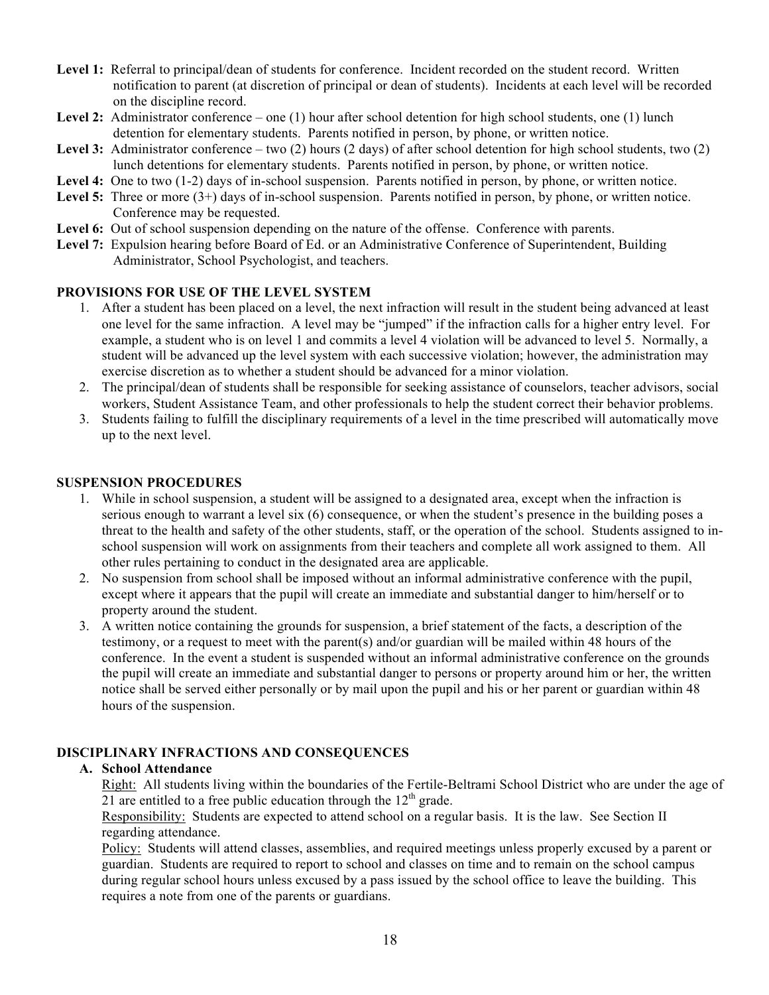- Level 1: Referral to principal/dean of students for conference. Incident recorded on the student record. Written notification to parent (at discretion of principal or dean of students). Incidents at each level will be recorded on the discipline record.
- Level 2: Administrator conference one (1) hour after school detention for high school students, one (1) lunch detention for elementary students. Parents notified in person, by phone, or written notice.
- **Level 3:** Administrator conference two (2) hours (2 days) of after school detention for high school students, two (2) lunch detentions for elementary students. Parents notified in person, by phone, or written notice.
- Level 4: One to two  $(1-2)$  days of in-school suspension. Parents notified in person, by phone, or written notice.
- Level 5: Three or more  $(3+)$  days of in-school suspension. Parents notified in person, by phone, or written notice. Conference may be requested.
- Level 6: Out of school suspension depending on the nature of the offense. Conference with parents.
- **Level 7:** Expulsion hearing before Board of Ed. or an Administrative Conference of Superintendent, Building Administrator, School Psychologist, and teachers.

## **PROVISIONS FOR USE OF THE LEVEL SYSTEM**

- 1. After a student has been placed on a level, the next infraction will result in the student being advanced at least one level for the same infraction. A level may be "jumped" if the infraction calls for a higher entry level. For example, a student who is on level 1 and commits a level 4 violation will be advanced to level 5. Normally, a student will be advanced up the level system with each successive violation; however, the administration may exercise discretion as to whether a student should be advanced for a minor violation.
- 2. The principal/dean of students shall be responsible for seeking assistance of counselors, teacher advisors, social workers, Student Assistance Team, and other professionals to help the student correct their behavior problems.
- 3. Students failing to fulfill the disciplinary requirements of a level in the time prescribed will automatically move up to the next level.

#### **SUSPENSION PROCEDURES**

- 1. While in school suspension, a student will be assigned to a designated area, except when the infraction is serious enough to warrant a level six (6) consequence, or when the student's presence in the building poses a threat to the health and safety of the other students, staff, or the operation of the school. Students assigned to inschool suspension will work on assignments from their teachers and complete all work assigned to them. All other rules pertaining to conduct in the designated area are applicable.
- 2. No suspension from school shall be imposed without an informal administrative conference with the pupil, except where it appears that the pupil will create an immediate and substantial danger to him/herself or to property around the student.
- 3. A written notice containing the grounds for suspension, a brief statement of the facts, a description of the testimony, or a request to meet with the parent(s) and/or guardian will be mailed within 48 hours of the conference. In the event a student is suspended without an informal administrative conference on the grounds the pupil will create an immediate and substantial danger to persons or property around him or her, the written notice shall be served either personally or by mail upon the pupil and his or her parent or guardian within 48 hours of the suspension.

## **DISCIPLINARY INFRACTIONS AND CONSEQUENCES**

## **A. School Attendance**

Right: All students living within the boundaries of the Fertile-Beltrami School District who are under the age of 21 are entitled to a free public education through the  $12<sup>th</sup>$  grade.

Responsibility: Students are expected to attend school on a regular basis. It is the law. See Section II regarding attendance.

Policy: Students will attend classes, assemblies, and required meetings unless properly excused by a parent or guardian. Students are required to report to school and classes on time and to remain on the school campus during regular school hours unless excused by a pass issued by the school office to leave the building. This requires a note from one of the parents or guardians.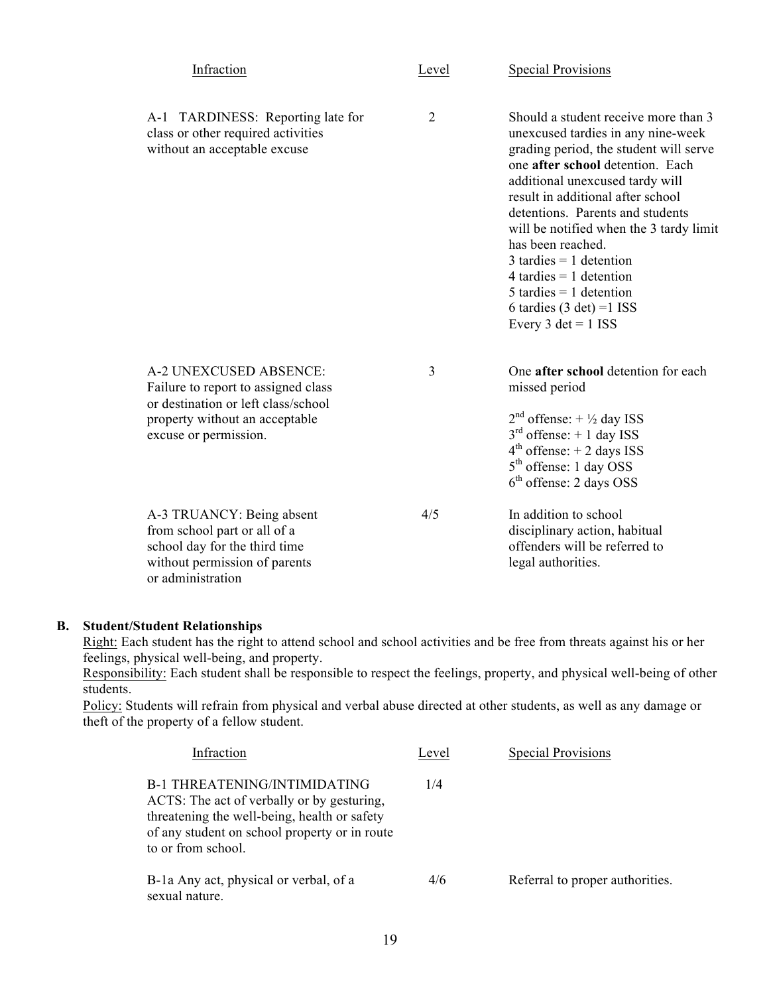| Infraction                                                                                                                                                      | Level          | <b>Special Provisions</b>                                                                                                                                                                                                                                                                                                                                                                                                                                                           |
|-----------------------------------------------------------------------------------------------------------------------------------------------------------------|----------------|-------------------------------------------------------------------------------------------------------------------------------------------------------------------------------------------------------------------------------------------------------------------------------------------------------------------------------------------------------------------------------------------------------------------------------------------------------------------------------------|
| A-1 TARDINESS: Reporting late for<br>class or other required activities<br>without an acceptable excuse                                                         | $\overline{2}$ | Should a student receive more than 3<br>unexcused tardies in any nine-week<br>grading period, the student will serve<br>one after school detention. Each<br>additional unexcused tardy will<br>result in additional after school<br>detentions. Parents and students<br>will be notified when the 3 tardy limit<br>has been reached.<br>$3$ tardies = 1 detention<br>4 tardies $= 1$ detention<br>$5$ tardies = 1 detention<br>6 tardies $(3 det) = 1$ ISS<br>Every 3 det = $1$ ISS |
| A-2 UNEXCUSED ABSENCE:<br>Failure to report to assigned class<br>or destination or left class/school<br>property without an acceptable<br>excuse or permission. | 3              | One after school detention for each<br>missed period<br>$2nd$ offense: + $\frac{1}{2}$ day ISS<br>$3rd$ offense: + 1 day ISS<br>$4th$ offense: $+ 2$ days ISS<br>5 <sup>th</sup> offense: 1 day OSS<br>$6th$ offense: 2 days OSS                                                                                                                                                                                                                                                    |
| A-3 TRUANCY: Being absent<br>from school part or all of a<br>school day for the third time<br>without permission of parents<br>or administration                | 4/5            | In addition to school<br>disciplinary action, habitual<br>offenders will be referred to<br>legal authorities.                                                                                                                                                                                                                                                                                                                                                                       |

## **B. Student/Student Relationships**

Right: Each student has the right to attend school and school activities and be free from threats against his or her feelings, physical well-being, and property.

Responsibility: Each student shall be responsible to respect the feelings, property, and physical well-being of other students.

Policy: Students will refrain from physical and verbal abuse directed at other students, as well as any damage or theft of the property of a fellow student.

| Infraction                                                                                                                                                                                        | Level | <b>Special Provisions</b>       |
|---------------------------------------------------------------------------------------------------------------------------------------------------------------------------------------------------|-------|---------------------------------|
| B-1 THREATENING/INTIMIDATING<br>ACTS: The act of verbally or by gesturing,<br>threatening the well-being, health or safety<br>of any student on school property or in route<br>to or from school. | 1/4   |                                 |
| B-1a Any act, physical or verbal, of a<br>sexual nature.                                                                                                                                          | 4/6   | Referral to proper authorities. |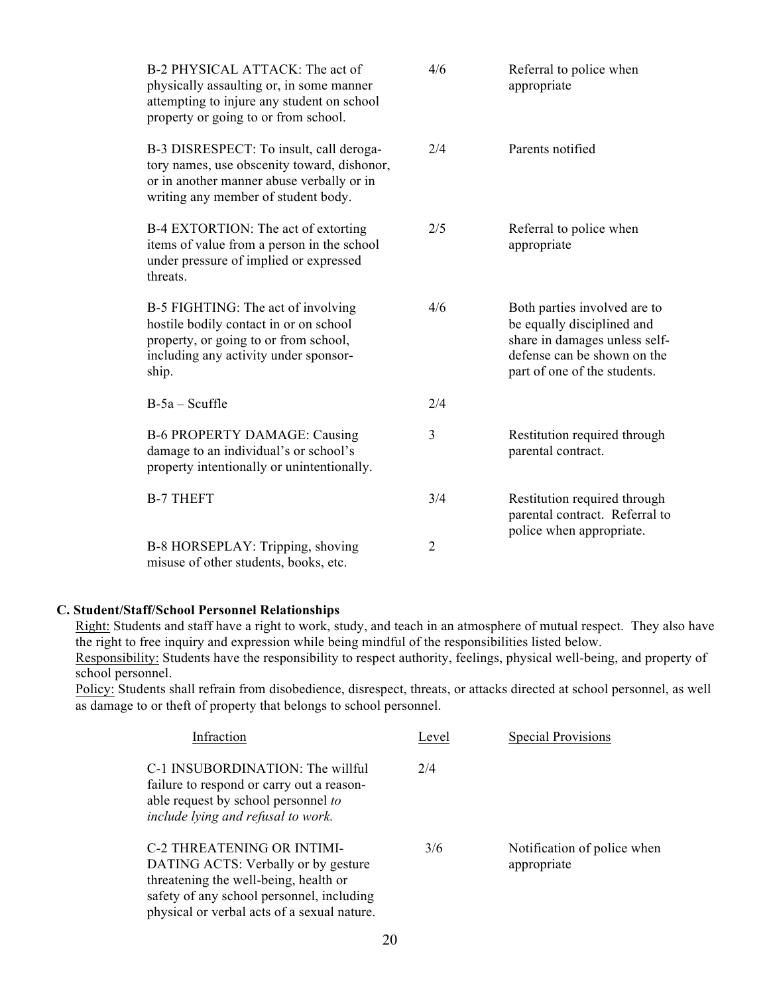| B-2 PHYSICAL ATTACK: The act of<br>physically assaulting or, in some manner<br>attempting to injure any student on school<br>property or going to or from school.          | 4/6            | Referral to police when<br>appropriate                                                                                                                     |
|----------------------------------------------------------------------------------------------------------------------------------------------------------------------------|----------------|------------------------------------------------------------------------------------------------------------------------------------------------------------|
| B-3 DISRESPECT: To insult, call deroga-<br>tory names, use obscenity toward, dishonor,<br>or in another manner abuse verbally or in<br>writing any member of student body. | 2/4            | Parents notified                                                                                                                                           |
| B-4 EXTORTION: The act of extorting<br>items of value from a person in the school<br>under pressure of implied or expressed<br>threats.                                    | 2/5            | Referral to police when<br>appropriate                                                                                                                     |
| B-5 FIGHTING: The act of involving<br>hostile bodily contact in or on school<br>property, or going to or from school,<br>including any activity under sponsor-<br>ship.    | 4/6            | Both parties involved are to<br>be equally disciplined and<br>share in damages unless self-<br>defense can be shown on the<br>part of one of the students. |
| $B-5a - Scuffle$                                                                                                                                                           | 2/4            |                                                                                                                                                            |
| <b>B-6 PROPERTY DAMAGE: Causing</b><br>damage to an individual's or school's<br>property intentionally or unintentionally.                                                 | 3              | Restitution required through<br>parental contract.                                                                                                         |
| <b>B-7 THEFT</b>                                                                                                                                                           | 3/4            | Restitution required through<br>parental contract. Referral to<br>police when appropriate.                                                                 |
| B-8 HORSEPLAY: Tripping, shoving<br>misuse of other students, books, etc.                                                                                                  | $\overline{2}$ |                                                                                                                                                            |

#### **C. Student/Staff/School Personnel Relationships**

Right: Students and staff have a right to work, study, and teach in an atmosphere of mutual respect. They also have the right to free inquiry and expression while being mindful of the responsibilities listed below.

Responsibility: Students have the responsibility to respect authority, feelings, physical well-being, and property of school personnel.

Policy: Students shall refrain from disobedience, disrespect, threats, or attacks directed at school personnel, as well as damage to or theft of property that belongs to school personnel.

| Infraction                                                                                                                                                                                                    | Level | <b>Special Provisions</b>                  |
|---------------------------------------------------------------------------------------------------------------------------------------------------------------------------------------------------------------|-------|--------------------------------------------|
| C-1 INSUBORDINATION: The willful<br>failure to respond or carry out a reason-<br>able request by school personnel to<br>include lying and refusal to work.                                                    | 2/4   |                                            |
| <b>C-2 THREATENING OR INTIMI-</b><br>DATING ACTS: Verbally or by gesture<br>threatening the well-being, health or<br>safety of any school personnel, including<br>physical or verbal acts of a sexual nature. | 3/6   | Notification of police when<br>appropriate |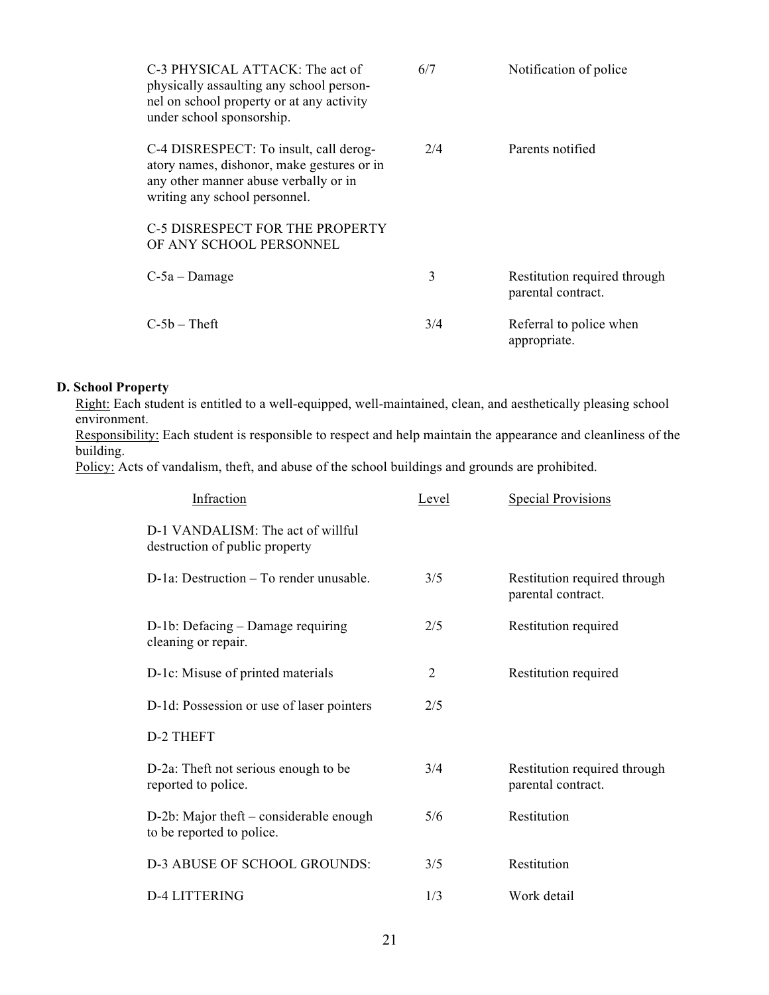| C-3 PHYSICAL ATTACK: The act of<br>physically assaulting any school person-<br>nel on school property or at any activity<br>under school sponsorship.          | 6/7 | Notification of police                             |
|----------------------------------------------------------------------------------------------------------------------------------------------------------------|-----|----------------------------------------------------|
| C-4 DISRESPECT: To insult, call derog-<br>atory names, dishonor, make gestures or in<br>any other manner abuse verbally or in<br>writing any school personnel. | 2/4 | Parents notified                                   |
| C-5 DISRESPECT FOR THE PROPERTY<br>OF ANY SCHOOL PERSONNEL                                                                                                     |     |                                                    |
| $C-5a$ – Damage                                                                                                                                                | 3   | Restitution required through<br>parental contract. |
| $C-5b$ – Theft                                                                                                                                                 | 3/4 | Referral to police when<br>appropriate.            |

## **D. School Property**

Right: Each student is entitled to a well-equipped, well-maintained, clean, and aesthetically pleasing school environment.

Responsibility: Each student is responsible to respect and help maintain the appearance and cleanliness of the building.

Policy: Acts of vandalism, theft, and abuse of the school buildings and grounds are prohibited.

| Infraction                                                            | Level | <b>Special Provisions</b>                          |
|-----------------------------------------------------------------------|-------|----------------------------------------------------|
| $D-1$ VANDALISM: The act of willful<br>destruction of public property |       |                                                    |
| D-1a: Destruction – To render unusable.                               | 3/5   | Restitution required through<br>parental contract. |
| D-1b: Defacing – Damage requiring<br>cleaning or repair.              | 2/5   | Restitution required                               |
| D-1c: Misuse of printed materials                                     | 2     | Restitution required                               |
| D-1d: Possession or use of laser pointers                             | 2/5   |                                                    |
| D-2 THEFT                                                             |       |                                                    |
| D-2a: Theft not serious enough to be<br>reported to police.           | 3/4   | Restitution required through<br>parental contract. |
| D-2b: Major theft – considerable enough<br>to be reported to police.  | 5/6   | Restitution                                        |
| D-3 ABUSE OF SCHOOL GROUNDS:                                          | 3/5   | Restitution                                        |
| D-4 LITTERING                                                         | 1/3   | Work detail                                        |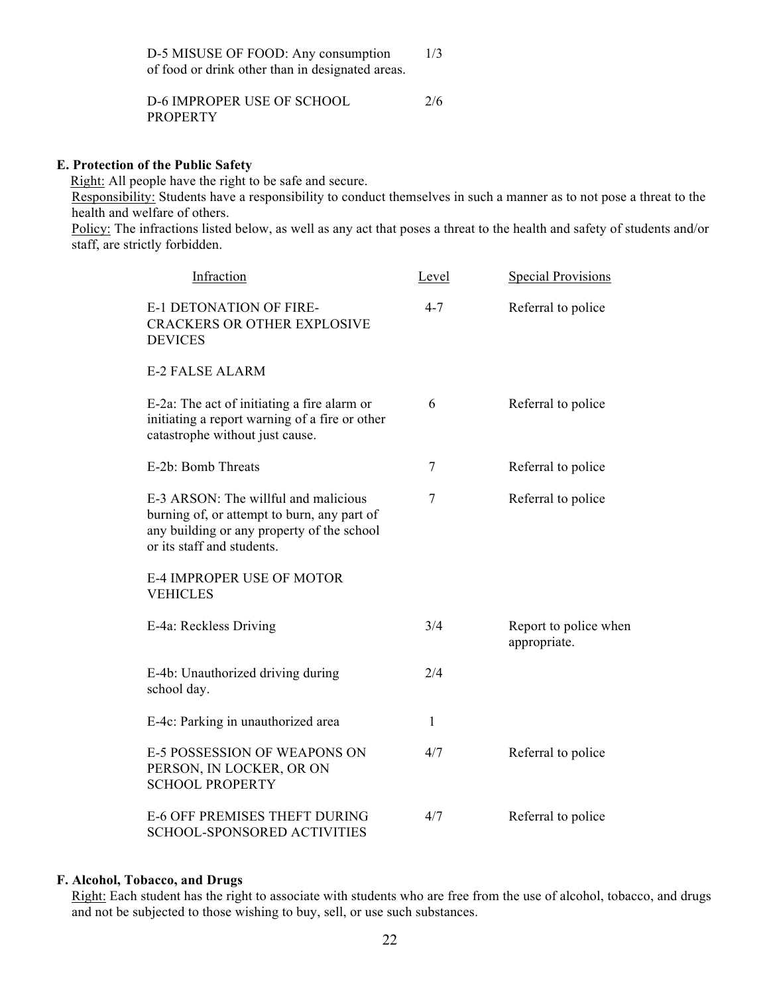D-5 MISUSE OF FOOD: Any consumption 1/3 of food or drink other than in designated areas.

D-6 IMPROPER USE OF SCHOOL 2/6 **PROPERTY** 

#### **E. Protection of the Public Safety**

Right: All people have the right to be safe and secure.

Responsibility: Students have a responsibility to conduct themselves in such a manner as to not pose a threat to the health and welfare of others.

Policy: The infractions listed below, as well as any act that poses a threat to the health and safety of students and/or staff, are strictly forbidden.

| Infraction                                                                                                                                                      | <u>Level</u>   | <b>Special Provisions</b>             |
|-----------------------------------------------------------------------------------------------------------------------------------------------------------------|----------------|---------------------------------------|
| <b>E-1 DETONATION OF FIRE-</b><br><b>CRACKERS OR OTHER EXPLOSIVE</b><br><b>DEVICES</b>                                                                          | $4 - 7$        | Referral to police                    |
| <b>E-2 FALSE ALARM</b>                                                                                                                                          |                |                                       |
| E-2a: The act of initiating a fire alarm or<br>initiating a report warning of a fire or other<br>catastrophe without just cause.                                | 6              | Referral to police                    |
| E-2b: Bomb Threats                                                                                                                                              | $\overline{7}$ | Referral to police                    |
| E-3 ARSON: The willful and malicious<br>burning of, or attempt to burn, any part of<br>any building or any property of the school<br>or its staff and students. | $\overline{7}$ | Referral to police                    |
| <b>E-4 IMPROPER USE OF MOTOR</b><br><b>VEHICLES</b>                                                                                                             |                |                                       |
| E-4a: Reckless Driving                                                                                                                                          | 3/4            | Report to police when<br>appropriate. |
| E-4b: Unauthorized driving during<br>school day.                                                                                                                | 2/4            |                                       |
| E-4c: Parking in unauthorized area                                                                                                                              | $\mathbf{1}$   |                                       |
| <b>E-5 POSSESSION OF WEAPONS ON</b><br>PERSON, IN LOCKER, OR ON<br><b>SCHOOL PROPERTY</b>                                                                       | 4/7            | Referral to police                    |
| <b>E-6 OFF PREMISES THEFT DURING</b><br>SCHOOL-SPONSORED ACTIVITIES                                                                                             | 4/7            | Referral to police                    |

#### **F. Alcohol, Tobacco, and Drugs**

Right: Each student has the right to associate with students who are free from the use of alcohol, tobacco, and drugs and not be subjected to those wishing to buy, sell, or use such substances.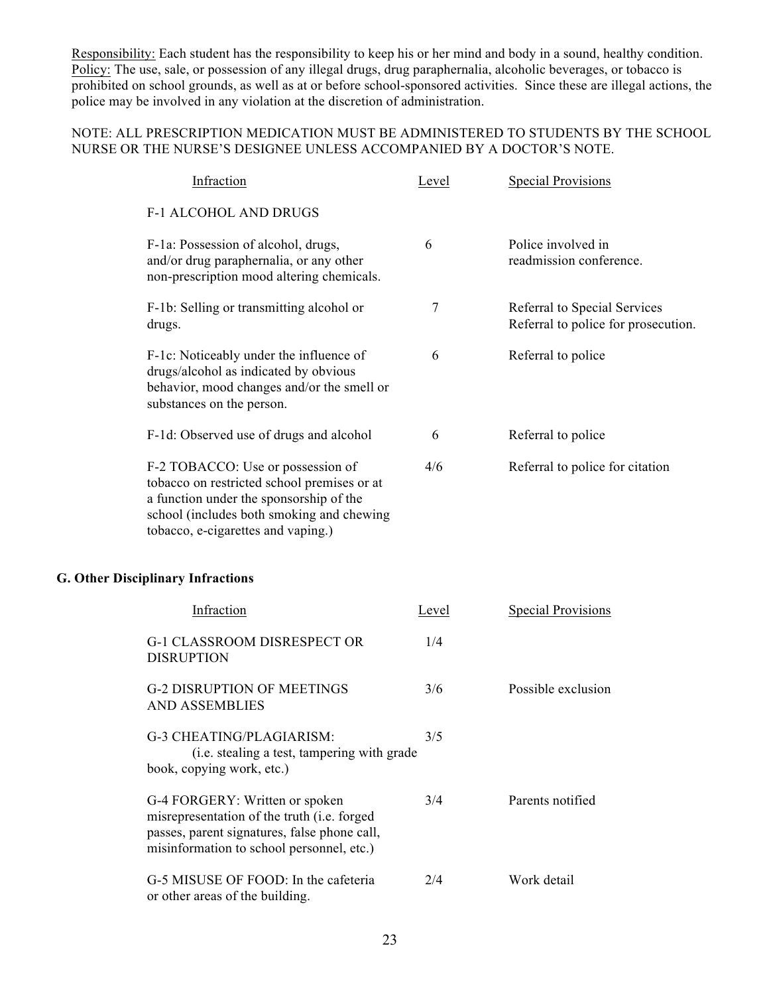Responsibility: Each student has the responsibility to keep his or her mind and body in a sound, healthy condition. Policy: The use, sale, or possession of any illegal drugs, drug paraphernalia, alcoholic beverages, or tobacco is prohibited on school grounds, as well as at or before school-sponsored activities. Since these are illegal actions, the police may be involved in any violation at the discretion of administration.

## NOTE: ALL PRESCRIPTION MEDICATION MUST BE ADMINISTERED TO STUDENTS BY THE SCHOOL NURSE OR THE NURSE'S DESIGNEE UNLESS ACCOMPANIED BY A DOCTOR'S NOTE.

| Infraction                                                                                                                                                                                                     | Level | <b>Special Provisions</b>                                           |
|----------------------------------------------------------------------------------------------------------------------------------------------------------------------------------------------------------------|-------|---------------------------------------------------------------------|
| <b>F-1 ALCOHOL AND DRUGS</b>                                                                                                                                                                                   |       |                                                                     |
| F-1a: Possession of alcohol, drugs,<br>and/or drug paraphernalia, or any other<br>non-prescription mood altering chemicals.                                                                                    | 6     | Police involved in<br>readmission conference.                       |
| F-1b: Selling or transmitting alcohol or<br>drugs.                                                                                                                                                             | 7     | Referral to Special Services<br>Referral to police for prosecution. |
| F-1c: Noticeably under the influence of<br>drugs/alcohol as indicated by obvious<br>behavior, mood changes and/or the smell or<br>substances on the person.                                                    | 6     | Referral to police                                                  |
| F-1d: Observed use of drugs and alcohol                                                                                                                                                                        | 6     | Referral to police                                                  |
| F-2 TOBACCO: Use or possession of<br>tobacco on restricted school premises or at<br>a function under the sponsorship of the<br>school (includes both smoking and chewing<br>tobacco, e-cigarettes and vaping.) | 4/6   | Referral to police for citation                                     |
| <b>G. Other Disciplinary Infractions</b>                                                                                                                                                                       |       |                                                                     |
| Infraction                                                                                                                                                                                                     | Level | <b>Special Provisions</b>                                           |
| G-1 CLASSROOM DISRESPECT OR<br><b>DISRUPTION</b>                                                                                                                                                               | 1/4   |                                                                     |
| <b>G-2 DISRUPTION OF MEETINGS</b><br><b>AND ASSEMBLIES</b>                                                                                                                                                     | 3/6   | Possible exclusion                                                  |
| G-3 CHEATING/PLAGIARISM:<br>(i.e. stealing a test, tampering with grade<br>book, copying work, etc.)                                                                                                           | 3/5   |                                                                     |
| G-4 FORGERY: Written or spoken<br>misrepresentation of the truth (i.e. forged<br>passes, parent signatures, false phone call,<br>misinformation to school personnel, etc.)                                     | 3/4   | Parents notified                                                    |
| G-5 MISUSE OF FOOD: In the cafeteria<br>or other areas of the building.                                                                                                                                        | 2/4   | Work detail                                                         |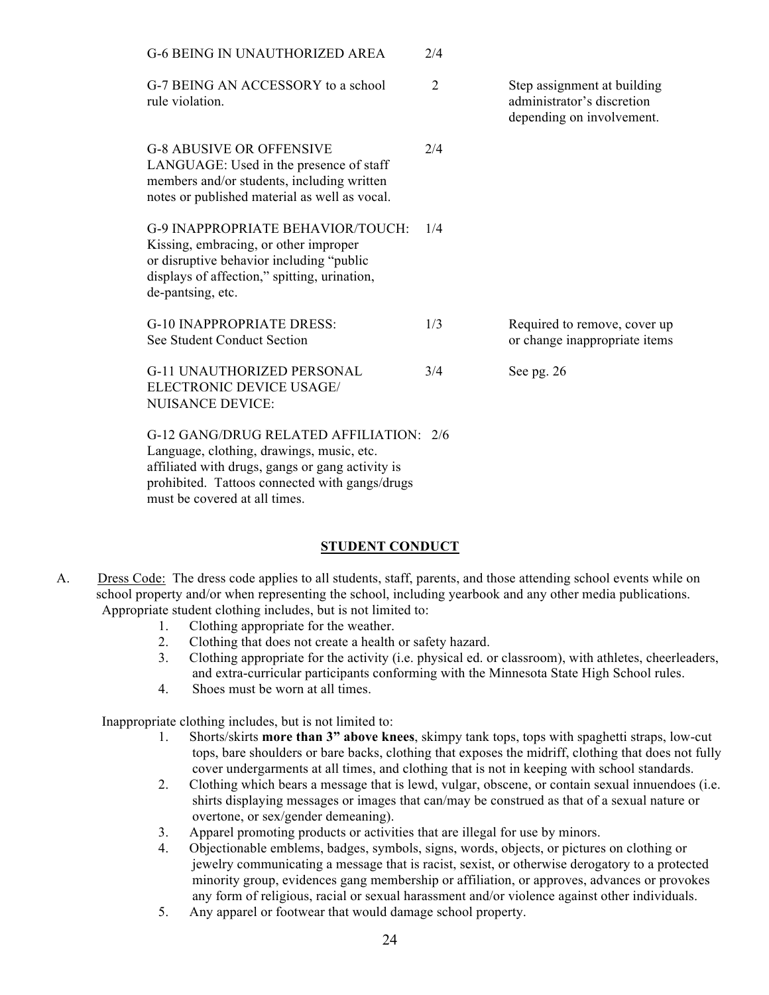| <b>G-6 BEING IN UNAUTHORIZED AREA</b>                                                                                                                                                                                       | 2/4            |                                                                                        |
|-----------------------------------------------------------------------------------------------------------------------------------------------------------------------------------------------------------------------------|----------------|----------------------------------------------------------------------------------------|
| G-7 BEING AN ACCESSORY to a school<br>rule violation.                                                                                                                                                                       | $\overline{2}$ | Step assignment at building<br>administrator's discretion<br>depending on involvement. |
| <b>G-8 ABUSIVE OR OFFENSIVE</b><br>LANGUAGE: Used in the presence of staff<br>members and/or students, including written<br>notes or published material as well as vocal.                                                   | 2/4            |                                                                                        |
| <b>G-9 INAPPROPRIATE BEHAVIOR/TOUCH:</b><br>Kissing, embracing, or other improper<br>or disruptive behavior including "public"<br>displays of affection," spitting, urination,<br>de-pantsing, etc.                         | 1/4            |                                                                                        |
| <b>G-10 INAPPROPRIATE DRESS:</b><br>See Student Conduct Section                                                                                                                                                             | 1/3            | Required to remove, cover up<br>or change inappropriate items                          |
| <b>G-11 UNAUTHORIZED PERSONAL</b><br>ELECTRONIC DEVICE USAGE/<br><b>NUISANCE DEVICE:</b>                                                                                                                                    | 3/4            | See pg. 26                                                                             |
| G-12 GANG/DRUG RELATED AFFILIATION: 2/6<br>Language, clothing, drawings, music, etc.<br>affiliated with drugs, gangs or gang activity is<br>prohibited. Tattoos connected with gangs/drugs<br>must be covered at all times. |                |                                                                                        |

## **STUDENT CONDUCT**

- A. Dress Code: The dress code applies to all students, staff, parents, and those attending school events while on school property and/or when representing the school, including yearbook and any other media publications. Appropriate student clothing includes, but is not limited to:
	- 1. Clothing appropriate for the weather.
	- 2. Clothing that does not create a health or safety hazard.
	- 3. Clothing appropriate for the activity (i.e. physical ed. or classroom), with athletes, cheerleaders, and extra-curricular participants conforming with the Minnesota State High School rules.
	- 4. Shoes must be worn at all times.

Inappropriate clothing includes, but is not limited to:

- 1. Shorts/skirts **more than 3" above knees**, skimpy tank tops, tops with spaghetti straps, low-cut tops, bare shoulders or bare backs, clothing that exposes the midriff, clothing that does not fully cover undergarments at all times, and clothing that is not in keeping with school standards.
- 2. Clothing which bears a message that is lewd, vulgar, obscene, or contain sexual innuendoes (i.e. shirts displaying messages or images that can/may be construed as that of a sexual nature or overtone, or sex/gender demeaning).
- 3. Apparel promoting products or activities that are illegal for use by minors.
- 4. Objectionable emblems, badges, symbols, signs, words, objects, or pictures on clothing or jewelry communicating a message that is racist, sexist, or otherwise derogatory to a protected minority group, evidences gang membership or affiliation, or approves, advances or provokes any form of religious, racial or sexual harassment and/or violence against other individuals.
- 5. Any apparel or footwear that would damage school property.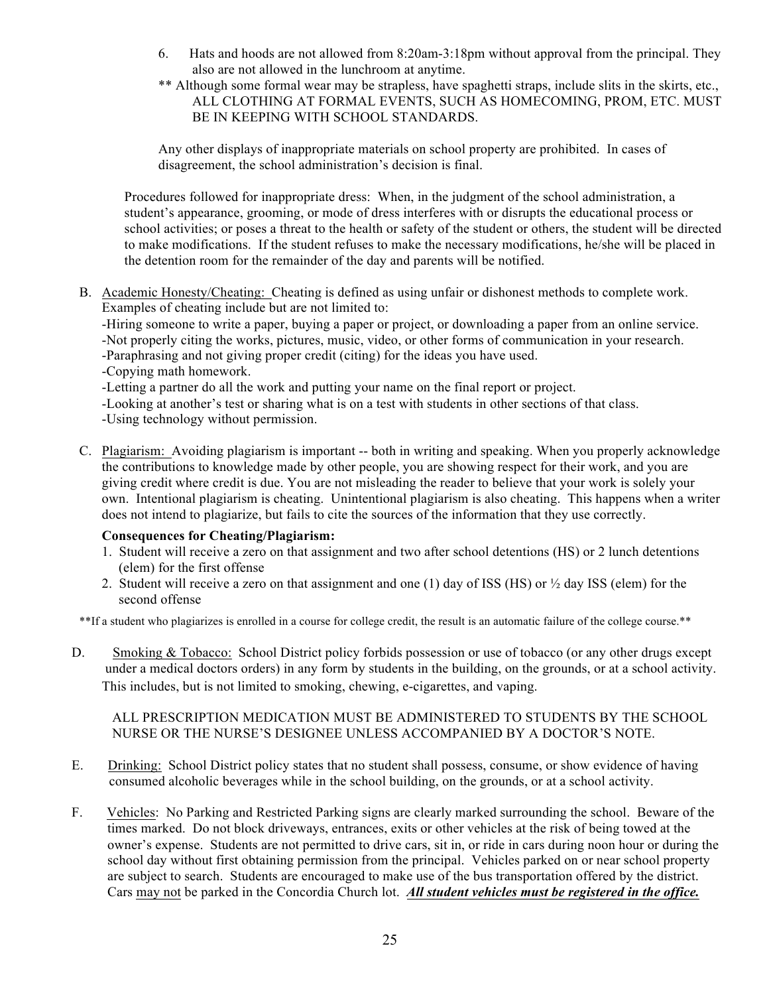- 6. Hats and hoods are not allowed from 8:20am-3:18pm without approval from the principal. They also are not allowed in the lunchroom at anytime.
- \*\* Although some formal wear may be strapless, have spaghetti straps, include slits in the skirts, etc., ALL CLOTHING AT FORMAL EVENTS, SUCH AS HOMECOMING, PROM, ETC. MUST BE IN KEEPING WITH SCHOOL STANDARDS.

Any other displays of inappropriate materials on school property are prohibited. In cases of disagreement, the school administration's decision is final.

Procedures followed for inappropriate dress: When, in the judgment of the school administration, a student's appearance, grooming, or mode of dress interferes with or disrupts the educational process or school activities; or poses a threat to the health or safety of the student or others, the student will be directed to make modifications. If the student refuses to make the necessary modifications, he/she will be placed in the detention room for the remainder of the day and parents will be notified.

B. Academic Honesty/Cheating: Cheating is defined as using unfair or dishonest methods to complete work. Examples of cheating include but are not limited to:

-Hiring someone to write a paper, buying a paper or project, or downloading a paper from an online service. -Not properly citing the works, pictures, music, video, or other forms of communication in your research.

- -Paraphrasing and not giving proper credit (citing) for the ideas you have used.
- -Copying math homework.

-Letting a partner do all the work and putting your name on the final report or project.

-Looking at another's test or sharing what is on a test with students in other sections of that class. -Using technology without permission.

C. Plagiarism: Avoiding plagiarism is important -- both in writing and speaking. When you properly acknowledge the contributions to knowledge made by other people, you are showing respect for their work, and you are giving credit where credit is due. You are not misleading the reader to believe that your work is solely your own. Intentional plagiarism is cheating. Unintentional plagiarism is also cheating. This happens when a writer does not intend to plagiarize, but fails to cite the sources of the information that they use correctly.

# **Consequences for Cheating/Plagiarism:**

- 1. Student will receive a zero on that assignment and two after school detentions (HS) or 2 lunch detentions (elem) for the first offense
- 2. Student will receive a zero on that assignment and one (1) day of ISS (HS) or  $\frac{1}{2}$  day ISS (elem) for the second offense

\*\*If a student who plagiarizes is enrolled in a course for college credit, the result is an automatic failure of the college course.\*\*

D. Smoking & Tobacco: School District policy forbids possession or use of tobacco (or any other drugs except under a medical doctors orders) in any form by students in the building, on the grounds, or at a school activity. This includes, but is not limited to smoking, chewing, e-cigarettes, and vaping.

## ALL PRESCRIPTION MEDICATION MUST BE ADMINISTERED TO STUDENTS BY THE SCHOOL NURSE OR THE NURSE'S DESIGNEE UNLESS ACCOMPANIED BY A DOCTOR'S NOTE.

- E. Drinking: School District policy states that no student shall possess, consume, or show evidence of having consumed alcoholic beverages while in the school building, on the grounds, or at a school activity.
- F. Vehicles: No Parking and Restricted Parking signs are clearly marked surrounding the school. Beware of the times marked. Do not block driveways, entrances, exits or other vehicles at the risk of being towed at the owner's expense. Students are not permitted to drive cars, sit in, or ride in cars during noon hour or during the school day without first obtaining permission from the principal. Vehicles parked on or near school property are subject to search. Students are encouraged to make use of the bus transportation offered by the district. Cars may not be parked in the Concordia Church lot. *All student vehicles must be registered in the office.*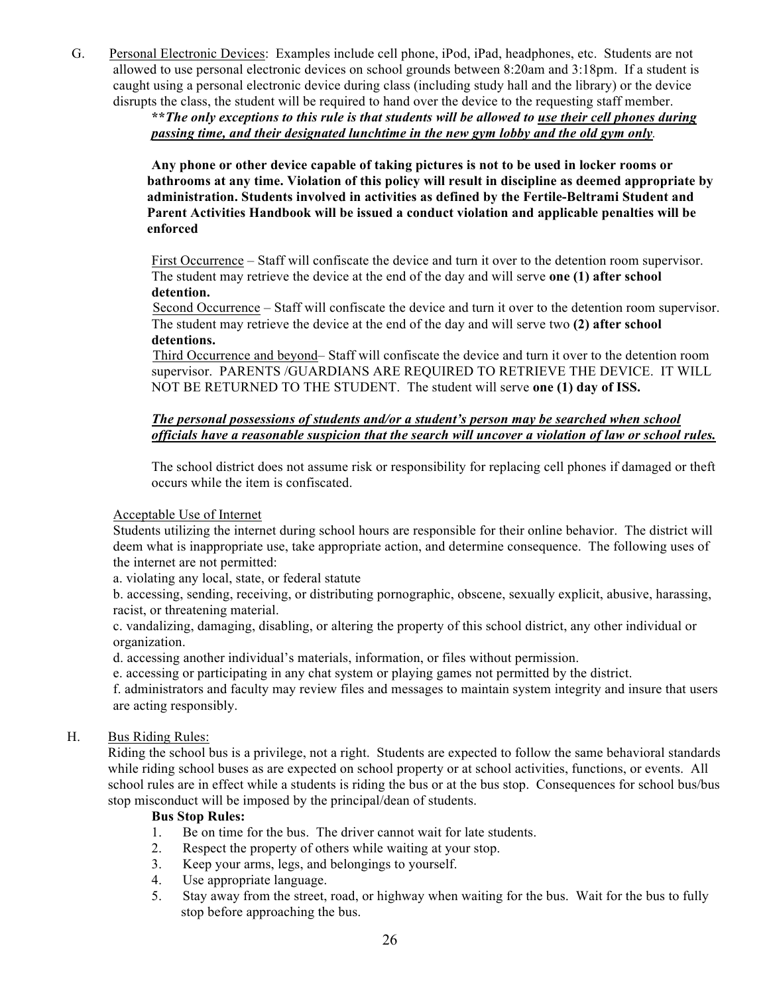G. Personal Electronic Devices: Examples include cell phone, iPod, iPad, headphones, etc. Students are not allowed to use personal electronic devices on school grounds between 8:20am and 3:18pm. If a student is caught using a personal electronic device during class (including study hall and the library) or the device disrupts the class, the student will be required to hand over the device to the requesting staff member.

> **\*\****The only exceptions to this rule is that students will be allowed to use their cell phones during passing time, and their designated lunchtime in the new gym lobby and the old gym only.*

**Any phone or other device capable of taking pictures is not to be used in locker rooms or bathrooms at any time. Violation of this policy will result in discipline as deemed appropriate by administration. Students involved in activities as defined by the Fertile-Beltrami Student and Parent Activities Handbook will be issued a conduct violation and applicable penalties will be enforced**

First Occurrence – Staff will confiscate the device and turn it over to the detention room supervisor. The student may retrieve the device at the end of the day and will serve **one (1) after school detention.**

Second Occurrence – Staff will confiscate the device and turn it over to the detention room supervisor. The student may retrieve the device at the end of the day and will serve two **(2) after school detentions.**

Third Occurrence and beyond– Staff will confiscate the device and turn it over to the detention room supervisor. PARENTS /GUARDIANS ARE REQUIRED TO RETRIEVE THE DEVICE. IT WILL NOT BE RETURNED TO THE STUDENT. The student will serve **one (1) day of ISS.**

## *The personal possessions of students and/or a student's person may be searched when school officials have a reasonable suspicion that the search will uncover a violation of law or school rules.*

The school district does not assume risk or responsibility for replacing cell phones if damaged or theft occurs while the item is confiscated.

## Acceptable Use of Internet

Students utilizing the internet during school hours are responsible for their online behavior. The district will deem what is inappropriate use, take appropriate action, and determine consequence. The following uses of the internet are not permitted:

a. violating any local, state, or federal statute

b. accessing, sending, receiving, or distributing pornographic, obscene, sexually explicit, abusive, harassing, racist, or threatening material.

c. vandalizing, damaging, disabling, or altering the property of this school district, any other individual or organization.

d. accessing another individual's materials, information, or files without permission.

e. accessing or participating in any chat system or playing games not permitted by the district.

f. administrators and faculty may review files and messages to maintain system integrity and insure that users are acting responsibly.

## H. Bus Riding Rules:

 Riding the school bus is a privilege, not a right. Students are expected to follow the same behavioral standards while riding school buses as are expected on school property or at school activities, functions, or events. All school rules are in effect while a students is riding the bus or at the bus stop. Consequences for school bus/bus stop misconduct will be imposed by the principal/dean of students.

## **Bus Stop Rules:**

- 1. Be on time for the bus. The driver cannot wait for late students.
- 2. Respect the property of others while waiting at your stop.
- 3. Keep your arms, legs, and belongings to yourself.
- 4. Use appropriate language.
- 5. Stay away from the street, road, or highway when waiting for the bus. Wait for the bus to fully stop before approaching the bus.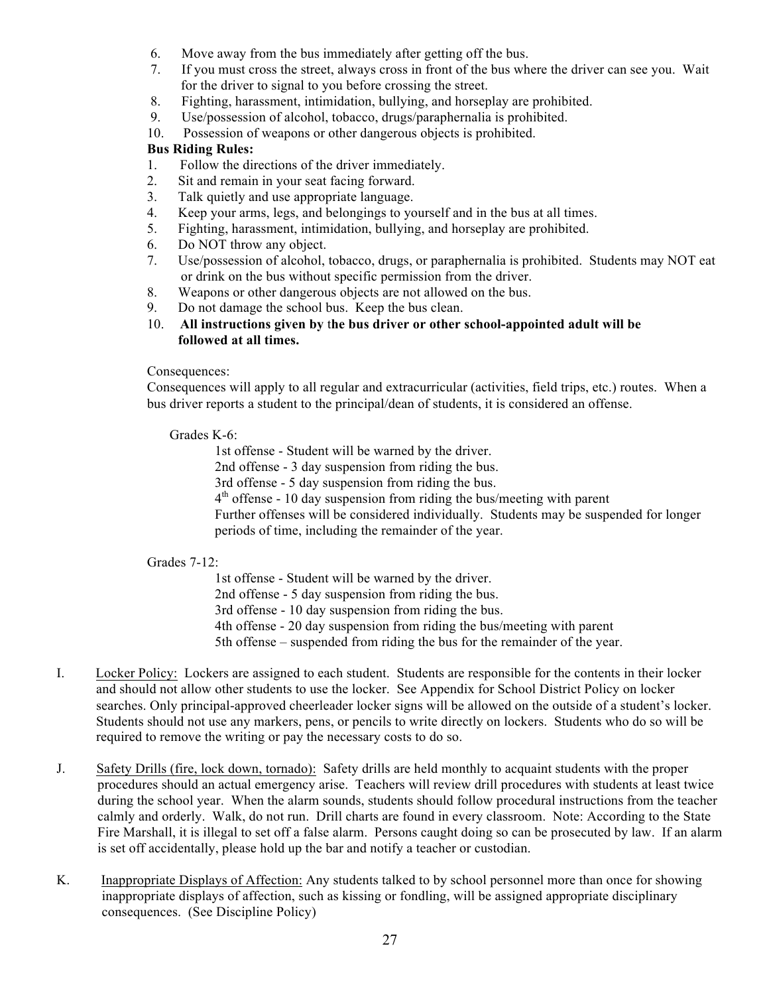- 6. Move away from the bus immediately after getting off the bus.
- 7. If you must cross the street, always cross in front of the bus where the driver can see you. Wait for the driver to signal to you before crossing the street.
- 8. Fighting, harassment, intimidation, bullying, and horseplay are prohibited.
- 9. Use/possession of alcohol, tobacco, drugs/paraphernalia is prohibited.
- 10. Possession of weapons or other dangerous objects is prohibited.

## **Bus Riding Rules:**

- 1. Follow the directions of the driver immediately.
- 2. Sit and remain in your seat facing forward.
- 3. Talk quietly and use appropriate language.
- 4. Keep your arms, legs, and belongings to yourself and in the bus at all times.
- 5. Fighting, harassment, intimidation, bullying, and horseplay are prohibited.
- 6. Do NOT throw any object.
- 7. Use/possession of alcohol, tobacco, drugs, or paraphernalia is prohibited. Students may NOT eat or drink on the bus without specific permission from the driver.
- 8. Weapons or other dangerous objects are not allowed on the bus.
- 9. Do not damage the school bus. Keep the bus clean.
- 10. **All instructions given by** t**he bus driver or other school-appointed adult will be followed at all times.**

## Consequences:

Consequences will apply to all regular and extracurricular (activities, field trips, etc.) routes. When a bus driver reports a student to the principal/dean of students, it is considered an offense.

## Grades K-6:

1st offense - Student will be warned by the driver. 2nd offense - 3 day suspension from riding the bus. 3rd offense - 5 day suspension from riding the bus.  $4<sup>th</sup>$  offense - 10 day suspension from riding the bus/meeting with parent Further offenses will be considered individually. Students may be suspended for longer periods of time, including the remainder of the year.

## Grades 7-12:

1st offense - Student will be warned by the driver. 2nd offense - 5 day suspension from riding the bus. 3rd offense - 10 day suspension from riding the bus. 4th offense - 20 day suspension from riding the bus/meeting with parent 5th offense – suspended from riding the bus for the remainder of the year.

- I. Locker Policy: Lockers are assigned to each student. Students are responsible for the contents in their locker and should not allow other students to use the locker. See Appendix for School District Policy on locker searches. Only principal-approved cheerleader locker signs will be allowed on the outside of a student's locker. Students should not use any markers, pens, or pencils to write directly on lockers. Students who do so will be required to remove the writing or pay the necessary costs to do so.
- J. Safety Drills (fire, lock down, tornado): Safety drills are held monthly to acquaint students with the proper procedures should an actual emergency arise. Teachers will review drill procedures with students at least twice during the school year. When the alarm sounds, students should follow procedural instructions from the teacher calmly and orderly. Walk, do not run. Drill charts are found in every classroom. Note: According to the State Fire Marshall, it is illegal to set off a false alarm. Persons caught doing so can be prosecuted by law. If an alarm is set off accidentally, please hold up the bar and notify a teacher or custodian.
- K. Inappropriate Displays of Affection: Any students talked to by school personnel more than once for showing inappropriate displays of affection, such as kissing or fondling, will be assigned appropriate disciplinary consequences. (See Discipline Policy)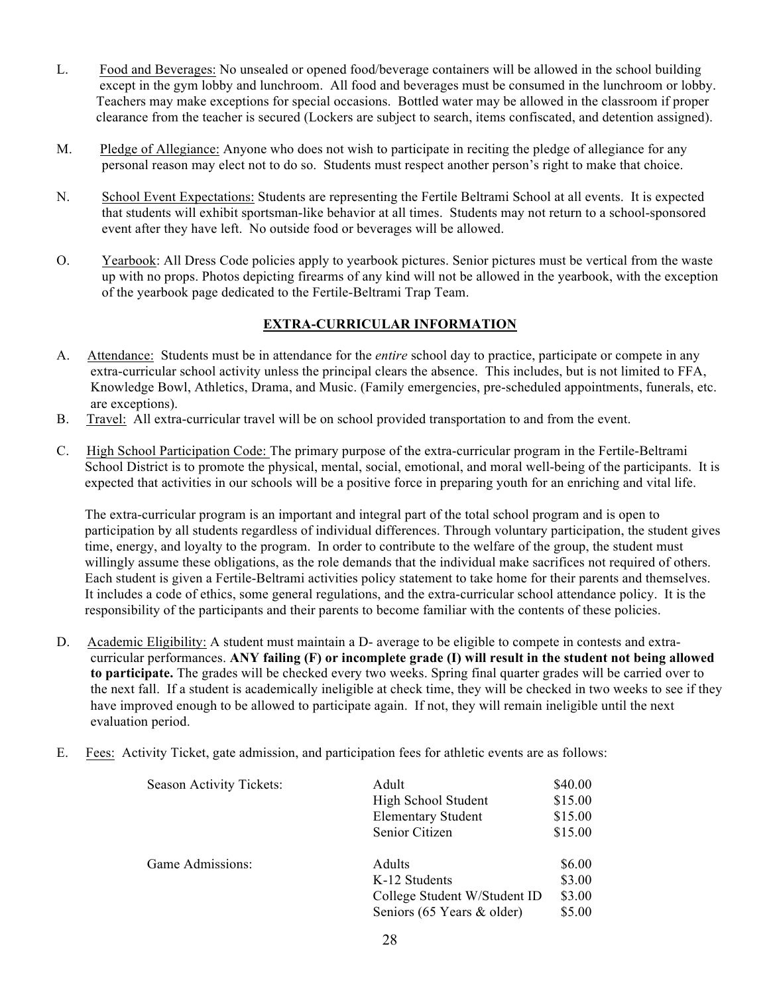- L. Food and Beverages: No unsealed or opened food/beverage containers will be allowed in the school building except in the gym lobby and lunchroom. All food and beverages must be consumed in the lunchroom or lobby. Teachers may make exceptions for special occasions. Bottled water may be allowed in the classroom if proper clearance from the teacher is secured (Lockers are subject to search, items confiscated, and detention assigned).
- M. Pledge of Allegiance: Anyone who does not wish to participate in reciting the pledge of allegiance for any personal reason may elect not to do so. Students must respect another person's right to make that choice.
- N. School Event Expectations: Students are representing the Fertile Beltrami School at all events. It is expected that students will exhibit sportsman-like behavior at all times. Students may not return to a school-sponsored event after they have left. No outside food or beverages will be allowed.
- O. Yearbook: All Dress Code policies apply to yearbook pictures. Senior pictures must be vertical from the waste up with no props. Photos depicting firearms of any kind will not be allowed in the yearbook, with the exception of the yearbook page dedicated to the Fertile-Beltrami Trap Team.

# **EXTRA-CURRICULAR INFORMATION**

- A. Attendance: Students must be in attendance for the *entire* school day to practice, participate or compete in any extra-curricular school activity unless the principal clears the absence. This includes, but is not limited to FFA, Knowledge Bowl, Athletics, Drama, and Music. (Family emergencies, pre-scheduled appointments, funerals, etc. are exceptions).
- B. Travel: All extra-curricular travel will be on school provided transportation to and from the event.
- C. High School Participation Code: The primary purpose of the extra-curricular program in the Fertile-Beltrami School District is to promote the physical, mental, social, emotional, and moral well-being of the participants. It is expected that activities in our schools will be a positive force in preparing youth for an enriching and vital life.

The extra-curricular program is an important and integral part of the total school program and is open to participation by all students regardless of individual differences. Through voluntary participation, the student gives time, energy, and loyalty to the program. In order to contribute to the welfare of the group, the student must willingly assume these obligations, as the role demands that the individual make sacrifices not required of others. Each student is given a Fertile-Beltrami activities policy statement to take home for their parents and themselves. It includes a code of ethics, some general regulations, and the extra-curricular school attendance policy. It is the responsibility of the participants and their parents to become familiar with the contents of these policies.

- D. Academic Eligibility: A student must maintain a D- average to be eligible to compete in contests and extracurricular performances. **ANY failing (F) or incomplete grade (I) will result in the student not being allowed to participate.** The grades will be checked every two weeks. Spring final quarter grades will be carried over to the next fall. If a student is academically ineligible at check time, they will be checked in two weeks to see if they have improved enough to be allowed to participate again. If not, they will remain ineligible until the next evaluation period.
- E. Fees: Activity Ticket, gate admission, and participation fees for athletic events are as follows:

| Season Activity Tickets: | Adult<br>High School Student<br><b>Elementary Student</b><br>Senior Citizen           | \$40.00<br>\$15.00<br>\$15.00<br>\$15.00 |
|--------------------------|---------------------------------------------------------------------------------------|------------------------------------------|
| Game Admissions:         | Adults<br>K-12 Students<br>College Student W/Student ID<br>Seniors (65 Years & older) | \$6.00<br>\$3.00<br>\$3.00<br>\$5.00     |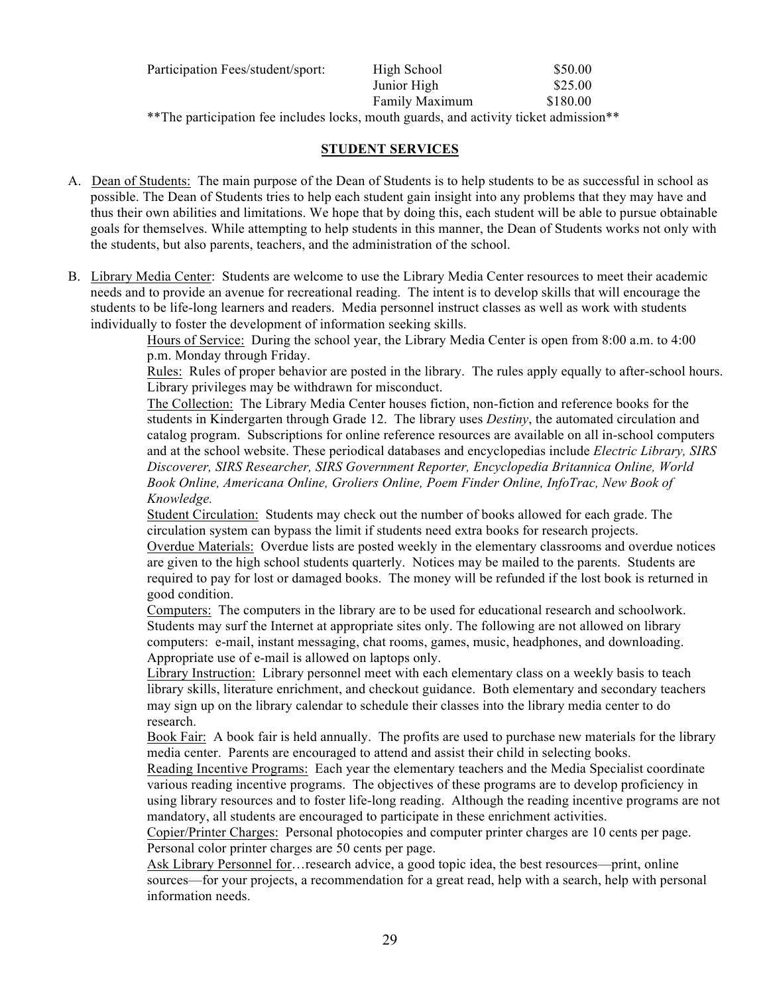| Participation Fees/student/sport:                                                      | High School    | \$50.00  |
|----------------------------------------------------------------------------------------|----------------|----------|
|                                                                                        | Junior High    | \$25.00  |
|                                                                                        | Family Maximum | \$180.00 |
| ** The participation fee includes locks, mouth guards, and activity ticket admission** |                |          |

## **STUDENT SERVICES**

- A. Dean of Students: The main purpose of the Dean of Students is to help students to be as successful in school as possible. The Dean of Students tries to help each student gain insight into any problems that they may have and thus their own abilities and limitations. We hope that by doing this, each student will be able to pursue obtainable goals for themselves. While attempting to help students in this manner, the Dean of Students works not only with the students, but also parents, teachers, and the administration of the school.
- B. Library Media Center:Students are welcome to use the Library Media Center resources to meet their academic needs and to provide an avenue for recreational reading. The intent is to develop skills that will encourage the students to be life-long learners and readers. Media personnel instruct classes as well as work with students individually to foster the development of information seeking skills.

Hours of Service: During the school year, the Library Media Center is open from 8:00 a.m. to 4:00 p.m. Monday through Friday.

Rules: Rules of proper behavior are posted in the library. The rules apply equally to after-school hours. Library privileges may be withdrawn for misconduct.

The Collection: The Library Media Center houses fiction, non-fiction and reference books for the students in Kindergarten through Grade 12. The library uses *Destiny*, the automated circulation and catalog program. Subscriptions for online reference resources are available on all in-school computers and at the school website. These periodical databases and encyclopedias include *Electric Library, SIRS Discoverer, SIRS Researcher, SIRS Government Reporter, Encyclopedia Britannica Online, World Book Online, Americana Online, Groliers Online, Poem Finder Online, InfoTrac, New Book of Knowledge.*

Student Circulation: Students may check out the number of books allowed for each grade. The circulation system can bypass the limit if students need extra books for research projects.

Overdue Materials: Overdue lists are posted weekly in the elementary classrooms and overdue notices are given to the high school students quarterly. Notices may be mailed to the parents. Students are required to pay for lost or damaged books. The money will be refunded if the lost book is returned in good condition.

Computers: The computers in the library are to be used for educational research and schoolwork. Students may surf the Internet at appropriate sites only. The following are not allowed on library computers: e-mail, instant messaging, chat rooms, games, music, headphones, and downloading. Appropriate use of e-mail is allowed on laptops only.

Library Instruction: Library personnel meet with each elementary class on a weekly basis to teach library skills, literature enrichment, and checkout guidance. Both elementary and secondary teachers may sign up on the library calendar to schedule their classes into the library media center to do research.

Book Fair: A book fair is held annually. The profits are used to purchase new materials for the library media center. Parents are encouraged to attend and assist their child in selecting books.

Reading Incentive Programs: Each year the elementary teachers and the Media Specialist coordinate various reading incentive programs. The objectives of these programs are to develop proficiency in using library resources and to foster life-long reading. Although the reading incentive programs are not mandatory, all students are encouraged to participate in these enrichment activities.

Copier/Printer Charges: Personal photocopies and computer printer charges are 10 cents per page. Personal color printer charges are 50 cents per page.

Ask Library Personnel for ... research advice, a good topic idea, the best resources—print, online sources—for your projects, a recommendation for a great read, help with a search, help with personal information needs.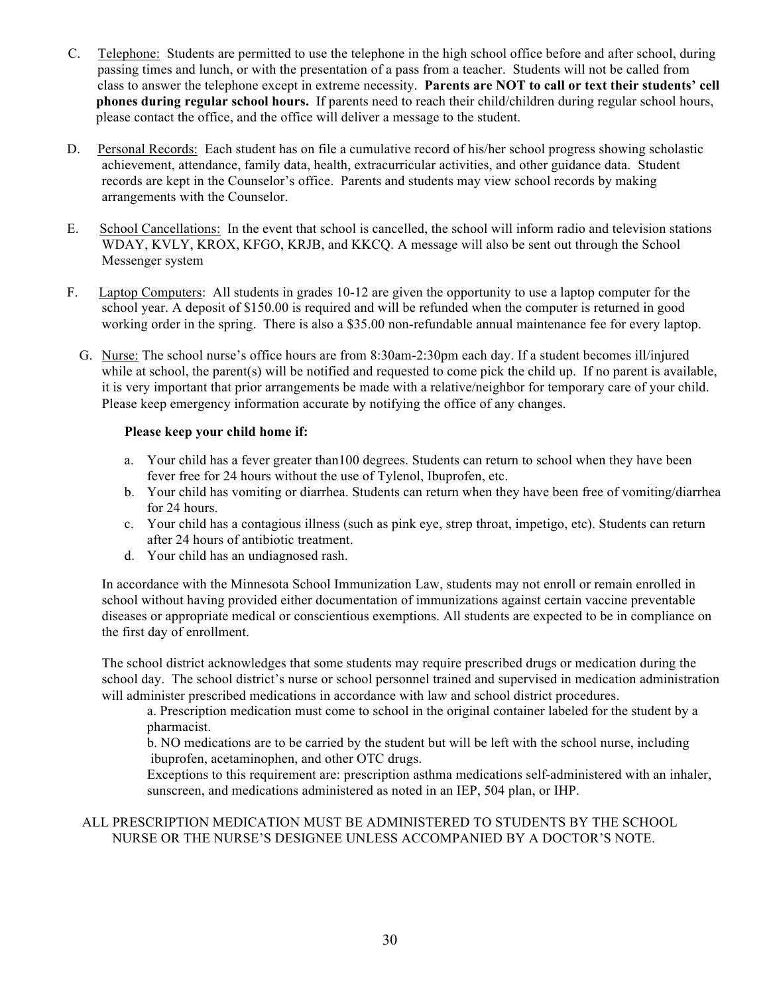- C. Telephone: Students are permitted to use the telephone in the high school office before and after school, during passing times and lunch, or with the presentation of a pass from a teacher. Students will not be called from class to answer the telephone except in extreme necessity. **Parents are NOT to call or text their students' cell phones during regular school hours.** If parents need to reach their child/children during regular school hours, please contact the office, and the office will deliver a message to the student.
- D. Personal Records: Each student has on file a cumulative record of his/her school progress showing scholastic achievement, attendance, family data, health, extracurricular activities, and other guidance data. Student records are kept in the Counselor's office. Parents and students may view school records by making arrangements with the Counselor.
- E. School Cancellations: In the event that school is cancelled, the school will inform radio and television stations WDAY, KVLY, KROX, KFGO, KRJB, and KKCQ. A message will also be sent out through the School Messenger system
- F. Laptop Computers: All students in grades 10-12 are given the opportunity to use a laptop computer for the school year. A deposit of \$150.00 is required and will be refunded when the computer is returned in good working order in the spring. There is also a \$35.00 non-refundable annual maintenance fee for every laptop.
	- G. Nurse: The school nurse's office hours are from 8:30am-2:30pm each day. If a student becomes ill/injured while at school, the parent(s) will be notified and requested to come pick the child up. If no parent is available, it is very important that prior arrangements be made with a relative/neighbor for temporary care of your child. Please keep emergency information accurate by notifying the office of any changes.

## **Please keep your child home if:**

- a. Your child has a fever greater than100 degrees. Students can return to school when they have been fever free for 24 hours without the use of Tylenol, Ibuprofen, etc.
- b. Your child has vomiting or diarrhea. Students can return when they have been free of vomiting/diarrhea for 24 hours.
- c. Your child has a contagious illness (such as pink eye, strep throat, impetigo, etc). Students can return after 24 hours of antibiotic treatment.
- d. Your child has an undiagnosed rash.

In accordance with the Minnesota School Immunization Law, students may not enroll or remain enrolled in school without having provided either documentation of immunizations against certain vaccine preventable diseases or appropriate medical or conscientious exemptions. All students are expected to be in compliance on the first day of enrollment.

The school district acknowledges that some students may require prescribed drugs or medication during the school day. The school district's nurse or school personnel trained and supervised in medication administration will administer prescribed medications in accordance with law and school district procedures.

a. Prescription medication must come to school in the original container labeled for the student by a pharmacist.

b. NO medications are to be carried by the student but will be left with the school nurse, including ibuprofen, acetaminophen, and other OTC drugs.

Exceptions to this requirement are: prescription asthma medications self-administered with an inhaler, sunscreen, and medications administered as noted in an IEP, 504 plan, or IHP.

## ALL PRESCRIPTION MEDICATION MUST BE ADMINISTERED TO STUDENTS BY THE SCHOOL NURSE OR THE NURSE'S DESIGNEE UNLESS ACCOMPANIED BY A DOCTOR'S NOTE.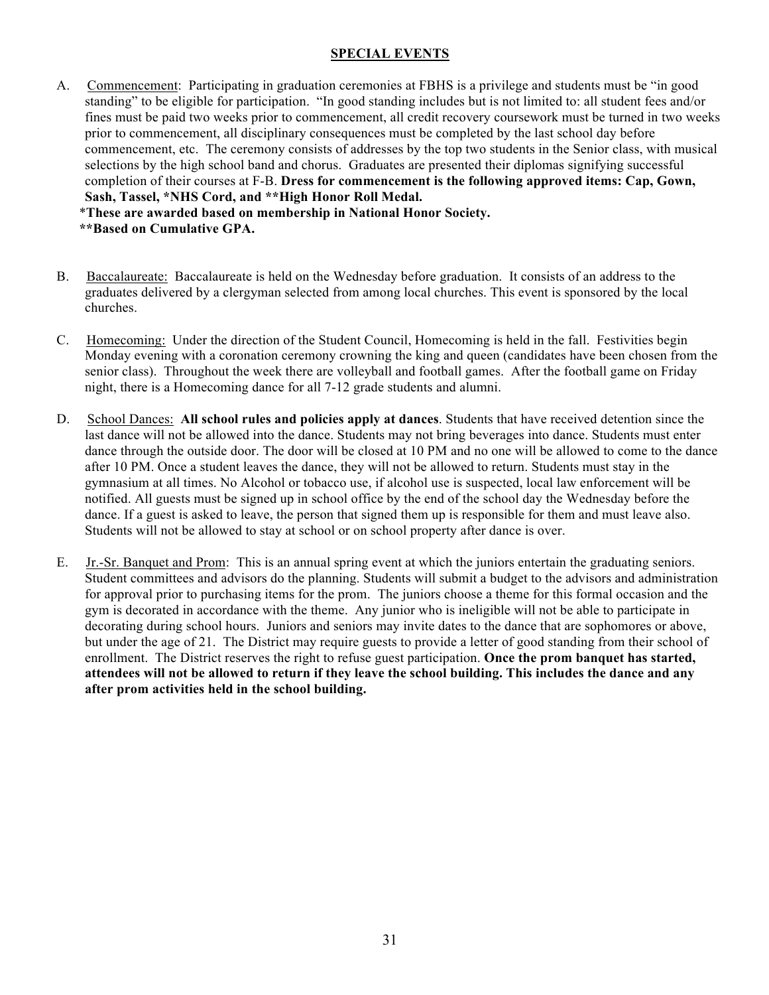## **SPECIAL EVENTS**

- A. Commencement: Participating in graduation ceremonies at FBHS is a privilege and students must be "in good standing" to be eligible for participation. "In good standing includes but is not limited to: all student fees and/or fines must be paid two weeks prior to commencement, all credit recovery coursework must be turned in two weeks prior to commencement, all disciplinary consequences must be completed by the last school day before commencement, etc. The ceremony consists of addresses by the top two students in the Senior class, with musical selections by the high school band and chorus. Graduates are presented their diplomas signifying successful completion of their courses at F-B. **Dress for commencement is the following approved items: Cap, Gown, Sash, Tassel, \*NHS Cord, and \*\*High Honor Roll Medal.** \***These are awarded based on membership in National Honor Society. \*\*Based on Cumulative GPA.**
- B. Baccalaureate: Baccalaureate is held on the Wednesday before graduation. It consists of an address to the graduates delivered by a clergyman selected from among local churches. This event is sponsored by the local churches.
- C. Homecoming: Under the direction of the Student Council, Homecoming is held in the fall. Festivities begin Monday evening with a coronation ceremony crowning the king and queen (candidates have been chosen from the senior class). Throughout the week there are volleyball and football games. After the football game on Friday night, there is a Homecoming dance for all 7-12 grade students and alumni.
- D. School Dances: **All school rules and policies apply at dances**. Students that have received detention since the last dance will not be allowed into the dance. Students may not bring beverages into dance. Students must enter dance through the outside door. The door will be closed at 10 PM and no one will be allowed to come to the dance after 10 PM. Once a student leaves the dance, they will not be allowed to return. Students must stay in the gymnasium at all times. No Alcohol or tobacco use, if alcohol use is suspected, local law enforcement will be notified. All guests must be signed up in school office by the end of the school day the Wednesday before the dance. If a guest is asked to leave, the person that signed them up is responsible for them and must leave also. Students will not be allowed to stay at school or on school property after dance is over.
- E. Jr.-Sr. Banquet and Prom: This is an annual spring event at which the juniors entertain the graduating seniors. Student committees and advisors do the planning. Students will submit a budget to the advisors and administration for approval prior to purchasing items for the prom. The juniors choose a theme for this formal occasion and the gym is decorated in accordance with the theme. Any junior who is ineligible will not be able to participate in decorating during school hours. Juniors and seniors may invite dates to the dance that are sophomores or above, but under the age of 21. The District may require guests to provide a letter of good standing from their school of enrollment. The District reserves the right to refuse guest participation. **Once the prom banquet has started, attendees will not be allowed to return if they leave the school building. This includes the dance and any after prom activities held in the school building.**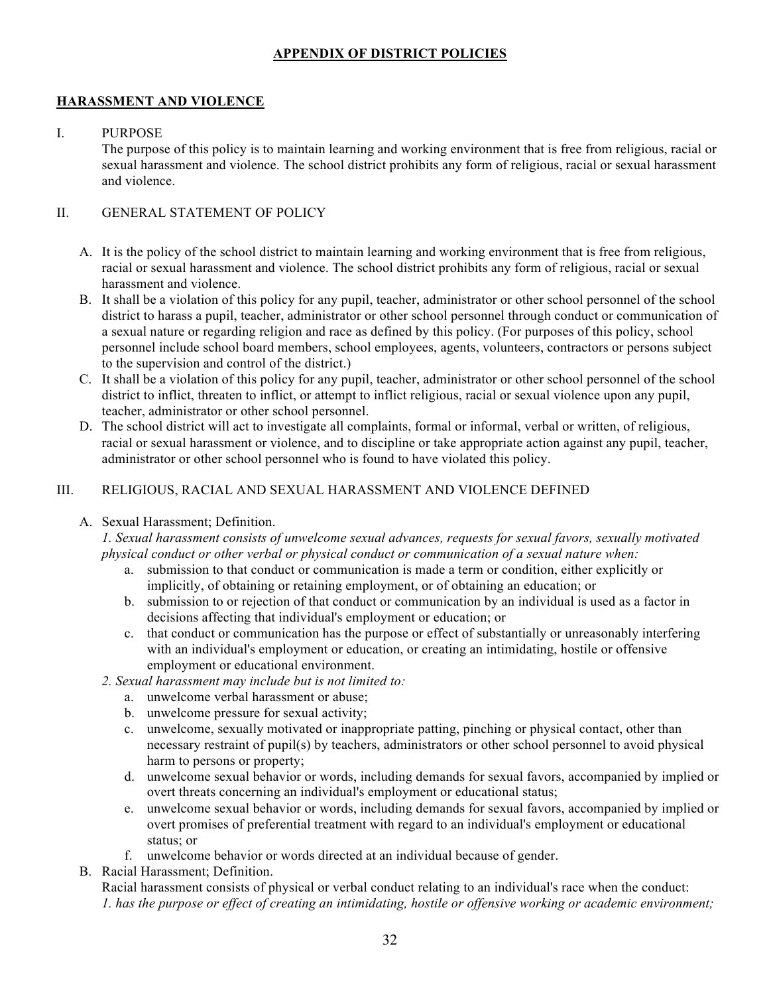# **APPENDIX OF DISTRICT POLICIES**

## **HARASSMENT AND VIOLENCE**

#### I. PURPOSE

The purpose of this policy is to maintain learning and working environment that is free from religious, racial or sexual harassment and violence. The school district prohibits any form of religious, racial or sexual harassment and violence.

## II. GENERAL STATEMENT OF POLICY

- A. It is the policy of the school district to maintain learning and working environment that is free from religious, racial or sexual harassment and violence. The school district prohibits any form of religious, racial or sexual harassment and violence.
- B. It shall be a violation of this policy for any pupil, teacher, administrator or other school personnel of the school district to harass a pupil, teacher, administrator or other school personnel through conduct or communication of a sexual nature or regarding religion and race as defined by this policy. (For purposes of this policy, school personnel include school board members, school employees, agents, volunteers, contractors or persons subject to the supervision and control of the district.)
- C. It shall be a violation of this policy for any pupil, teacher, administrator or other school personnel of the school district to inflict, threaten to inflict, or attempt to inflict religious, racial or sexual violence upon any pupil, teacher, administrator or other school personnel.
- D. The school district will act to investigate all complaints, formal or informal, verbal or written, of religious, racial or sexual harassment or violence, and to discipline or take appropriate action against any pupil, teacher, administrator or other school personnel who is found to have violated this policy.

## III. RELIGIOUS, RACIAL AND SEXUAL HARASSMENT AND VIOLENCE DEFINED

## A. Sexual Harassment; Definition.

*1. Sexual harassment consists of unwelcome sexual advances, requests for sexual favors, sexually motivated physical conduct or other verbal or physical conduct or communication of a sexual nature when:*

- a. submission to that conduct or communication is made a term or condition, either explicitly or implicitly, of obtaining or retaining employment, or of obtaining an education; or
- b. submission to or rejection of that conduct or communication by an individual is used as a factor in decisions affecting that individual's employment or education; or
- c. that conduct or communication has the purpose or effect of substantially or unreasonably interfering with an individual's employment or education, or creating an intimidating, hostile or offensive employment or educational environment.
- *2. Sexual harassment may include but is not limited to:*
	- a. unwelcome verbal harassment or abuse;
	- b. unwelcome pressure for sexual activity;
	- c. unwelcome, sexually motivated or inappropriate patting, pinching or physical contact, other than necessary restraint of pupil(s) by teachers, administrators or other school personnel to avoid physical harm to persons or property;
	- d. unwelcome sexual behavior or words, including demands for sexual favors, accompanied by implied or overt threats concerning an individual's employment or educational status;
	- e. unwelcome sexual behavior or words, including demands for sexual favors, accompanied by implied or overt promises of preferential treatment with regard to an individual's employment or educational status; or
	- f. unwelcome behavior or words directed at an individual because of gender.
- B. Racial Harassment; Definition.
	- Racial harassment consists of physical or verbal conduct relating to an individual's race when the conduct: *1. has the purpose or effect of creating an intimidating, hostile or offensive working or academic environment;*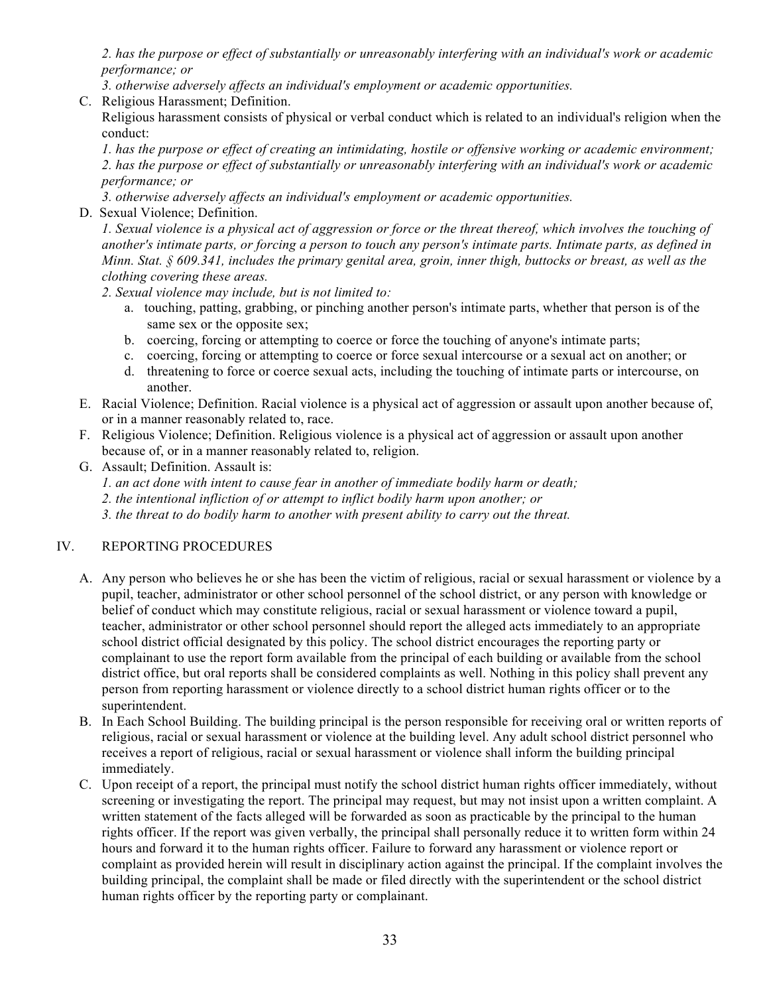*2. has the purpose or effect of substantially or unreasonably interfering with an individual's work or academic performance; or*

*3. otherwise adversely affects an individual's employment or academic opportunities.*

C. Religious Harassment; Definition.

Religious harassment consists of physical or verbal conduct which is related to an individual's religion when the conduct:

*1. has the purpose or effect of creating an intimidating, hostile or offensive working or academic environment; 2. has the purpose or effect of substantially or unreasonably interfering with an individual's work or academic performance; or*

- *3. otherwise adversely affects an individual's employment or academic opportunities.*
- D. Sexual Violence; Definition.

*1. Sexual violence is a physical act of aggression or force or the threat thereof, which involves the touching of another's intimate parts, or forcing a person to touch any person's intimate parts. Intimate parts, as defined in Minn. Stat. § 609.341, includes the primary genital area, groin, inner thigh, buttocks or breast, as well as the clothing covering these areas.*

*2. Sexual violence may include, but is not limited to:*

- a. touching, patting, grabbing, or pinching another person's intimate parts, whether that person is of the same sex or the opposite sex;
- b. coercing, forcing or attempting to coerce or force the touching of anyone's intimate parts;
- c. coercing, forcing or attempting to coerce or force sexual intercourse or a sexual act on another; or
- d. threatening to force or coerce sexual acts, including the touching of intimate parts or intercourse, on another.
- E. Racial Violence; Definition. Racial violence is a physical act of aggression or assault upon another because of, or in a manner reasonably related to, race.
- F. Religious Violence; Definition. Religious violence is a physical act of aggression or assault upon another because of, or in a manner reasonably related to, religion.
- G. Assault; Definition. Assault is:

*1. an act done with intent to cause fear in another of immediate bodily harm or death;*

*2. the intentional infliction of or attempt to inflict bodily harm upon another; or*

*3. the threat to do bodily harm to another with present ability to carry out the threat.*

# IV. REPORTING PROCEDURES

- A. Any person who believes he or she has been the victim of religious, racial or sexual harassment or violence by a pupil, teacher, administrator or other school personnel of the school district, or any person with knowledge or belief of conduct which may constitute religious, racial or sexual harassment or violence toward a pupil, teacher, administrator or other school personnel should report the alleged acts immediately to an appropriate school district official designated by this policy. The school district encourages the reporting party or complainant to use the report form available from the principal of each building or available from the school district office, but oral reports shall be considered complaints as well. Nothing in this policy shall prevent any person from reporting harassment or violence directly to a school district human rights officer or to the superintendent.
- B. In Each School Building. The building principal is the person responsible for receiving oral or written reports of religious, racial or sexual harassment or violence at the building level. Any adult school district personnel who receives a report of religious, racial or sexual harassment or violence shall inform the building principal immediately.
- C. Upon receipt of a report, the principal must notify the school district human rights officer immediately, without screening or investigating the report. The principal may request, but may not insist upon a written complaint. A written statement of the facts alleged will be forwarded as soon as practicable by the principal to the human rights officer. If the report was given verbally, the principal shall personally reduce it to written form within 24 hours and forward it to the human rights officer. Failure to forward any harassment or violence report or complaint as provided herein will result in disciplinary action against the principal. If the complaint involves the building principal, the complaint shall be made or filed directly with the superintendent or the school district human rights officer by the reporting party or complainant.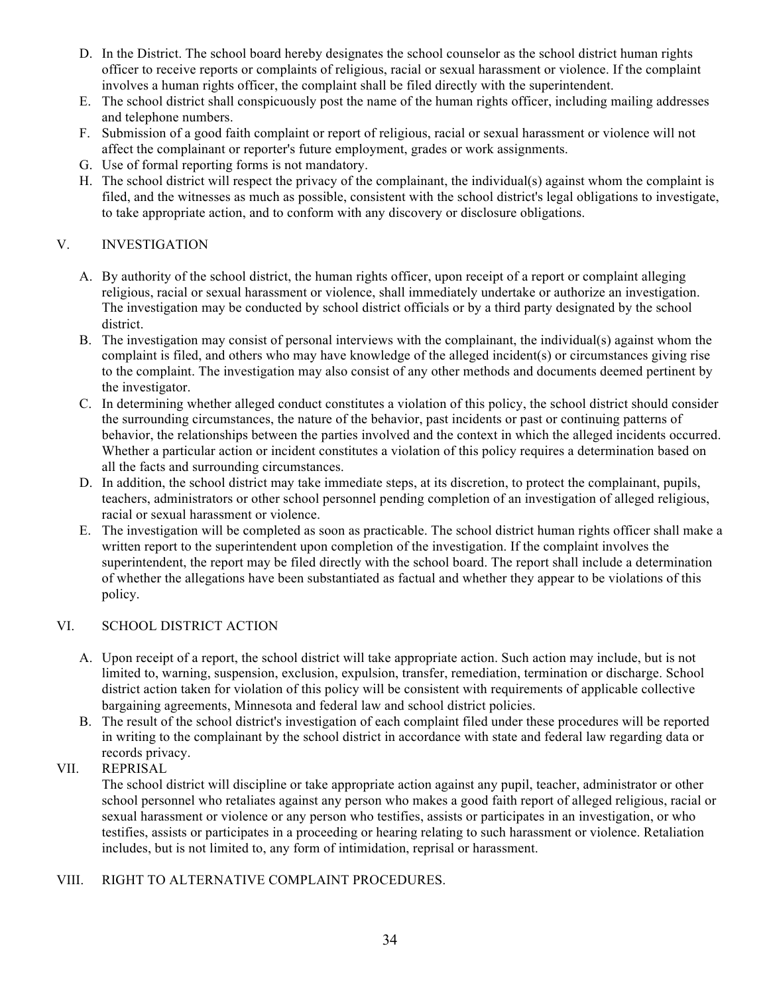- D. In the District. The school board hereby designates the school counselor as the school district human rights officer to receive reports or complaints of religious, racial or sexual harassment or violence. If the complaint involves a human rights officer, the complaint shall be filed directly with the superintendent.
- E. The school district shall conspicuously post the name of the human rights officer, including mailing addresses and telephone numbers.
- F. Submission of a good faith complaint or report of religious, racial or sexual harassment or violence will not affect the complainant or reporter's future employment, grades or work assignments.
- G. Use of formal reporting forms is not mandatory.
- H. The school district will respect the privacy of the complainant, the individual(s) against whom the complaint is filed, and the witnesses as much as possible, consistent with the school district's legal obligations to investigate, to take appropriate action, and to conform with any discovery or disclosure obligations.

## V. INVESTIGATION

- A. By authority of the school district, the human rights officer, upon receipt of a report or complaint alleging religious, racial or sexual harassment or violence, shall immediately undertake or authorize an investigation. The investigation may be conducted by school district officials or by a third party designated by the school district.
- B. The investigation may consist of personal interviews with the complainant, the individual(s) against whom the complaint is filed, and others who may have knowledge of the alleged incident(s) or circumstances giving rise to the complaint. The investigation may also consist of any other methods and documents deemed pertinent by the investigator.
- C. In determining whether alleged conduct constitutes a violation of this policy, the school district should consider the surrounding circumstances, the nature of the behavior, past incidents or past or continuing patterns of behavior, the relationships between the parties involved and the context in which the alleged incidents occurred. Whether a particular action or incident constitutes a violation of this policy requires a determination based on all the facts and surrounding circumstances.
- D. In addition, the school district may take immediate steps, at its discretion, to protect the complainant, pupils, teachers, administrators or other school personnel pending completion of an investigation of alleged religious, racial or sexual harassment or violence.
- E. The investigation will be completed as soon as practicable. The school district human rights officer shall make a written report to the superintendent upon completion of the investigation. If the complaint involves the superintendent, the report may be filed directly with the school board. The report shall include a determination of whether the allegations have been substantiated as factual and whether they appear to be violations of this policy.

## VI. SCHOOL DISTRICT ACTION

- A. Upon receipt of a report, the school district will take appropriate action. Such action may include, but is not limited to, warning, suspension, exclusion, expulsion, transfer, remediation, termination or discharge. School district action taken for violation of this policy will be consistent with requirements of applicable collective bargaining agreements, Minnesota and federal law and school district policies.
- B. The result of the school district's investigation of each complaint filed under these procedures will be reported in writing to the complainant by the school district in accordance with state and federal law regarding data or records privacy.

# VII. REPRISAL

The school district will discipline or take appropriate action against any pupil, teacher, administrator or other school personnel who retaliates against any person who makes a good faith report of alleged religious, racial or sexual harassment or violence or any person who testifies, assists or participates in an investigation, or who testifies, assists or participates in a proceeding or hearing relating to such harassment or violence. Retaliation includes, but is not limited to, any form of intimidation, reprisal or harassment.

# VIII. RIGHT TO ALTERNATIVE COMPLAINT PROCEDURES.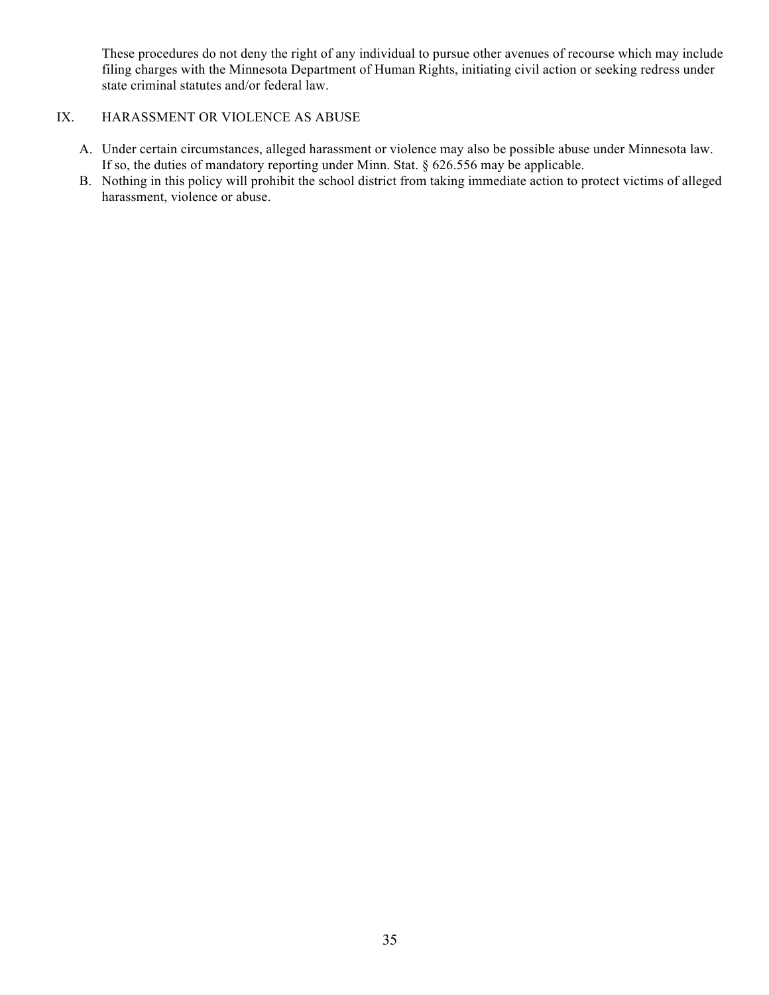These procedures do not deny the right of any individual to pursue other avenues of recourse which may include filing charges with the Minnesota Department of Human Rights, initiating civil action or seeking redress under state criminal statutes and/or federal law.

## IX. HARASSMENT OR VIOLENCE AS ABUSE

- A. Under certain circumstances, alleged harassment or violence may also be possible abuse under Minnesota law. If so, the duties of mandatory reporting under Minn. Stat. § 626.556 may be applicable.
- B. Nothing in this policy will prohibit the school district from taking immediate action to protect victims of alleged harassment, violence or abuse.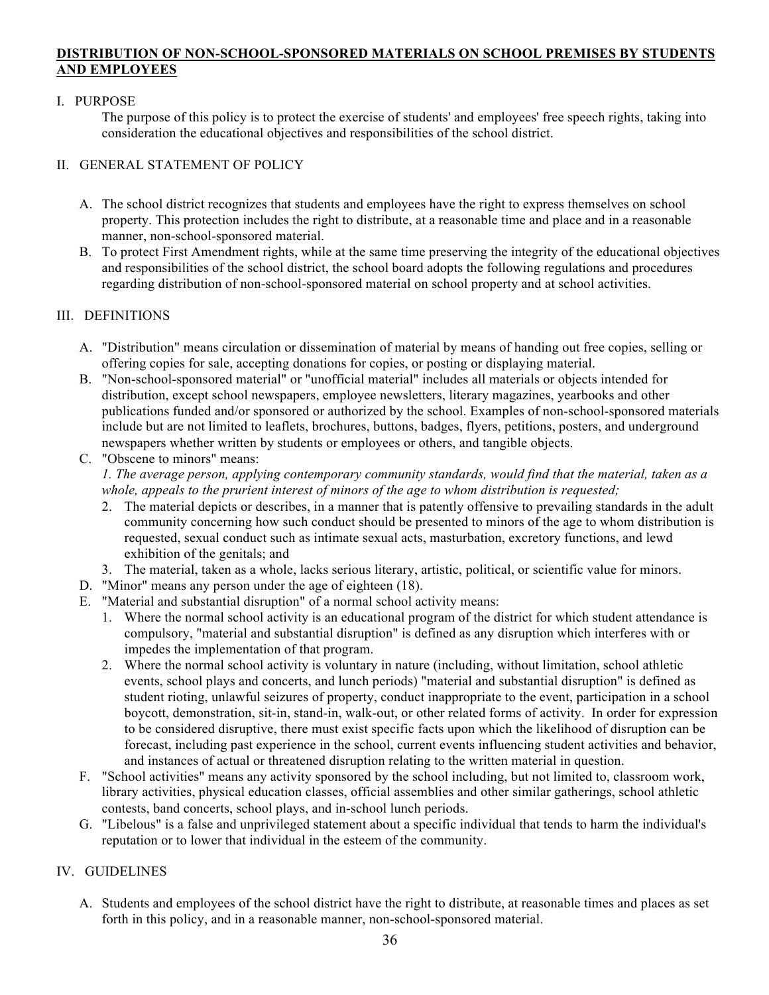## **DISTRIBUTION OF NON-SCHOOL-SPONSORED MATERIALS ON SCHOOL PREMISES BY STUDENTS AND EMPLOYEES**

## I. PURPOSE

The purpose of this policy is to protect the exercise of students' and employees' free speech rights, taking into consideration the educational objectives and responsibilities of the school district.

# II. GENERAL STATEMENT OF POLICY

- A. The school district recognizes that students and employees have the right to express themselves on school property. This protection includes the right to distribute, at a reasonable time and place and in a reasonable manner, non-school-sponsored material.
- B. To protect First Amendment rights, while at the same time preserving the integrity of the educational objectives and responsibilities of the school district, the school board adopts the following regulations and procedures regarding distribution of non-school-sponsored material on school property and at school activities.

## III. DEFINITIONS

- A. "Distribution" means circulation or dissemination of material by means of handing out free copies, selling or offering copies for sale, accepting donations for copies, or posting or displaying material.
- B. "Non-school-sponsored material" or "unofficial material" includes all materials or objects intended for distribution, except school newspapers, employee newsletters, literary magazines, yearbooks and other publications funded and/or sponsored or authorized by the school. Examples of non-school-sponsored materials include but are not limited to leaflets, brochures, buttons, badges, flyers, petitions, posters, and underground newspapers whether written by students or employees or others, and tangible objects.
- C. "Obscene to minors" means: *1. The average person, applying contemporary community standards, would find that the material, taken as a whole, appeals to the prurient interest of minors of the age to whom distribution is requested;*
	- 2. The material depicts or describes, in a manner that is patently offensive to prevailing standards in the adult community concerning how such conduct should be presented to minors of the age to whom distribution is requested, sexual conduct such as intimate sexual acts, masturbation, excretory functions, and lewd exhibition of the genitals; and
	- 3. The material, taken as a whole, lacks serious literary, artistic, political, or scientific value for minors.
- D. "Minor" means any person under the age of eighteen (18).
- E. "Material and substantial disruption" of a normal school activity means:
	- 1. Where the normal school activity is an educational program of the district for which student attendance is compulsory, "material and substantial disruption" is defined as any disruption which interferes with or impedes the implementation of that program.
	- 2. Where the normal school activity is voluntary in nature (including, without limitation, school athletic events, school plays and concerts, and lunch periods) "material and substantial disruption" is defined as student rioting, unlawful seizures of property, conduct inappropriate to the event, participation in a school boycott, demonstration, sit-in, stand-in, walk-out, or other related forms of activity. In order for expression to be considered disruptive, there must exist specific facts upon which the likelihood of disruption can be forecast, including past experience in the school, current events influencing student activities and behavior, and instances of actual or threatened disruption relating to the written material in question.
- F. "School activities" means any activity sponsored by the school including, but not limited to, classroom work, library activities, physical education classes, official assemblies and other similar gatherings, school athletic contests, band concerts, school plays, and in-school lunch periods.
- G. "Libelous" is a false and unprivileged statement about a specific individual that tends to harm the individual's reputation or to lower that individual in the esteem of the community.

# IV. GUIDELINES

A. Students and employees of the school district have the right to distribute, at reasonable times and places as set forth in this policy, and in a reasonable manner, non-school-sponsored material.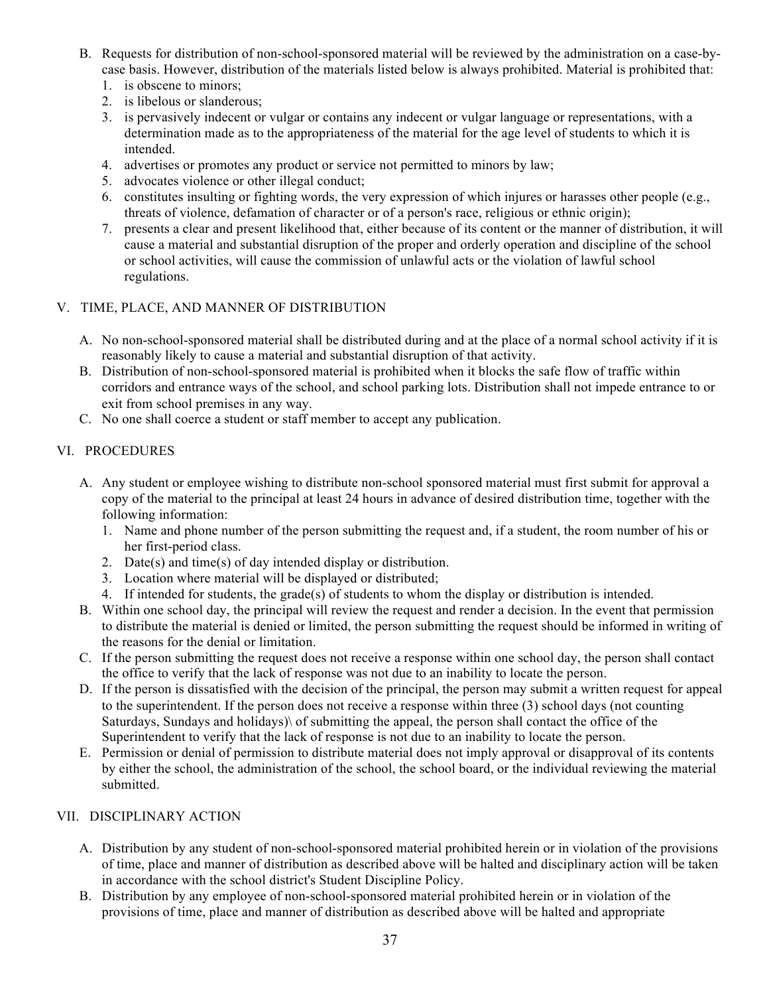- B. Requests for distribution of non-school-sponsored material will be reviewed by the administration on a case-bycase basis. However, distribution of the materials listed below is always prohibited. Material is prohibited that:
	- 1. is obscene to minors;
	- 2. is libelous or slanderous;
	- 3. is pervasively indecent or vulgar or contains any indecent or vulgar language or representations, with a determination made as to the appropriateness of the material for the age level of students to which it is intended.
	- 4. advertises or promotes any product or service not permitted to minors by law;
	- 5. advocates violence or other illegal conduct;
	- 6. constitutes insulting or fighting words, the very expression of which injures or harasses other people (e.g., threats of violence, defamation of character or of a person's race, religious or ethnic origin);
	- 7. presents a clear and present likelihood that, either because of its content or the manner of distribution, it will cause a material and substantial disruption of the proper and orderly operation and discipline of the school or school activities, will cause the commission of unlawful acts or the violation of lawful school regulations.

## V. TIME, PLACE, AND MANNER OF DISTRIBUTION

- A. No non-school-sponsored material shall be distributed during and at the place of a normal school activity if it is reasonably likely to cause a material and substantial disruption of that activity.
- B. Distribution of non-school-sponsored material is prohibited when it blocks the safe flow of traffic within corridors and entrance ways of the school, and school parking lots. Distribution shall not impede entrance to or exit from school premises in any way.
- C. No one shall coerce a student or staff member to accept any publication.

## VI. PROCEDURES

- A. Any student or employee wishing to distribute non-school sponsored material must first submit for approval a copy of the material to the principal at least 24 hours in advance of desired distribution time, together with the following information:
	- 1. Name and phone number of the person submitting the request and, if a student, the room number of his or her first-period class.
	- 2. Date(s) and time(s) of day intended display or distribution.
	- 3. Location where material will be displayed or distributed;
	- 4. If intended for students, the grade(s) of students to whom the display or distribution is intended.
- B. Within one school day, the principal will review the request and render a decision. In the event that permission to distribute the material is denied or limited, the person submitting the request should be informed in writing of the reasons for the denial or limitation.
- C. If the person submitting the request does not receive a response within one school day, the person shall contact the office to verify that the lack of response was not due to an inability to locate the person.
- D. If the person is dissatisfied with the decision of the principal, the person may submit a written request for appeal to the superintendent. If the person does not receive a response within three (3) school days (not counting Saturdays, Sundays and holidays)\ of submitting the appeal, the person shall contact the office of the Superintendent to verify that the lack of response is not due to an inability to locate the person.
- E. Permission or denial of permission to distribute material does not imply approval or disapproval of its contents by either the school, the administration of the school, the school board, or the individual reviewing the material submitted.

## VII. DISCIPLINARY ACTION

- A. Distribution by any student of non-school-sponsored material prohibited herein or in violation of the provisions of time, place and manner of distribution as described above will be halted and disciplinary action will be taken in accordance with the school district's Student Discipline Policy.
- B. Distribution by any employee of non-school-sponsored material prohibited herein or in violation of the provisions of time, place and manner of distribution as described above will be halted and appropriate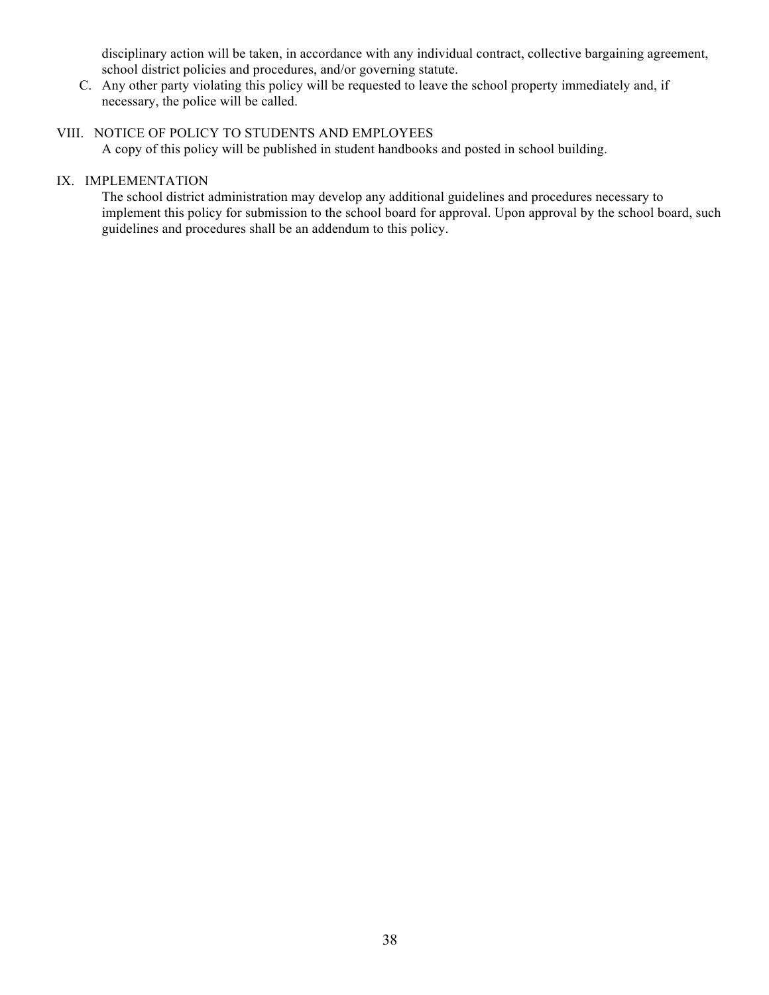disciplinary action will be taken, in accordance with any individual contract, collective bargaining agreement, school district policies and procedures, and/or governing statute.

C. Any other party violating this policy will be requested to leave the school property immediately and, if necessary, the police will be called.

# VIII. NOTICE OF POLICY TO STUDENTS AND EMPLOYEES

A copy of this policy will be published in student handbooks and posted in school building.

# IX. IMPLEMENTATION

The school district administration may develop any additional guidelines and procedures necessary to implement this policy for submission to the school board for approval. Upon approval by the school board, such guidelines and procedures shall be an addendum to this policy.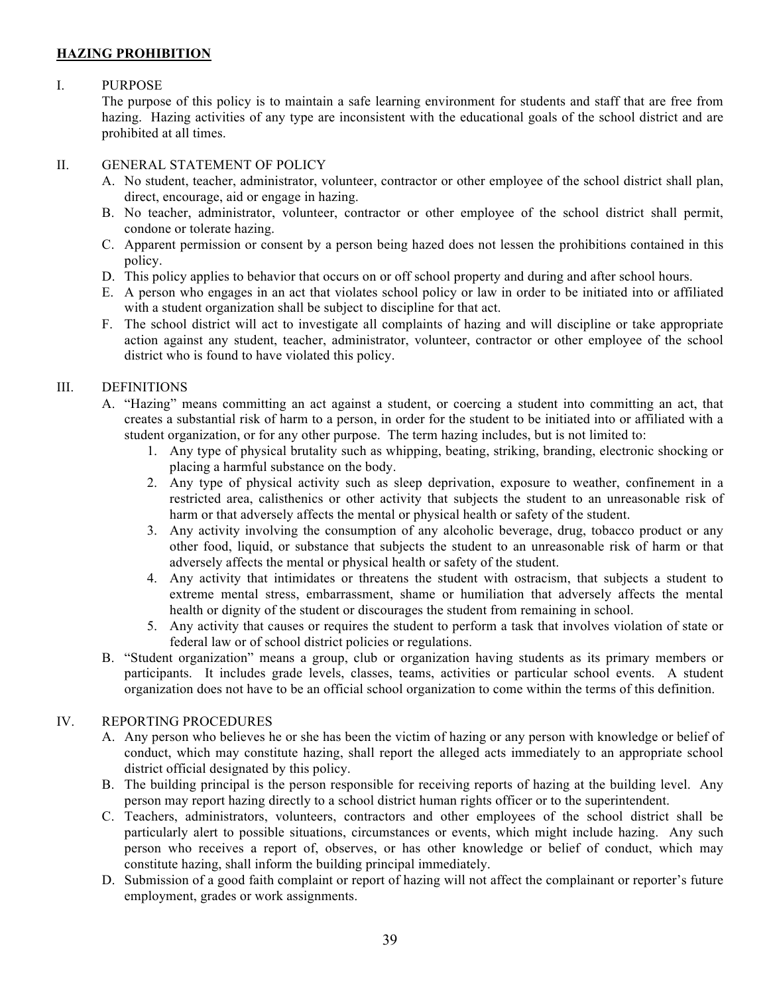# **HAZING PROHIBITION**

## I. PURPOSE

The purpose of this policy is to maintain a safe learning environment for students and staff that are free from hazing. Hazing activities of any type are inconsistent with the educational goals of the school district and are prohibited at all times.

## II. GENERAL STATEMENT OF POLICY

- A. No student, teacher, administrator, volunteer, contractor or other employee of the school district shall plan, direct, encourage, aid or engage in hazing.
- B. No teacher, administrator, volunteer, contractor or other employee of the school district shall permit, condone or tolerate hazing.
- C. Apparent permission or consent by a person being hazed does not lessen the prohibitions contained in this policy.
- D. This policy applies to behavior that occurs on or off school property and during and after school hours.
- E. A person who engages in an act that violates school policy or law in order to be initiated into or affiliated with a student organization shall be subject to discipline for that act.
- F. The school district will act to investigate all complaints of hazing and will discipline or take appropriate action against any student, teacher, administrator, volunteer, contractor or other employee of the school district who is found to have violated this policy.

# III. DEFINITIONS

- A. "Hazing" means committing an act against a student, or coercing a student into committing an act, that creates a substantial risk of harm to a person, in order for the student to be initiated into or affiliated with a student organization, or for any other purpose. The term hazing includes, but is not limited to:
	- 1. Any type of physical brutality such as whipping, beating, striking, branding, electronic shocking or placing a harmful substance on the body.
	- 2. Any type of physical activity such as sleep deprivation, exposure to weather, confinement in a restricted area, calisthenics or other activity that subjects the student to an unreasonable risk of harm or that adversely affects the mental or physical health or safety of the student.
	- 3. Any activity involving the consumption of any alcoholic beverage, drug, tobacco product or any other food, liquid, or substance that subjects the student to an unreasonable risk of harm or that adversely affects the mental or physical health or safety of the student.
	- 4. Any activity that intimidates or threatens the student with ostracism, that subjects a student to extreme mental stress, embarrassment, shame or humiliation that adversely affects the mental health or dignity of the student or discourages the student from remaining in school.
	- 5. Any activity that causes or requires the student to perform a task that involves violation of state or federal law or of school district policies or regulations.
- B. "Student organization" means a group, club or organization having students as its primary members or participants. It includes grade levels, classes, teams, activities or particular school events. A student organization does not have to be an official school organization to come within the terms of this definition.

## IV. REPORTING PROCEDURES

- A. Any person who believes he or she has been the victim of hazing or any person with knowledge or belief of conduct, which may constitute hazing, shall report the alleged acts immediately to an appropriate school district official designated by this policy.
- B. The building principal is the person responsible for receiving reports of hazing at the building level. Any person may report hazing directly to a school district human rights officer or to the superintendent.
- C. Teachers, administrators, volunteers, contractors and other employees of the school district shall be particularly alert to possible situations, circumstances or events, which might include hazing. Any such person who receives a report of, observes, or has other knowledge or belief of conduct, which may constitute hazing, shall inform the building principal immediately.
- D. Submission of a good faith complaint or report of hazing will not affect the complainant or reporter's future employment, grades or work assignments.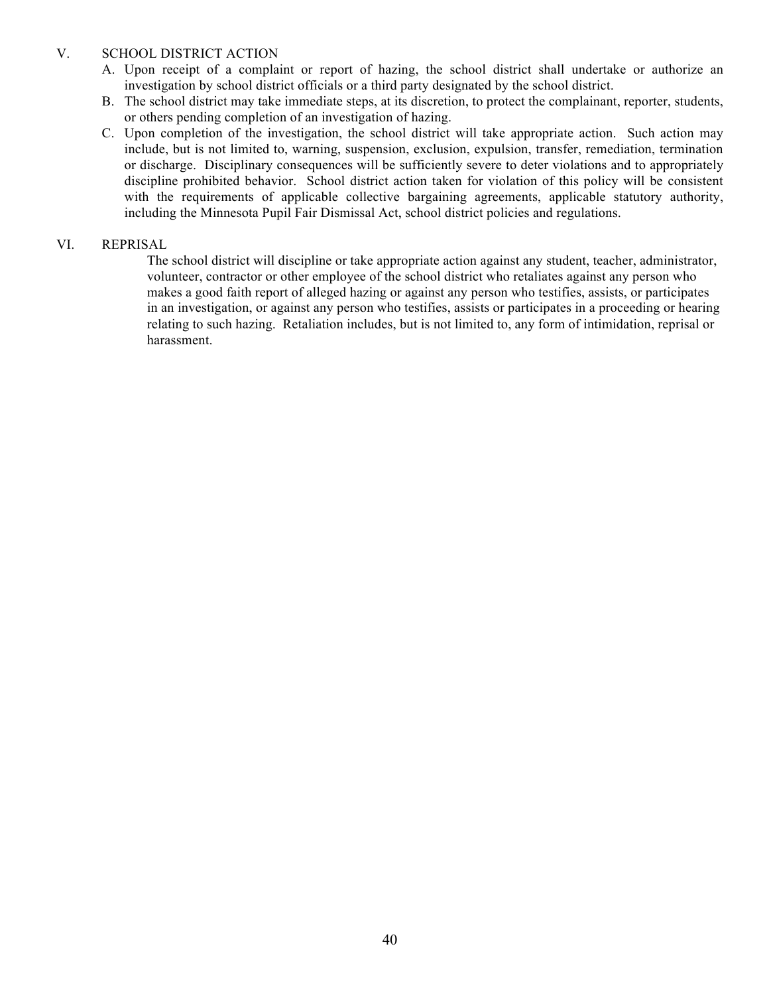## V. SCHOOL DISTRICT ACTION

- A. Upon receipt of a complaint or report of hazing, the school district shall undertake or authorize an investigation by school district officials or a third party designated by the school district.
- B. The school district may take immediate steps, at its discretion, to protect the complainant, reporter, students, or others pending completion of an investigation of hazing.
- C. Upon completion of the investigation, the school district will take appropriate action. Such action may include, but is not limited to, warning, suspension, exclusion, expulsion, transfer, remediation, termination or discharge. Disciplinary consequences will be sufficiently severe to deter violations and to appropriately discipline prohibited behavior. School district action taken for violation of this policy will be consistent with the requirements of applicable collective bargaining agreements, applicable statutory authority, including the Minnesota Pupil Fair Dismissal Act, school district policies and regulations.

## VI. REPRISAL

The school district will discipline or take appropriate action against any student, teacher, administrator, volunteer, contractor or other employee of the school district who retaliates against any person who makes a good faith report of alleged hazing or against any person who testifies, assists, or participates in an investigation, or against any person who testifies, assists or participates in a proceeding or hearing relating to such hazing. Retaliation includes, but is not limited to, any form of intimidation, reprisal or harassment.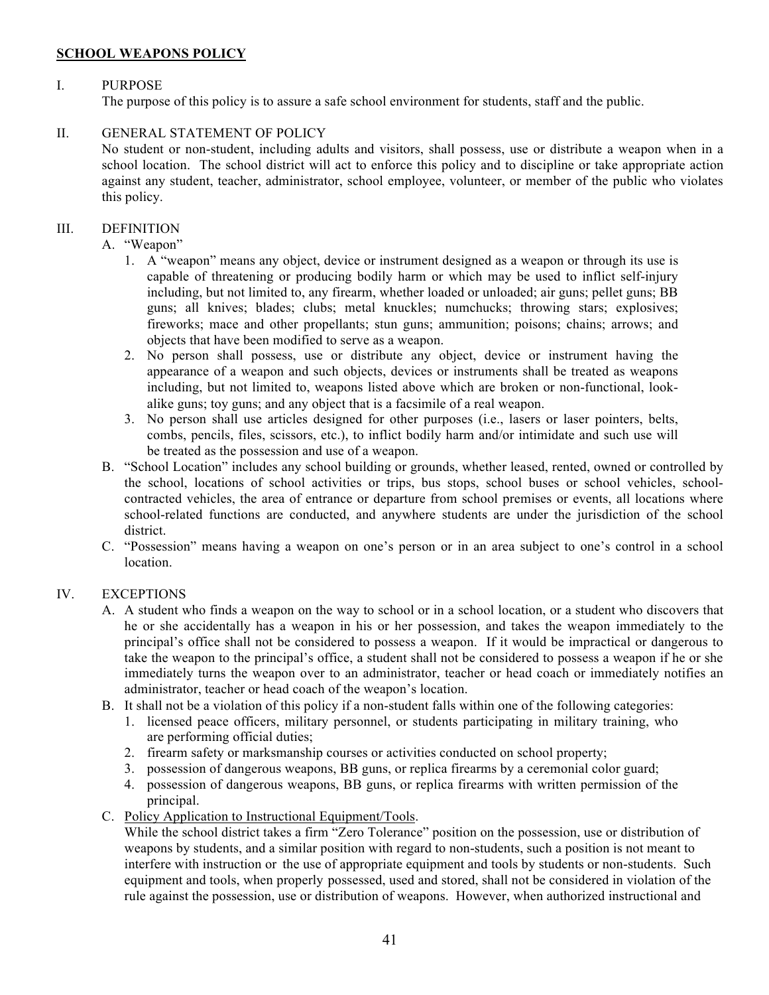## **SCHOOL WEAPONS POLICY**

# I. PURPOSE

The purpose of this policy is to assure a safe school environment for students, staff and the public.

## II. GENERAL STATEMENT OF POLICY

No student or non-student, including adults and visitors, shall possess, use or distribute a weapon when in a school location. The school district will act to enforce this policy and to discipline or take appropriate action against any student, teacher, administrator, school employee, volunteer, or member of the public who violates this policy.

## III. DEFINITION

- A. "Weapon"
	- 1. A "weapon" means any object, device or instrument designed as a weapon or through its use is capable of threatening or producing bodily harm or which may be used to inflict self-injury including, but not limited to, any firearm, whether loaded or unloaded; air guns; pellet guns; BB guns; all knives; blades; clubs; metal knuckles; numchucks; throwing stars; explosives; fireworks; mace and other propellants; stun guns; ammunition; poisons; chains; arrows; and objects that have been modified to serve as a weapon.
	- 2. No person shall possess, use or distribute any object, device or instrument having the appearance of a weapon and such objects, devices or instruments shall be treated as weapons including, but not limited to, weapons listed above which are broken or non-functional, lookalike guns; toy guns; and any object that is a facsimile of a real weapon.
	- 3. No person shall use articles designed for other purposes (i.e., lasers or laser pointers, belts, combs, pencils, files, scissors, etc.), to inflict bodily harm and/or intimidate and such use will be treated as the possession and use of a weapon.
- B. "School Location" includes any school building or grounds, whether leased, rented, owned or controlled by the school, locations of school activities or trips, bus stops, school buses or school vehicles, schoolcontracted vehicles, the area of entrance or departure from school premises or events, all locations where school-related functions are conducted, and anywhere students are under the jurisdiction of the school district.
- C. "Possession" means having a weapon on one's person or in an area subject to one's control in a school location.

# IV. EXCEPTIONS

- A. A student who finds a weapon on the way to school or in a school location, or a student who discovers that he or she accidentally has a weapon in his or her possession, and takes the weapon immediately to the principal's office shall not be considered to possess a weapon. If it would be impractical or dangerous to take the weapon to the principal's office, a student shall not be considered to possess a weapon if he or she immediately turns the weapon over to an administrator, teacher or head coach or immediately notifies an administrator, teacher or head coach of the weapon's location.
- B. It shall not be a violation of this policy if a non-student falls within one of the following categories:
	- 1. licensed peace officers, military personnel, or students participating in military training, who are performing official duties;
	- 2. firearm safety or marksmanship courses or activities conducted on school property;
	- 3. possession of dangerous weapons, BB guns, or replica firearms by a ceremonial color guard;
	- 4. possession of dangerous weapons, BB guns, or replica firearms with written permission of the principal.
- C. Policy Application to Instructional Equipment/Tools.

While the school district takes a firm "Zero Tolerance" position on the possession, use or distribution of weapons by students, and a similar position with regard to non-students, such a position is not meant to interfere with instruction or the use of appropriate equipment and tools by students or non-students. Such equipment and tools, when properly possessed, used and stored, shall not be considered in violation of the rule against the possession, use or distribution of weapons. However, when authorized instructional and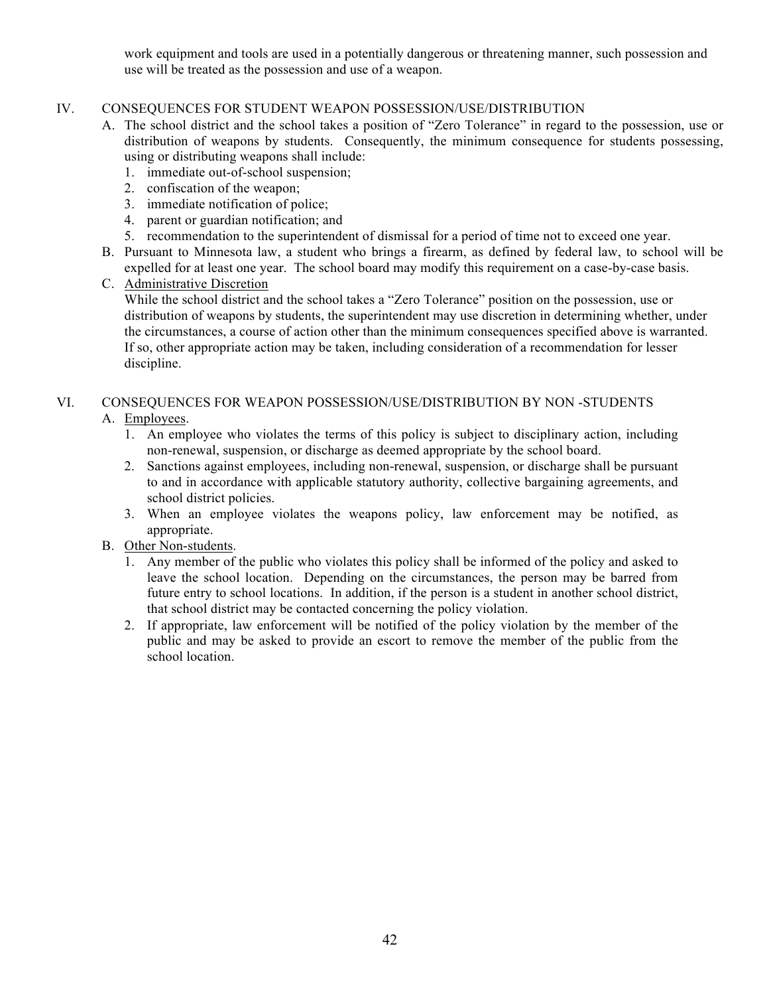work equipment and tools are used in a potentially dangerous or threatening manner, such possession and use will be treated as the possession and use of a weapon.

## IV. CONSEQUENCES FOR STUDENT WEAPON POSSESSION/USE/DISTRIBUTION

- A. The school district and the school takes a position of "Zero Tolerance" in regard to the possession, use or distribution of weapons by students. Consequently, the minimum consequence for students possessing, using or distributing weapons shall include:
	- 1. immediate out-of-school suspension;
	- 2. confiscation of the weapon;
	- 3. immediate notification of police;
	- 4. parent or guardian notification; and
	- 5. recommendation to the superintendent of dismissal for a period of time not to exceed one year.
- B. Pursuant to Minnesota law, a student who brings a firearm, as defined by federal law, to school will be expelled for at least one year. The school board may modify this requirement on a case-by-case basis.
- C. Administrative Discretion

While the school district and the school takes a "Zero Tolerance" position on the possession, use or distribution of weapons by students, the superintendent may use discretion in determining whether, under the circumstances, a course of action other than the minimum consequences specified above is warranted. If so, other appropriate action may be taken, including consideration of a recommendation for lesser discipline.

# VI. CONSEQUENCES FOR WEAPON POSSESSION/USE/DISTRIBUTION BY NON -STUDENTS

## A. Employees.

- 1. An employee who violates the terms of this policy is subject to disciplinary action, including non-renewal, suspension, or discharge as deemed appropriate by the school board.
- 2. Sanctions against employees, including non-renewal, suspension, or discharge shall be pursuant to and in accordance with applicable statutory authority, collective bargaining agreements, and school district policies.
- 3. When an employee violates the weapons policy, law enforcement may be notified, as appropriate.
- B. Other Non-students.
	- 1. Any member of the public who violates this policy shall be informed of the policy and asked to leave the school location. Depending on the circumstances, the person may be barred from future entry to school locations. In addition, if the person is a student in another school district, that school district may be contacted concerning the policy violation.
	- 2. If appropriate, law enforcement will be notified of the policy violation by the member of the public and may be asked to provide an escort to remove the member of the public from the school location.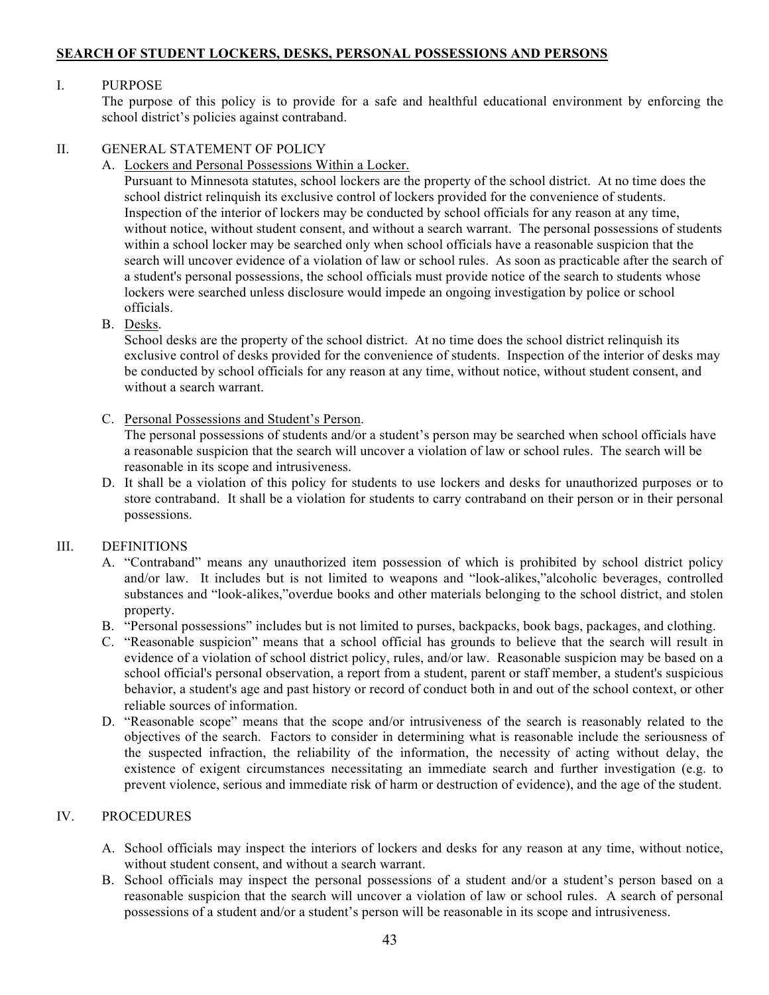## **SEARCH OF STUDENT LOCKERS, DESKS, PERSONAL POSSESSIONS AND PERSONS**

## I. PURPOSE

The purpose of this policy is to provide for a safe and healthful educational environment by enforcing the school district's policies against contraband.

## II. GENERAL STATEMENT OF POLICY

A. Lockers and Personal Possessions Within a Locker.

Pursuant to Minnesota statutes, school lockers are the property of the school district. At no time does the school district relinquish its exclusive control of lockers provided for the convenience of students. Inspection of the interior of lockers may be conducted by school officials for any reason at any time, without notice, without student consent, and without a search warrant. The personal possessions of students within a school locker may be searched only when school officials have a reasonable suspicion that the search will uncover evidence of a violation of law or school rules. As soon as practicable after the search of a student's personal possessions, the school officials must provide notice of the search to students whose lockers were searched unless disclosure would impede an ongoing investigation by police or school officials.

B. Desks.

School desks are the property of the school district. At no time does the school district relinquish its exclusive control of desks provided for the convenience of students. Inspection of the interior of desks may be conducted by school officials for any reason at any time, without notice, without student consent, and without a search warrant.

C. Personal Possessions and Student's Person.

The personal possessions of students and/or a student's person may be searched when school officials have a reasonable suspicion that the search will uncover a violation of law or school rules. The search will be reasonable in its scope and intrusiveness.

D. It shall be a violation of this policy for students to use lockers and desks for unauthorized purposes or to store contraband. It shall be a violation for students to carry contraband on their person or in their personal possessions.

## III. DEFINITIONS

- A. "Contraband" means any unauthorized item possession of which is prohibited by school district policy and/or law. It includes but is not limited to weapons and "look-alikes,"alcoholic beverages, controlled substances and "look-alikes,"overdue books and other materials belonging to the school district, and stolen property.
- B. "Personal possessions" includes but is not limited to purses, backpacks, book bags, packages, and clothing.
- C. "Reasonable suspicion" means that a school official has grounds to believe that the search will result in evidence of a violation of school district policy, rules, and/or law. Reasonable suspicion may be based on a school official's personal observation, a report from a student, parent or staff member, a student's suspicious behavior, a student's age and past history or record of conduct both in and out of the school context, or other reliable sources of information.
- D. "Reasonable scope" means that the scope and/or intrusiveness of the search is reasonably related to the objectives of the search. Factors to consider in determining what is reasonable include the seriousness of the suspected infraction, the reliability of the information, the necessity of acting without delay, the existence of exigent circumstances necessitating an immediate search and further investigation (e.g. to prevent violence, serious and immediate risk of harm or destruction of evidence), and the age of the student.

## IV. PROCEDURES

- A. School officials may inspect the interiors of lockers and desks for any reason at any time, without notice, without student consent, and without a search warrant.
- B. School officials may inspect the personal possessions of a student and/or a student's person based on a reasonable suspicion that the search will uncover a violation of law or school rules. A search of personal possessions of a student and/or a student's person will be reasonable in its scope and intrusiveness.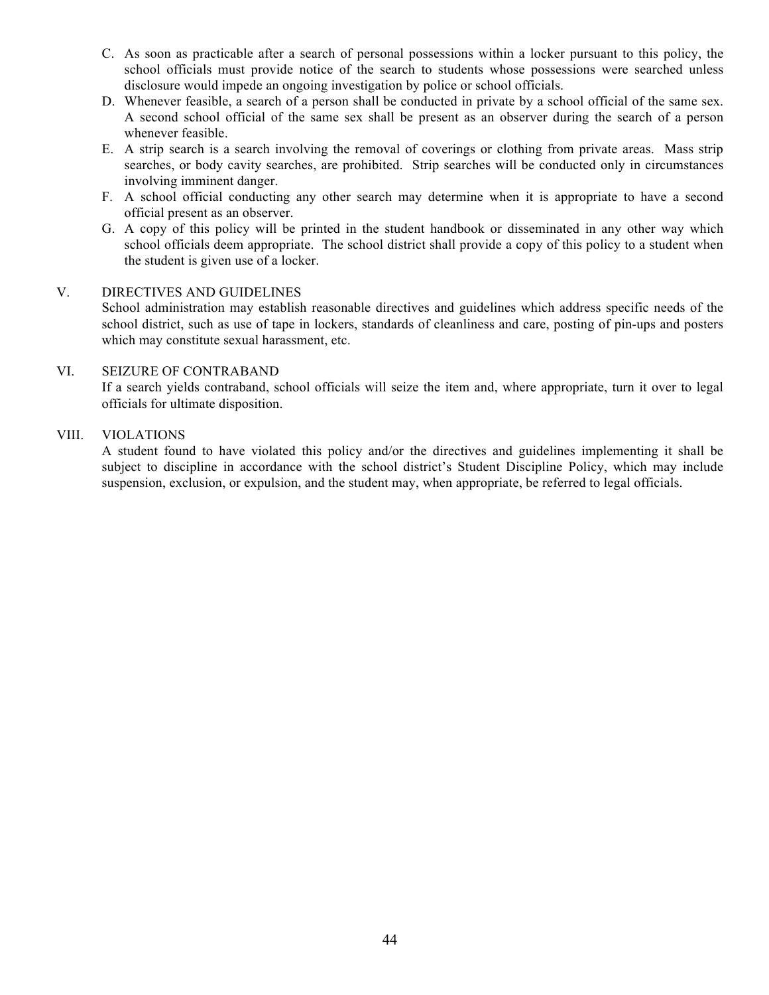- C. As soon as practicable after a search of personal possessions within a locker pursuant to this policy, the school officials must provide notice of the search to students whose possessions were searched unless disclosure would impede an ongoing investigation by police or school officials.
- D. Whenever feasible, a search of a person shall be conducted in private by a school official of the same sex. A second school official of the same sex shall be present as an observer during the search of a person whenever feasible.
- E. A strip search is a search involving the removal of coverings or clothing from private areas. Mass strip searches, or body cavity searches, are prohibited. Strip searches will be conducted only in circumstances involving imminent danger.
- F. A school official conducting any other search may determine when it is appropriate to have a second official present as an observer.
- G. A copy of this policy will be printed in the student handbook or disseminated in any other way which school officials deem appropriate. The school district shall provide a copy of this policy to a student when the student is given use of a locker.

## V. DIRECTIVES AND GUIDELINES

School administration may establish reasonable directives and guidelines which address specific needs of the school district, such as use of tape in lockers, standards of cleanliness and care, posting of pin-ups and posters which may constitute sexual harassment, etc.

#### VI. SEIZURE OF CONTRABAND

If a search yields contraband, school officials will seize the item and, where appropriate, turn it over to legal officials for ultimate disposition.

## VIII. VIOLATIONS

A student found to have violated this policy and/or the directives and guidelines implementing it shall be subject to discipline in accordance with the school district's Student Discipline Policy, which may include suspension, exclusion, or expulsion, and the student may, when appropriate, be referred to legal officials.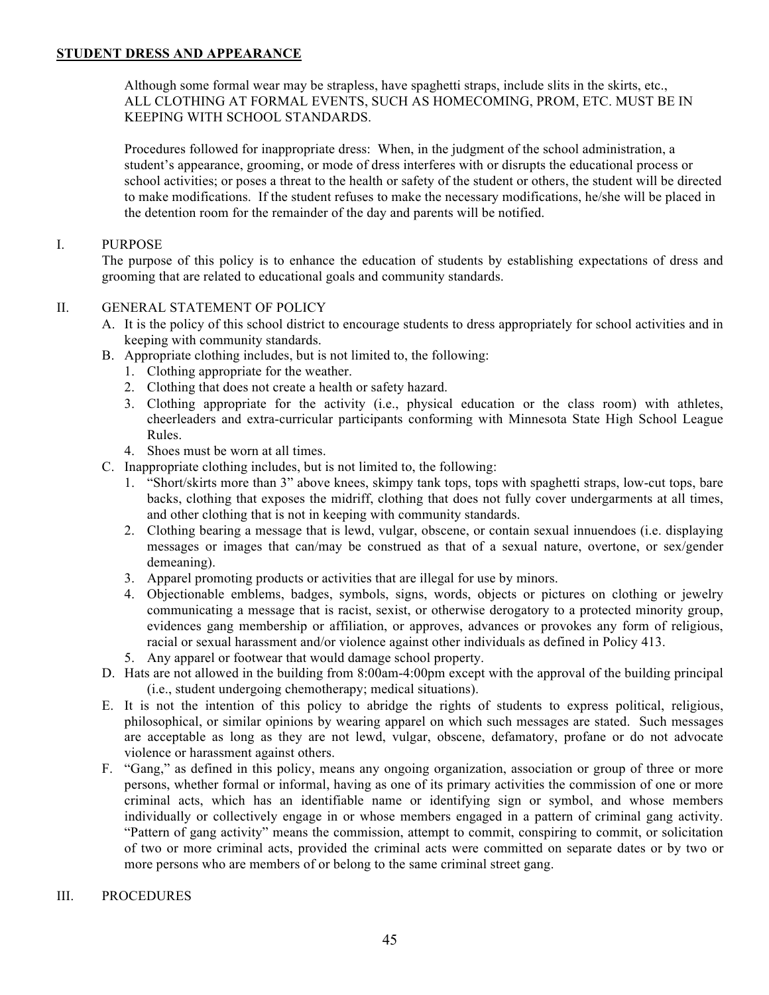## **STUDENT DRESS AND APPEARANCE**

Although some formal wear may be strapless, have spaghetti straps, include slits in the skirts, etc., ALL CLOTHING AT FORMAL EVENTS, SUCH AS HOMECOMING, PROM, ETC. MUST BE IN KEEPING WITH SCHOOL STANDARDS.

Procedures followed for inappropriate dress: When, in the judgment of the school administration, a student's appearance, grooming, or mode of dress interferes with or disrupts the educational process or school activities; or poses a threat to the health or safety of the student or others, the student will be directed to make modifications. If the student refuses to make the necessary modifications, he/she will be placed in the detention room for the remainder of the day and parents will be notified.

## I. PURPOSE

The purpose of this policy is to enhance the education of students by establishing expectations of dress and grooming that are related to educational goals and community standards.

## II. GENERAL STATEMENT OF POLICY

- A. It is the policy of this school district to encourage students to dress appropriately for school activities and in keeping with community standards.
- B. Appropriate clothing includes, but is not limited to, the following:
	- 1. Clothing appropriate for the weather.
	- 2. Clothing that does not create a health or safety hazard.
	- 3. Clothing appropriate for the activity (i.e., physical education or the class room) with athletes, cheerleaders and extra-curricular participants conforming with Minnesota State High School League Rules.
	- 4. Shoes must be worn at all times.
- C. Inappropriate clothing includes, but is not limited to, the following:
	- 1. "Short/skirts more than 3" above knees, skimpy tank tops, tops with spaghetti straps, low-cut tops, bare backs, clothing that exposes the midriff, clothing that does not fully cover undergarments at all times, and other clothing that is not in keeping with community standards.
	- 2. Clothing bearing a message that is lewd, vulgar, obscene, or contain sexual innuendoes (i.e. displaying messages or images that can/may be construed as that of a sexual nature, overtone, or sex/gender demeaning).
	- 3. Apparel promoting products or activities that are illegal for use by minors.
	- 4. Objectionable emblems, badges, symbols, signs, words, objects or pictures on clothing or jewelry communicating a message that is racist, sexist, or otherwise derogatory to a protected minority group, evidences gang membership or affiliation, or approves, advances or provokes any form of religious, racial or sexual harassment and/or violence against other individuals as defined in Policy 413.
	- 5. Any apparel or footwear that would damage school property.
- D. Hats are not allowed in the building from 8:00am-4:00pm except with the approval of the building principal (i.e., student undergoing chemotherapy; medical situations).
- E. It is not the intention of this policy to abridge the rights of students to express political, religious, philosophical, or similar opinions by wearing apparel on which such messages are stated. Such messages are acceptable as long as they are not lewd, vulgar, obscene, defamatory, profane or do not advocate violence or harassment against others.
- F. "Gang," as defined in this policy, means any ongoing organization, association or group of three or more persons, whether formal or informal, having as one of its primary activities the commission of one or more criminal acts, which has an identifiable name or identifying sign or symbol, and whose members individually or collectively engage in or whose members engaged in a pattern of criminal gang activity. "Pattern of gang activity" means the commission, attempt to commit, conspiring to commit, or solicitation of two or more criminal acts, provided the criminal acts were committed on separate dates or by two or more persons who are members of or belong to the same criminal street gang.

## III. PROCEDURES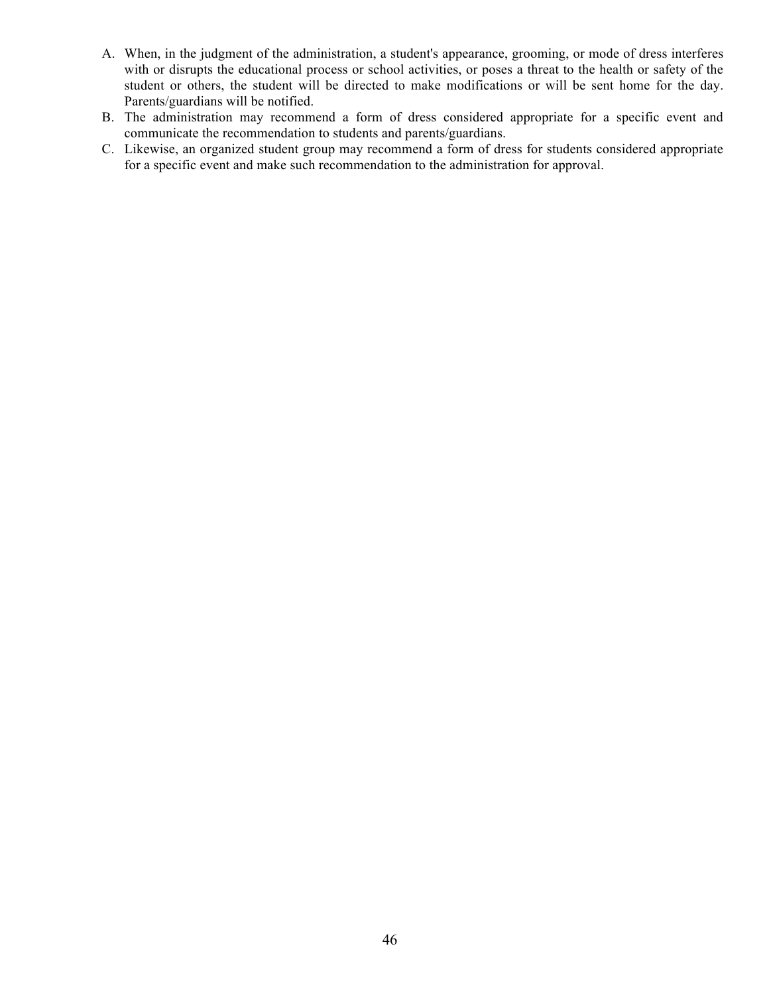- A. When, in the judgment of the administration, a student's appearance, grooming, or mode of dress interferes with or disrupts the educational process or school activities, or poses a threat to the health or safety of the student or others, the student will be directed to make modifications or will be sent home for the day. Parents/guardians will be notified.
- B. The administration may recommend a form of dress considered appropriate for a specific event and communicate the recommendation to students and parents/guardians.
- C. Likewise, an organized student group may recommend a form of dress for students considered appropriate for a specific event and make such recommendation to the administration for approval.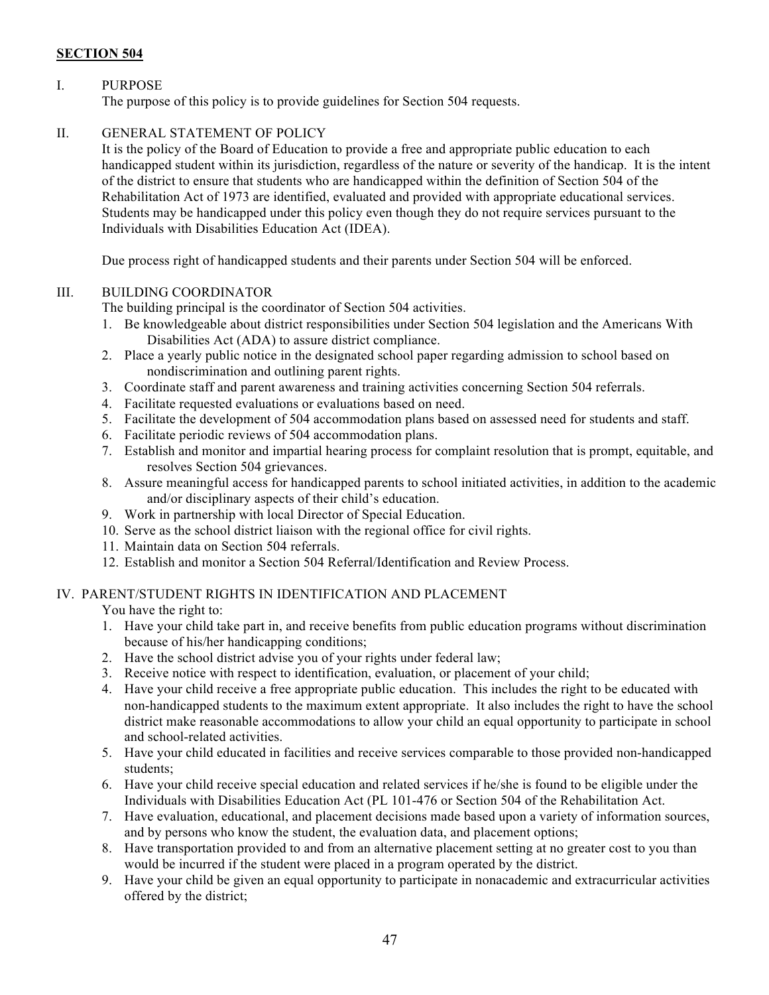# **SECTION 504**

## I. PURPOSE

The purpose of this policy is to provide guidelines for Section 504 requests.

## II. GENERAL STATEMENT OF POLICY

It is the policy of the Board of Education to provide a free and appropriate public education to each handicapped student within its jurisdiction, regardless of the nature or severity of the handicap. It is the intent of the district to ensure that students who are handicapped within the definition of Section 504 of the Rehabilitation Act of 1973 are identified, evaluated and provided with appropriate educational services. Students may be handicapped under this policy even though they do not require services pursuant to the Individuals with Disabilities Education Act (IDEA).

Due process right of handicapped students and their parents under Section 504 will be enforced.

## III. BUILDING COORDINATOR

The building principal is the coordinator of Section 504 activities.

- 1. Be knowledgeable about district responsibilities under Section 504 legislation and the Americans With Disabilities Act (ADA) to assure district compliance.
- 2. Place a yearly public notice in the designated school paper regarding admission to school based on nondiscrimination and outlining parent rights.
- 3. Coordinate staff and parent awareness and training activities concerning Section 504 referrals.
- 4. Facilitate requested evaluations or evaluations based on need.
- 5. Facilitate the development of 504 accommodation plans based on assessed need for students and staff.
- 6. Facilitate periodic reviews of 504 accommodation plans.
- 7. Establish and monitor and impartial hearing process for complaint resolution that is prompt, equitable, and resolves Section 504 grievances.
- 8. Assure meaningful access for handicapped parents to school initiated activities, in addition to the academic and/or disciplinary aspects of their child's education.
- 9. Work in partnership with local Director of Special Education.
- 10. Serve as the school district liaison with the regional office for civil rights.
- 11. Maintain data on Section 504 referrals.
- 12. Establish and monitor a Section 504 Referral/Identification and Review Process.

## IV. PARENT/STUDENT RIGHTS IN IDENTIFICATION AND PLACEMENT

You have the right to:

- 1. Have your child take part in, and receive benefits from public education programs without discrimination because of his/her handicapping conditions;
- 2. Have the school district advise you of your rights under federal law;
- 3. Receive notice with respect to identification, evaluation, or placement of your child;
- 4. Have your child receive a free appropriate public education. This includes the right to be educated with non-handicapped students to the maximum extent appropriate. It also includes the right to have the school district make reasonable accommodations to allow your child an equal opportunity to participate in school and school-related activities.
- 5. Have your child educated in facilities and receive services comparable to those provided non-handicapped students;
- 6. Have your child receive special education and related services if he/she is found to be eligible under the Individuals with Disabilities Education Act (PL 101-476 or Section 504 of the Rehabilitation Act.
- 7. Have evaluation, educational, and placement decisions made based upon a variety of information sources, and by persons who know the student, the evaluation data, and placement options;
- 8. Have transportation provided to and from an alternative placement setting at no greater cost to you than would be incurred if the student were placed in a program operated by the district.
- 9. Have your child be given an equal opportunity to participate in nonacademic and extracurricular activities offered by the district;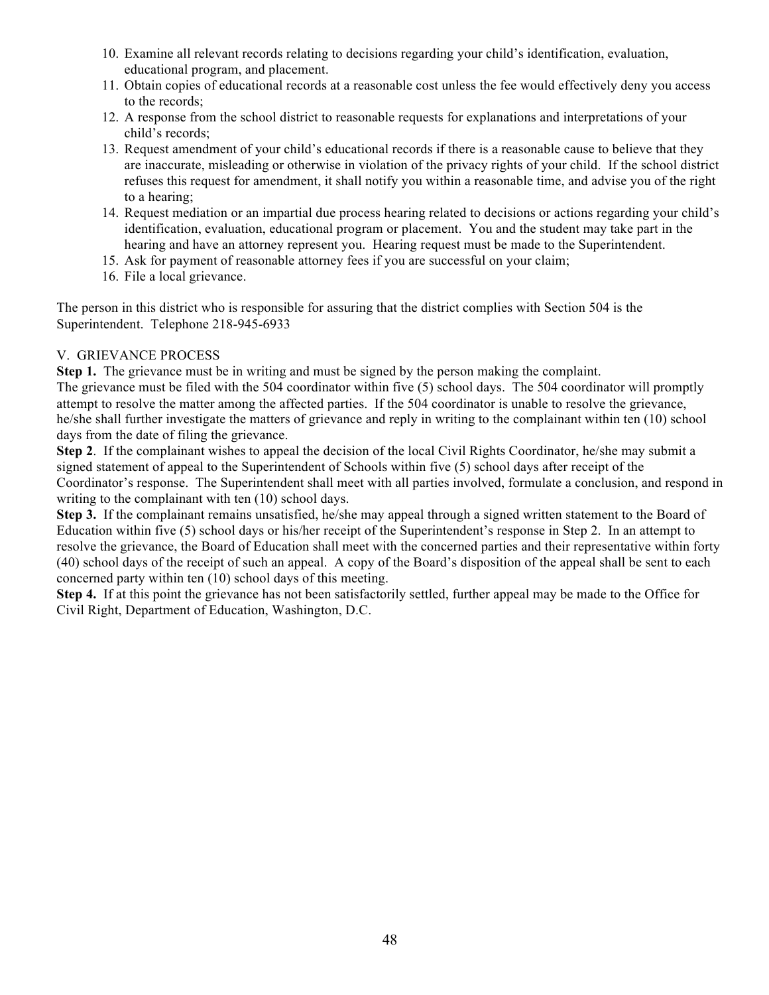- 10. Examine all relevant records relating to decisions regarding your child's identification, evaluation, educational program, and placement.
- 11. Obtain copies of educational records at a reasonable cost unless the fee would effectively deny you access to the records;
- 12. A response from the school district to reasonable requests for explanations and interpretations of your child's records;
- 13. Request amendment of your child's educational records if there is a reasonable cause to believe that they are inaccurate, misleading or otherwise in violation of the privacy rights of your child. If the school district refuses this request for amendment, it shall notify you within a reasonable time, and advise you of the right to a hearing;
- 14. Request mediation or an impartial due process hearing related to decisions or actions regarding your child's identification, evaluation, educational program or placement. You and the student may take part in the hearing and have an attorney represent you. Hearing request must be made to the Superintendent.
- 15. Ask for payment of reasonable attorney fees if you are successful on your claim;
- 16. File a local grievance.

The person in this district who is responsible for assuring that the district complies with Section 504 is the Superintendent. Telephone 218-945-6933

# V. GRIEVANCE PROCESS

**Step 1.** The grievance must be in writing and must be signed by the person making the complaint. The grievance must be filed with the 504 coordinator within five (5) school days. The 504 coordinator will promptly attempt to resolve the matter among the affected parties. If the 504 coordinator is unable to resolve the grievance, he/she shall further investigate the matters of grievance and reply in writing to the complainant within ten (10) school days from the date of filing the grievance.

**Step 2.** If the complainant wishes to appeal the decision of the local Civil Rights Coordinator, he/she may submit a signed statement of appeal to the Superintendent of Schools within five (5) school days after receipt of the Coordinator's response. The Superintendent shall meet with all parties involved, formulate a conclusion, and respond in writing to the complainant with ten (10) school days.

**Step 3.** If the complainant remains unsatisfied, he/she may appeal through a signed written statement to the Board of Education within five (5) school days or his/her receipt of the Superintendent's response in Step 2. In an attempt to resolve the grievance, the Board of Education shall meet with the concerned parties and their representative within forty (40) school days of the receipt of such an appeal. A copy of the Board's disposition of the appeal shall be sent to each concerned party within ten (10) school days of this meeting.

**Step 4.** If at this point the grievance has not been satisfactorily settled, further appeal may be made to the Office for Civil Right, Department of Education, Washington, D.C.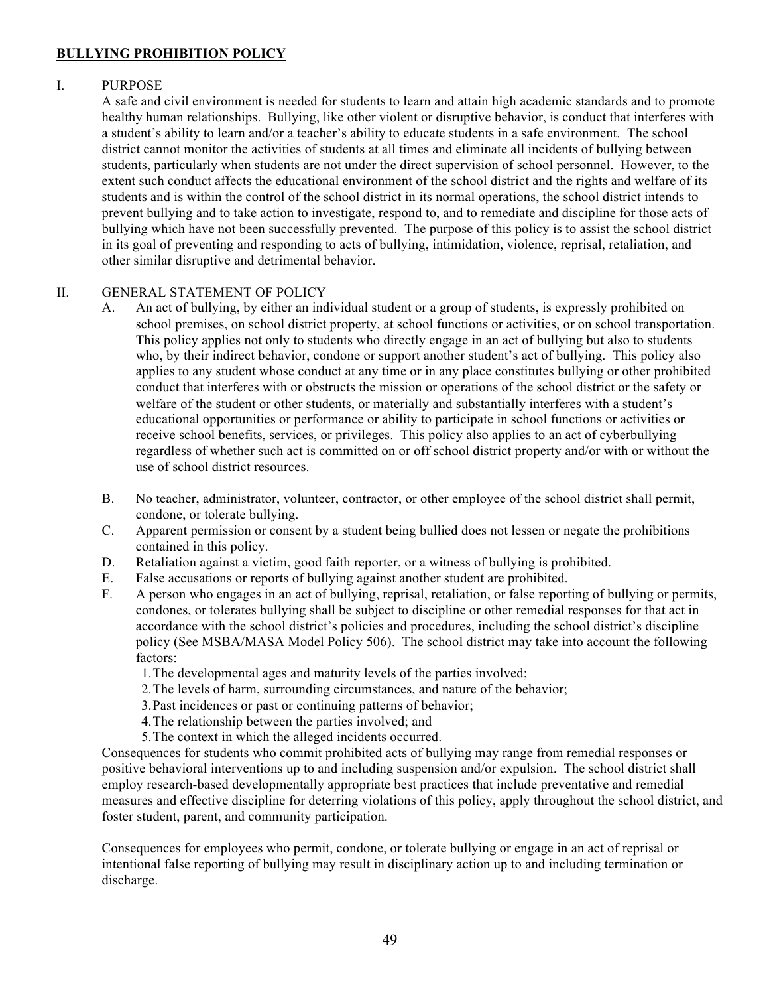## **BULLYING PROHIBITION POLICY**

## I. PURPOSE

A safe and civil environment is needed for students to learn and attain high academic standards and to promote healthy human relationships. Bullying, like other violent or disruptive behavior, is conduct that interferes with a student's ability to learn and/or a teacher's ability to educate students in a safe environment. The school district cannot monitor the activities of students at all times and eliminate all incidents of bullying between students, particularly when students are not under the direct supervision of school personnel. However, to the extent such conduct affects the educational environment of the school district and the rights and welfare of its students and is within the control of the school district in its normal operations, the school district intends to prevent bullying and to take action to investigate, respond to, and to remediate and discipline for those acts of bullying which have not been successfully prevented. The purpose of this policy is to assist the school district in its goal of preventing and responding to acts of bullying, intimidation, violence, reprisal, retaliation, and other similar disruptive and detrimental behavior.

## II. GENERAL STATEMENT OF POLICY

- A. An act of bullying, by either an individual student or a group of students, is expressly prohibited on school premises, on school district property, at school functions or activities, or on school transportation. This policy applies not only to students who directly engage in an act of bullying but also to students who, by their indirect behavior, condone or support another student's act of bullying. This policy also applies to any student whose conduct at any time or in any place constitutes bullying or other prohibited conduct that interferes with or obstructs the mission or operations of the school district or the safety or welfare of the student or other students, or materially and substantially interferes with a student's educational opportunities or performance or ability to participate in school functions or activities or receive school benefits, services, or privileges. This policy also applies to an act of cyberbullying regardless of whether such act is committed on or off school district property and/or with or without the use of school district resources.
- B. No teacher, administrator, volunteer, contractor, or other employee of the school district shall permit, condone, or tolerate bullying.
- C. Apparent permission or consent by a student being bullied does not lessen or negate the prohibitions contained in this policy.
- D. Retaliation against a victim, good faith reporter, or a witness of bullying is prohibited.
- E. False accusations or reports of bullying against another student are prohibited.
- F. A person who engages in an act of bullying, reprisal, retaliation, or false reporting of bullying or permits, condones, or tolerates bullying shall be subject to discipline or other remedial responses for that act in accordance with the school district's policies and procedures, including the school district's discipline policy (See MSBA/MASA Model Policy 506). The school district may take into account the following factors:
	- 1.The developmental ages and maturity levels of the parties involved;
	- 2.The levels of harm, surrounding circumstances, and nature of the behavior;
	- 3.Past incidences or past or continuing patterns of behavior;
	- 4.The relationship between the parties involved; and
	- 5.The context in which the alleged incidents occurred.

Consequences for students who commit prohibited acts of bullying may range from remedial responses or positive behavioral interventions up to and including suspension and/or expulsion. The school district shall employ research-based developmentally appropriate best practices that include preventative and remedial measures and effective discipline for deterring violations of this policy, apply throughout the school district, and foster student, parent, and community participation.

Consequences for employees who permit, condone, or tolerate bullying or engage in an act of reprisal or intentional false reporting of bullying may result in disciplinary action up to and including termination or discharge.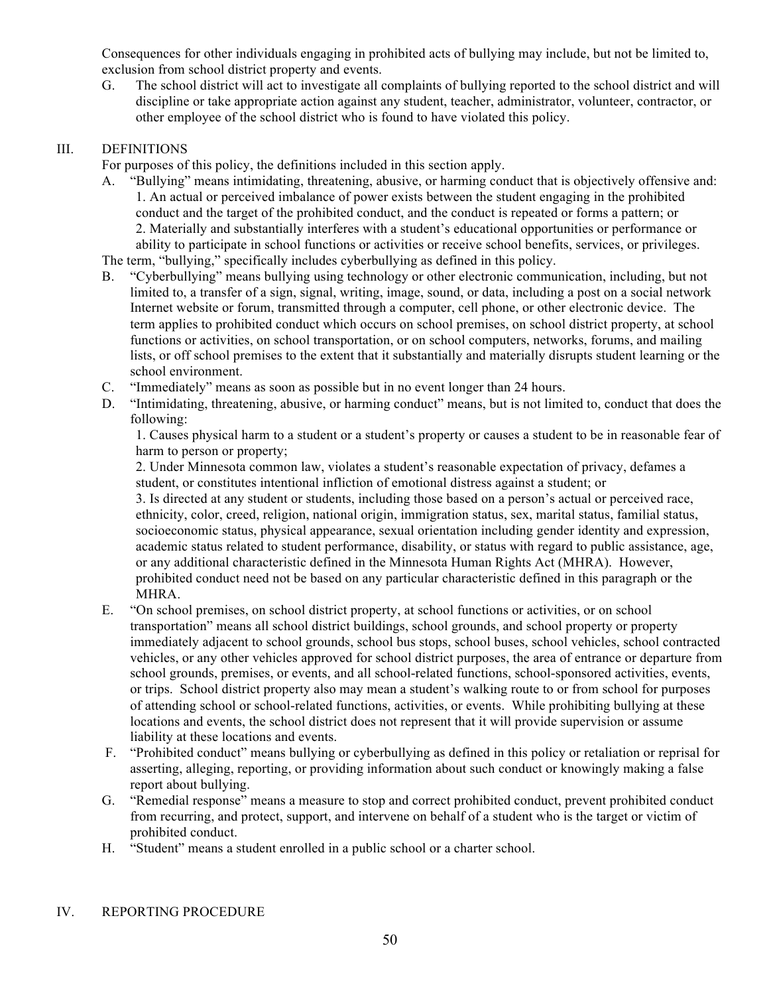Consequences for other individuals engaging in prohibited acts of bullying may include, but not be limited to, exclusion from school district property and events.

G. The school district will act to investigate all complaints of bullying reported to the school district and will discipline or take appropriate action against any student, teacher, administrator, volunteer, contractor, or other employee of the school district who is found to have violated this policy.

# III. DEFINITIONS

For purposes of this policy, the definitions included in this section apply.

A. "Bullying" means intimidating, threatening, abusive, or harming conduct that is objectively offensive and: 1. An actual or perceived imbalance of power exists between the student engaging in the prohibited conduct and the target of the prohibited conduct, and the conduct is repeated or forms a pattern; or 2. Materially and substantially interferes with a student's educational opportunities or performance or ability to participate in school functions or activities or receive school benefits, services, or privileges. The term, "bullying," specifically includes cyberbullying as defined in this policy.

B. "Cyberbullying" means bullying using technology or other electronic communication, including, but not limited to, a transfer of a sign, signal, writing, image, sound, or data, including a post on a social network Internet website or forum, transmitted through a computer, cell phone, or other electronic device. The term applies to prohibited conduct which occurs on school premises, on school district property, at school functions or activities, on school transportation, or on school computers, networks, forums, and mailing lists, or off school premises to the extent that it substantially and materially disrupts student learning or the school environment.

- C. "Immediately" means as soon as possible but in no event longer than 24 hours.
- D. "Intimidating, threatening, abusive, or harming conduct" means, but is not limited to, conduct that does the following:

1. Causes physical harm to a student or a student's property or causes a student to be in reasonable fear of harm to person or property;

2. Under Minnesota common law, violates a student's reasonable expectation of privacy, defames a student, or constitutes intentional infliction of emotional distress against a student; or

3. Is directed at any student or students, including those based on a person's actual or perceived race, ethnicity, color, creed, religion, national origin, immigration status, sex, marital status, familial status, socioeconomic status, physical appearance, sexual orientation including gender identity and expression, academic status related to student performance, disability, or status with regard to public assistance, age, or any additional characteristic defined in the Minnesota Human Rights Act (MHRA). However, prohibited conduct need not be based on any particular characteristic defined in this paragraph or the MHRA.

- E. "On school premises, on school district property, at school functions or activities, or on school transportation" means all school district buildings, school grounds, and school property or property immediately adjacent to school grounds, school bus stops, school buses, school vehicles, school contracted vehicles, or any other vehicles approved for school district purposes, the area of entrance or departure from school grounds, premises, or events, and all school-related functions, school-sponsored activities, events, or trips. School district property also may mean a student's walking route to or from school for purposes of attending school or school-related functions, activities, or events. While prohibiting bullying at these locations and events, the school district does not represent that it will provide supervision or assume liability at these locations and events.
- F. "Prohibited conduct" means bullying or cyberbullying as defined in this policy or retaliation or reprisal for asserting, alleging, reporting, or providing information about such conduct or knowingly making a false report about bullying.
- G. "Remedial response" means a measure to stop and correct prohibited conduct, prevent prohibited conduct from recurring, and protect, support, and intervene on behalf of a student who is the target or victim of prohibited conduct.
- H. "Student" means a student enrolled in a public school or a charter school.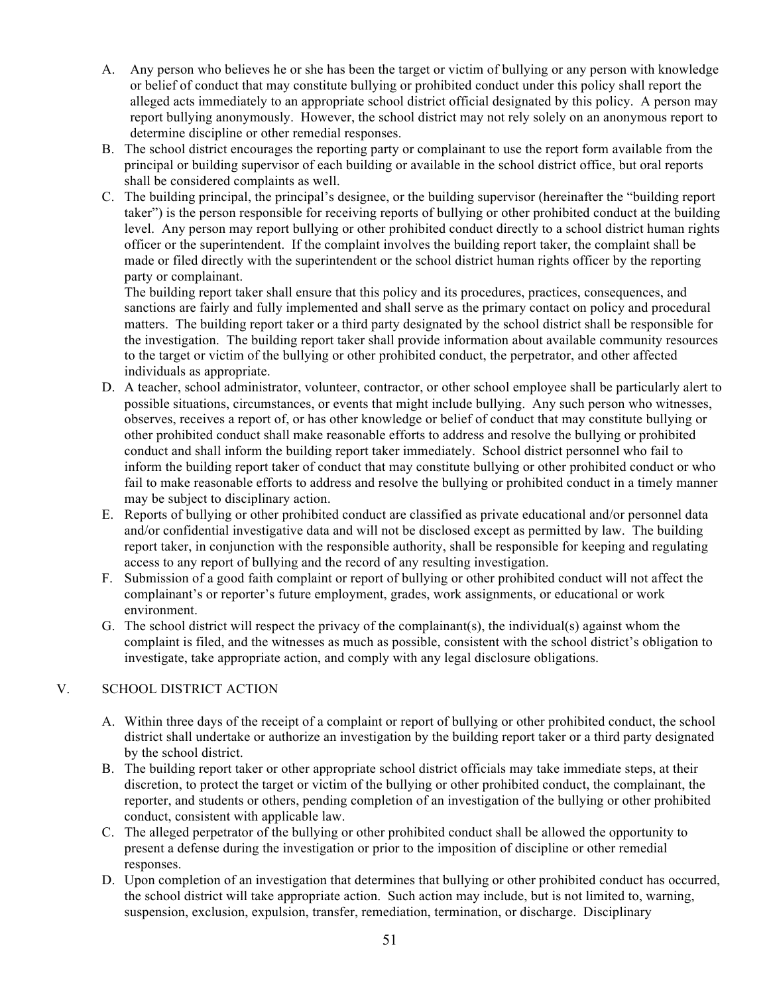- A. Any person who believes he or she has been the target or victim of bullying or any person with knowledge or belief of conduct that may constitute bullying or prohibited conduct under this policy shall report the alleged acts immediately to an appropriate school district official designated by this policy. A person may report bullying anonymously. However, the school district may not rely solely on an anonymous report to determine discipline or other remedial responses.
- B. The school district encourages the reporting party or complainant to use the report form available from the principal or building supervisor of each building or available in the school district office, but oral reports shall be considered complaints as well.
- C. The building principal, the principal's designee, or the building supervisor (hereinafter the "building report taker") is the person responsible for receiving reports of bullying or other prohibited conduct at the building level. Any person may report bullying or other prohibited conduct directly to a school district human rights officer or the superintendent. If the complaint involves the building report taker, the complaint shall be made or filed directly with the superintendent or the school district human rights officer by the reporting party or complainant.

The building report taker shall ensure that this policy and its procedures, practices, consequences, and sanctions are fairly and fully implemented and shall serve as the primary contact on policy and procedural matters. The building report taker or a third party designated by the school district shall be responsible for the investigation. The building report taker shall provide information about available community resources to the target or victim of the bullying or other prohibited conduct, the perpetrator, and other affected individuals as appropriate.

- D. A teacher, school administrator, volunteer, contractor, or other school employee shall be particularly alert to possible situations, circumstances, or events that might include bullying. Any such person who witnesses, observes, receives a report of, or has other knowledge or belief of conduct that may constitute bullying or other prohibited conduct shall make reasonable efforts to address and resolve the bullying or prohibited conduct and shall inform the building report taker immediately. School district personnel who fail to inform the building report taker of conduct that may constitute bullying or other prohibited conduct or who fail to make reasonable efforts to address and resolve the bullying or prohibited conduct in a timely manner may be subject to disciplinary action.
- E. Reports of bullying or other prohibited conduct are classified as private educational and/or personnel data and/or confidential investigative data and will not be disclosed except as permitted by law. The building report taker, in conjunction with the responsible authority, shall be responsible for keeping and regulating access to any report of bullying and the record of any resulting investigation.
- F. Submission of a good faith complaint or report of bullying or other prohibited conduct will not affect the complainant's or reporter's future employment, grades, work assignments, or educational or work environment.
- G. The school district will respect the privacy of the complainant(s), the individual(s) against whom the complaint is filed, and the witnesses as much as possible, consistent with the school district's obligation to investigate, take appropriate action, and comply with any legal disclosure obligations.

# V. SCHOOL DISTRICT ACTION

- A. Within three days of the receipt of a complaint or report of bullying or other prohibited conduct, the school district shall undertake or authorize an investigation by the building report taker or a third party designated by the school district.
- B. The building report taker or other appropriate school district officials may take immediate steps, at their discretion, to protect the target or victim of the bullying or other prohibited conduct, the complainant, the reporter, and students or others, pending completion of an investigation of the bullying or other prohibited conduct, consistent with applicable law.
- C. The alleged perpetrator of the bullying or other prohibited conduct shall be allowed the opportunity to present a defense during the investigation or prior to the imposition of discipline or other remedial responses.
- D. Upon completion of an investigation that determines that bullying or other prohibited conduct has occurred, the school district will take appropriate action. Such action may include, but is not limited to, warning, suspension, exclusion, expulsion, transfer, remediation, termination, or discharge. Disciplinary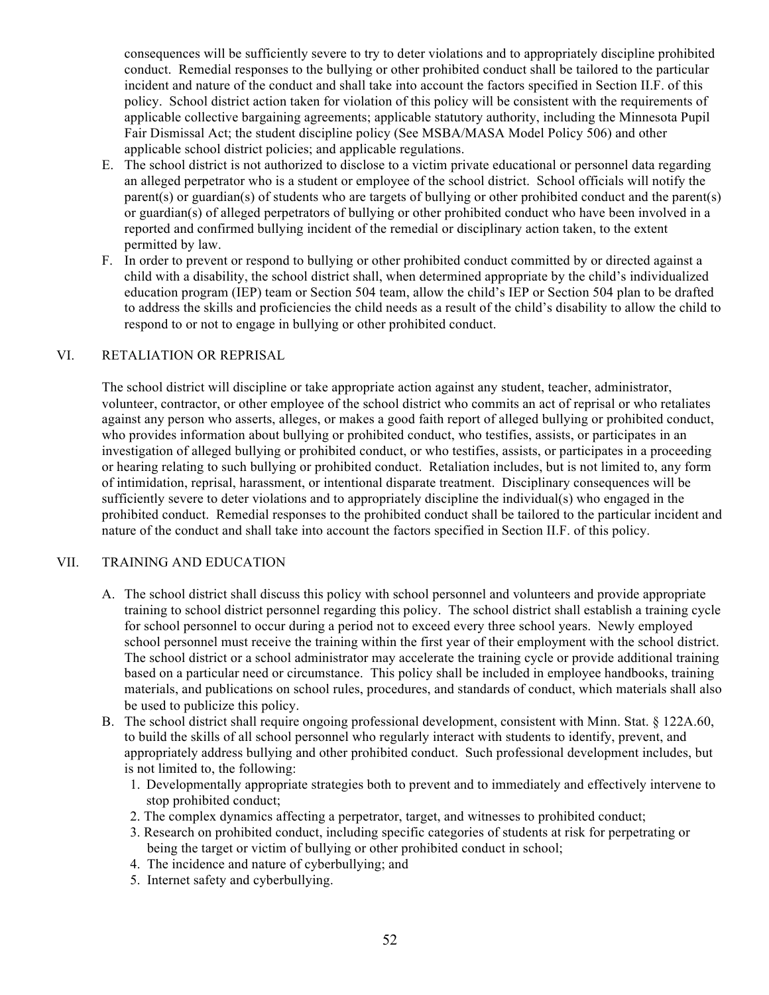consequences will be sufficiently severe to try to deter violations and to appropriately discipline prohibited conduct. Remedial responses to the bullying or other prohibited conduct shall be tailored to the particular incident and nature of the conduct and shall take into account the factors specified in Section II.F. of this policy. School district action taken for violation of this policy will be consistent with the requirements of applicable collective bargaining agreements; applicable statutory authority, including the Minnesota Pupil Fair Dismissal Act; the student discipline policy (See MSBA/MASA Model Policy 506) and other applicable school district policies; and applicable regulations.

- E. The school district is not authorized to disclose to a victim private educational or personnel data regarding an alleged perpetrator who is a student or employee of the school district. School officials will notify the parent(s) or guardian(s) of students who are targets of bullying or other prohibited conduct and the parent(s) or guardian(s) of alleged perpetrators of bullying or other prohibited conduct who have been involved in a reported and confirmed bullying incident of the remedial or disciplinary action taken, to the extent permitted by law.
- F. In order to prevent or respond to bullying or other prohibited conduct committed by or directed against a child with a disability, the school district shall, when determined appropriate by the child's individualized education program (IEP) team or Section 504 team, allow the child's IEP or Section 504 plan to be drafted to address the skills and proficiencies the child needs as a result of the child's disability to allow the child to respond to or not to engage in bullying or other prohibited conduct.

## VI. RETALIATION OR REPRISAL

The school district will discipline or take appropriate action against any student, teacher, administrator, volunteer, contractor, or other employee of the school district who commits an act of reprisal or who retaliates against any person who asserts, alleges, or makes a good faith report of alleged bullying or prohibited conduct, who provides information about bullying or prohibited conduct, who testifies, assists, or participates in an investigation of alleged bullying or prohibited conduct, or who testifies, assists, or participates in a proceeding or hearing relating to such bullying or prohibited conduct. Retaliation includes, but is not limited to, any form of intimidation, reprisal, harassment, or intentional disparate treatment. Disciplinary consequences will be sufficiently severe to deter violations and to appropriately discipline the individual(s) who engaged in the prohibited conduct. Remedial responses to the prohibited conduct shall be tailored to the particular incident and nature of the conduct and shall take into account the factors specified in Section II.F. of this policy.

## VII. TRAINING AND EDUCATION

- A. The school district shall discuss this policy with school personnel and volunteers and provide appropriate training to school district personnel regarding this policy. The school district shall establish a training cycle for school personnel to occur during a period not to exceed every three school years. Newly employed school personnel must receive the training within the first year of their employment with the school district. The school district or a school administrator may accelerate the training cycle or provide additional training based on a particular need or circumstance. This policy shall be included in employee handbooks, training materials, and publications on school rules, procedures, and standards of conduct, which materials shall also be used to publicize this policy.
- B. The school district shall require ongoing professional development, consistent with Minn. Stat. § 122A.60, to build the skills of all school personnel who regularly interact with students to identify, prevent, and appropriately address bullying and other prohibited conduct. Such professional development includes, but is not limited to, the following:
	- 1. Developmentally appropriate strategies both to prevent and to immediately and effectively intervene to stop prohibited conduct;
	- 2. The complex dynamics affecting a perpetrator, target, and witnesses to prohibited conduct;
	- 3. Research on prohibited conduct, including specific categories of students at risk for perpetrating or being the target or victim of bullying or other prohibited conduct in school;
	- 4. The incidence and nature of cyberbullying; and
	- 5. Internet safety and cyberbullying.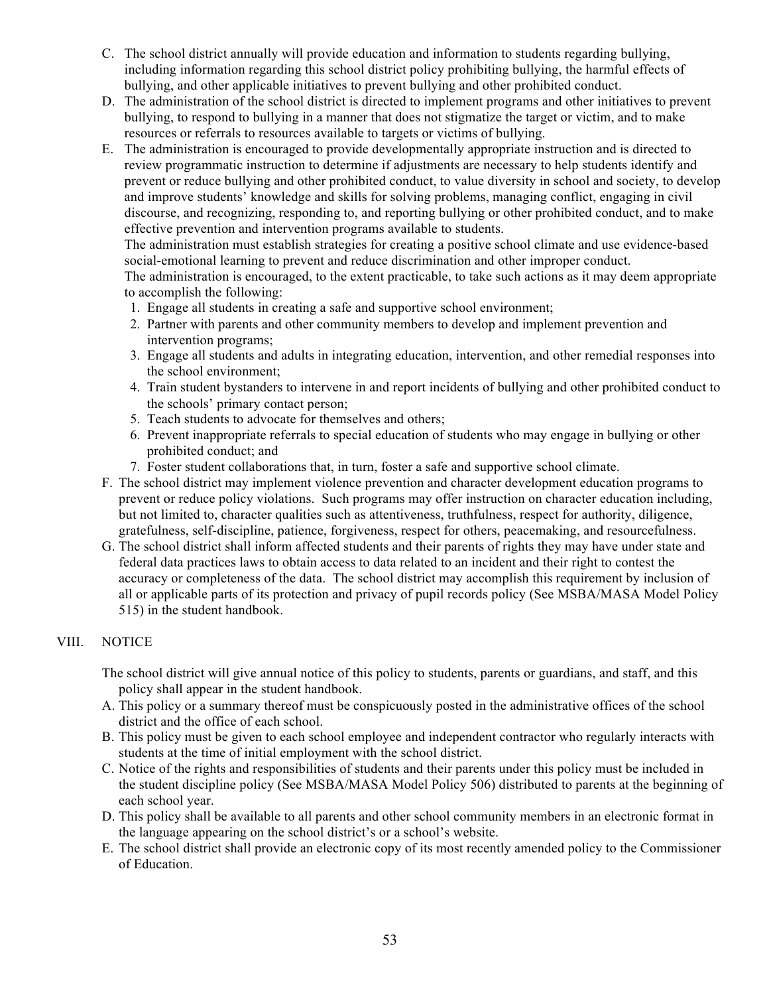- C. The school district annually will provide education and information to students regarding bullying, including information regarding this school district policy prohibiting bullying, the harmful effects of bullying, and other applicable initiatives to prevent bullying and other prohibited conduct.
- D. The administration of the school district is directed to implement programs and other initiatives to prevent bullying, to respond to bullying in a manner that does not stigmatize the target or victim, and to make resources or referrals to resources available to targets or victims of bullying.
- E. The administration is encouraged to provide developmentally appropriate instruction and is directed to review programmatic instruction to determine if adjustments are necessary to help students identify and prevent or reduce bullying and other prohibited conduct, to value diversity in school and society, to develop and improve students' knowledge and skills for solving problems, managing conflict, engaging in civil discourse, and recognizing, responding to, and reporting bullying or other prohibited conduct, and to make effective prevention and intervention programs available to students.

The administration must establish strategies for creating a positive school climate and use evidence-based social-emotional learning to prevent and reduce discrimination and other improper conduct.

The administration is encouraged, to the extent practicable, to take such actions as it may deem appropriate to accomplish the following:

- 1. Engage all students in creating a safe and supportive school environment;
- 2. Partner with parents and other community members to develop and implement prevention and intervention programs;
- 3. Engage all students and adults in integrating education, intervention, and other remedial responses into the school environment;
- 4. Train student bystanders to intervene in and report incidents of bullying and other prohibited conduct to the schools' primary contact person;
- 5. Teach students to advocate for themselves and others;
- 6. Prevent inappropriate referrals to special education of students who may engage in bullying or other prohibited conduct; and
- 7. Foster student collaborations that, in turn, foster a safe and supportive school climate.
- F. The school district may implement violence prevention and character development education programs to prevent or reduce policy violations. Such programs may offer instruction on character education including, but not limited to, character qualities such as attentiveness, truthfulness, respect for authority, diligence, gratefulness, self-discipline, patience, forgiveness, respect for others, peacemaking, and resourcefulness.
- G. The school district shall inform affected students and their parents of rights they may have under state and federal data practices laws to obtain access to data related to an incident and their right to contest the accuracy or completeness of the data. The school district may accomplish this requirement by inclusion of all or applicable parts of its protection and privacy of pupil records policy (See MSBA/MASA Model Policy 515) in the student handbook.

# VIII. NOTICE

The school district will give annual notice of this policy to students, parents or guardians, and staff, and this policy shall appear in the student handbook.

- A. This policy or a summary thereof must be conspicuously posted in the administrative offices of the school district and the office of each school.
- B. This policy must be given to each school employee and independent contractor who regularly interacts with students at the time of initial employment with the school district.
- C. Notice of the rights and responsibilities of students and their parents under this policy must be included in the student discipline policy (See MSBA/MASA Model Policy 506) distributed to parents at the beginning of each school year.
- D. This policy shall be available to all parents and other school community members in an electronic format in the language appearing on the school district's or a school's website.
- E. The school district shall provide an electronic copy of its most recently amended policy to the Commissioner of Education.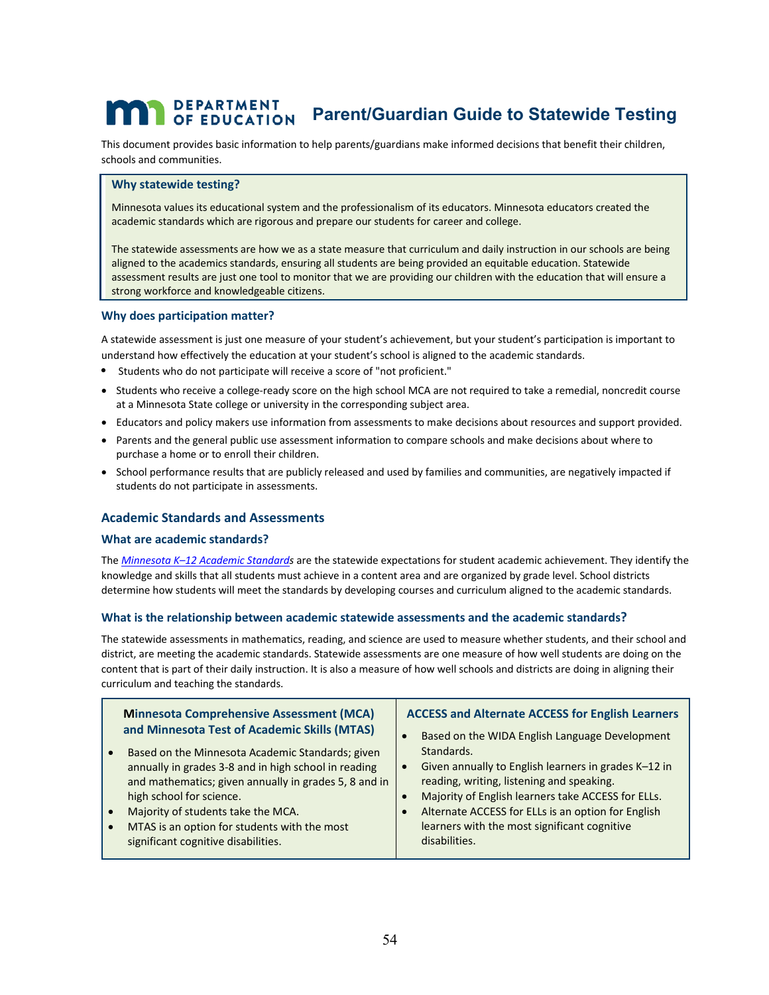# **PEPARTMENT**<br>OF EDUCATION Parent/Guardian Guide to Statewide Testing

This document provides basic information to help parents/guardians make informed decisions that benefit their children, schools and communities.

#### **Why statewide testing?**

Minnesota values its educational system and the professionalism of its educators. Minnesota educators created the academic standards which are rigorous and prepare our students for career and college.

The statewide assessments are how we as a state measure that curriculum and daily instruction in our schools are being aligned to the academics standards, ensuring all students are being provided an equitable education. Statewide assessment results are just one tool to monitor that we are providing our children with the education that will ensure a strong workforce and knowledgeable citizens.

#### **Why does participation matter?**

 A statewide assessment is just one measure of your student's achievement, but your student's participation is important to understand how effectively the education at your student's school is aligned to the academic standards.

- Students who do not participate will receive a score of "not proficient."
- Students who receive a college-ready score on the high school MCA are not required to take a remedial, noncredit course at a Minnesota State college or university in the corresponding subject area.
- Educators and policy makers use information from assessments to make decisions about resources and support provided.
- Parents and the general public use assessment information to compare schools and make decisions about where to purchase a home or to enroll their children.
- School performance results that are publicly released and used by families and communities, are negatively impacted if students do not participate in assessments.

#### **Academic Standards and Assessments**

#### **What are academic standards?**

 determine how students will meet the standards by developing courses and curriculum aligned to the academic standards. The *Minnesota K–12 Academic Standards* are the statewide expectations for student academic achievement. They identify the knowledge and skills that all students must achieve in a content area and are organized by grade level. School districts

#### **What is the relationship between academic statewide assessments and the academic standards?**

 curriculum and teaching the standards. The statewide assessments in mathematics, reading, and science are used to measure whether students, and their school and district, are meeting the academic standards. Statewide assessments are one measure of how well students are doing on the content that is part of their daily instruction. It is also a measure of how well schools and districts are doing in aligning their

| <b>Minnesota Comprehensive Assessment (MCA)</b>       | <b>ACCESS and Alternate ACCESS for English Learners</b> |
|-------------------------------------------------------|---------------------------------------------------------|
| and Minnesota Test of Academic Skills (MTAS)          | Based on the WIDA English Language Development          |
| Based on the Minnesota Academic Standards; given      | Standards.                                              |
| annually in grades 3-8 and in high school in reading  | Given annually to English learners in grades K-12 in    |
| and mathematics; given annually in grades 5, 8 and in | reading, writing, listening and speaking.               |
| high school for science.                              | Majority of English learners take ACCESS for ELLs.      |
| Majority of students take the MCA.                    | Alternate ACCESS for ELLs is an option for English      |
| MTAS is an option for students with the most          | learners with the most significant cognitive            |
| significant cognitive disabilities.                   | disabilities.                                           |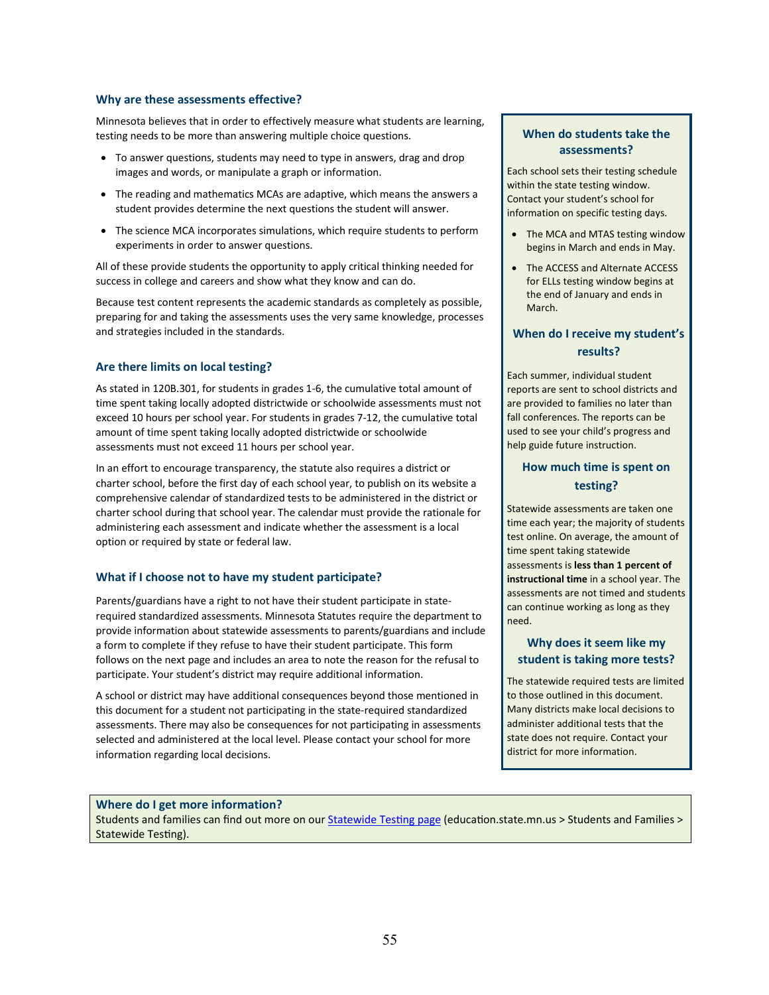#### **Why are these assessments effective?**

Minnesota believes that in order to effectively measure what students are learning, testing needs to be more than answering multiple choice questions.

- To answer questions, students may need to type in answers, drag and drop images and words, or manipulate a graph or information.
- The reading and mathematics MCAs are adaptive, which means the answers a student provides determine the next questions the student will answer.
- The science MCA incorporates simulations, which require students to perform experiments in order to answer questions.

 All of these provide students the opportunity to apply critical thinking needed for success in college and careers and show what they know and can do.

Because test content represents the academic standards as completely as possible, preparing for and taking the assessments uses the very same knowledge, processes and strategies included in the standards.

#### **Are there limits on local testing?**

As stated in 120B.301, for students in grades 1-6, the cumulative total amount of time spent taking locally adopted districtwide or schoolwide assessments must not exceed 10 hours per school year. For students in grades 7-12, the cumulative total amount of time spent taking locally adopted districtwide or schoolwide assessments must not exceed 11 hours per school year.

In an effort to encourage transparency, the statute also requires a district or charter school, before the first day of each school year, to publish on its website a comprehensive calendar of standardized tests to be administered in the district or charter school during that school year. The calendar must provide the rationale for administering each assessment and indicate whether the assessment is a local option or required by state or federal law.

#### **What if I choose not to have my student participate?**

Parents/guardians have a right to not have their student participate in staterequired standardized assessments. Minnesota Statutes require the department to provide information about statewide assessments to parents/guardians and include a form to complete if they refuse to have their student participate. This form follows on the next page and includes an area to note the reason for the refusal to participate. Your student's district may require additional information.

 selected and administered at the local level. Please contact your school for more A school or district may have additional consequences beyond those mentioned in this document for a student not participating in the state-required standardized assessments. There may also be consequences for not participating in assessments information regarding local decisions.

#### **When do students take the assessments?**

Each school sets their testing schedule within the state testing window. Contact your student's school for information on specific testing days.

- The MCA and MTAS testing window begins in March and ends in May.
- The ACCESS and Alternate ACCESS for ELLs testing window begins at the end of January and ends in March.

## **When do I receive my student's results?**

Each summer, individual student reports are sent to school districts and are provided to families no later than fall conferences. The reports can be used to see your child's progress and help guide future instruction.

## **How much time is spent on testing?**

Statewide assessments are taken one time each year; the majority of students test online. On average, the amount of time spent taking statewide assessments is **less than 1 percent of instructional time** in a school year. The assessments are not timed and students can continue working as long as they need.

#### **Why does it seem like my student is taking more tests?**

 The statewide required tests are limited to those outlined in this document. Many districts make local decisions to administer additional tests that the state does not require. Contact your district for more information.

#### **Where do I get more information?**

Students and families can find out more on our Statewide Testing page (education.state.mn.us > Students and Families > Statewide Testing).